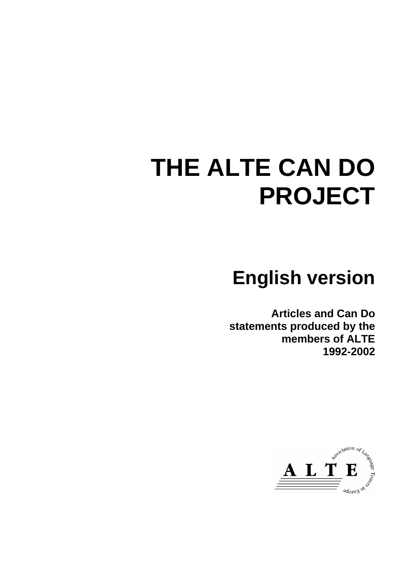# **THE ALTE CAN DO PROJECT**

## **English version**

**Articles and Can Do statements produced by the members of ALTE 1992-2002** 

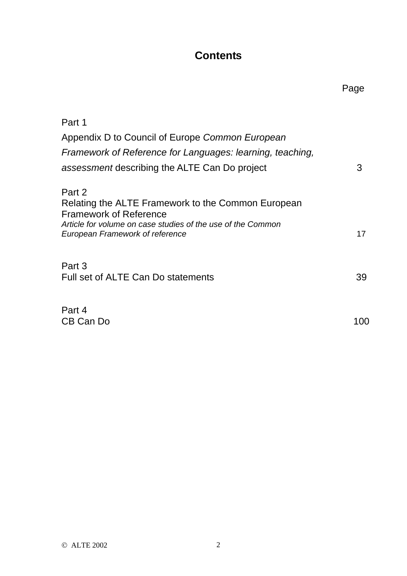## **Contents**

| Part 1                                                                                                |     |
|-------------------------------------------------------------------------------------------------------|-----|
| Appendix D to Council of Europe Common European                                                       |     |
| Framework of Reference for Languages: learning, teaching,                                             |     |
| assessment describing the ALTE Can Do project                                                         | 3   |
| Part 2<br>Relating the ALTE Framework to the Common European<br><b>Framework of Reference</b>         |     |
| Article for volume on case studies of the use of the Common<br><b>European Framework of reference</b> | 17  |
| Part 3<br>Full set of ALTE Can Do statements                                                          | 39  |
| Part 4<br>CB Can Do                                                                                   | 10O |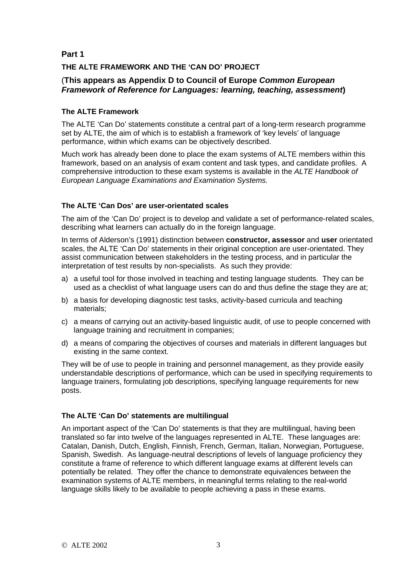#### **Part 1**

#### **THE ALTE FRAMEWORK AND THE 'CAN DO' PROJECT**

#### (**This appears as Appendix D to Council of Europe** *Common European Framework of Reference for Languages: learning, teaching, assessment***)**

#### **The ALTE Framework**

The ALTE 'Can Do' statements constitute a central part of a long-term research programme set by ALTE, the aim of which is to establish a framework of 'key levels' of language performance, within which exams can be objectively described.

Much work has already been done to place the exam systems of ALTE members within this framework, based on an analysis of exam content and task types, and candidate profiles. A comprehensive introduction to these exam systems is available in the *ALTE Handbook of European Language Examinations and Examination Systems.* 

#### **The ALTE 'Can Dos' are user-orientated scales**

The aim of the 'Can Do' project is to develop and validate a set of performance-related scales, describing what learners can actually do in the foreign language.

In terms of Alderson's (1991) distinction between **constructor, assessor** and **user** orientated scales, the ALTE 'Can Do' statements in their original conception are user-orientated. They assist communication between stakeholders in the testing process, and in particular the interpretation of test results by non-specialists. As such they provide:

- a) a useful tool for those involved in teaching and testing language students. They can be used as a checklist of what language users can do and thus define the stage they are at;
- b) a basis for developing diagnostic test tasks, activity-based curricula and teaching materials;
- c) a means of carrying out an activity-based linguistic audit, of use to people concerned with language training and recruitment in companies;
- d) a means of comparing the objectives of courses and materials in different languages but existing in the same context.

They will be of use to people in training and personnel management, as they provide easily understandable descriptions of performance, which can be used in specifying requirements to language trainers, formulating job descriptions, specifying language requirements for new posts.

#### **The ALTE 'Can Do' statements are multilingual**

An important aspect of the 'Can Do' statements is that they are multilingual, having been translated so far into twelve of the languages represented in ALTE. These languages are: Catalan, Danish, Dutch, English, Finnish, French, German, Italian, Norwegian, Portuguese, Spanish, Swedish. As language-neutral descriptions of levels of language proficiency they constitute a frame of reference to which different language exams at different levels can potentially be related. They offer the chance to demonstrate equivalences between the examination systems of ALTE members, in meaningful terms relating to the real-world language skills likely to be available to people achieving a pass in these exams.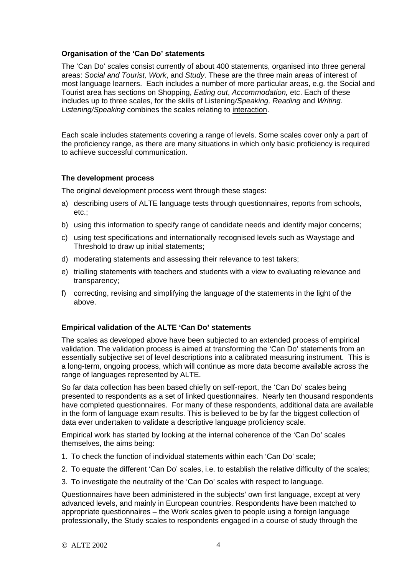#### **Organisation of the 'Can Do' statements**

The 'Can Do' scales consist currently of about 400 statements, organised into three general areas: *Social and Tourist, Work*, and *Study*. These are the three main areas of interest of most language learners. Each includes a number of more particular areas, e.g. the Social and Tourist area has sections on Shopping, *Eating out*, *Accommodation,* etc. Each of these includes up to three scales, for the skills of Listening*/Speaking, Reading* and *Writing*. *Listening/Speaking* combines the scales relating to interaction.

Each scale includes statements covering a range of levels. Some scales cover only a part of the proficiency range, as there are many situations in which only basic proficiency is required to achieve successful communication.

#### **The development process**

The original development process went through these stages:

- a) describing users of ALTE language tests through questionnaires, reports from schools, etc.;
- b) using this information to specify range of candidate needs and identify major concerns;
- c) using test specifications and internationally recognised levels such as Waystage and Threshold to draw up initial statements;
- d) moderating statements and assessing their relevance to test takers;
- e) trialling statements with teachers and students with a view to evaluating relevance and transparency;
- f) correcting, revising and simplifying the language of the statements in the light of the above.

#### **Empirical validation of the ALTE 'Can Do' statements**

The scales as developed above have been subjected to an extended process of empirical validation. The validation process is aimed at transforming the 'Can Do' statements from an essentially subjective set of level descriptions into a calibrated measuring instrument. This is a long-term, ongoing process, which will continue as more data become available across the range of languages represented by ALTE.

So far data collection has been based chiefly on self-report, the 'Can Do' scales being presented to respondents as a set of linked questionnaires. Nearly ten thousand respondents have completed questionnaires. For many of these respondents, additional data are available in the form of language exam results. This is believed to be by far the biggest collection of data ever undertaken to validate a descriptive language proficiency scale.

Empirical work has started by looking at the internal coherence of the 'Can Do' scales themselves, the aims being:

- 1. To check the function of individual statements within each 'Can Do' scale;
- 2. To equate the different 'Can Do' scales, i.e. to establish the relative difficulty of the scales;
- 3. To investigate the neutrality of the 'Can Do' scales with respect to language.

Questionnaires have been administered in the subjects' own first language, except at very advanced levels, and mainly in European countries. Respondents have been matched to appropriate questionnaires – the Work scales given to people using a foreign language professionally, the Study scales to respondents engaged in a course of study through the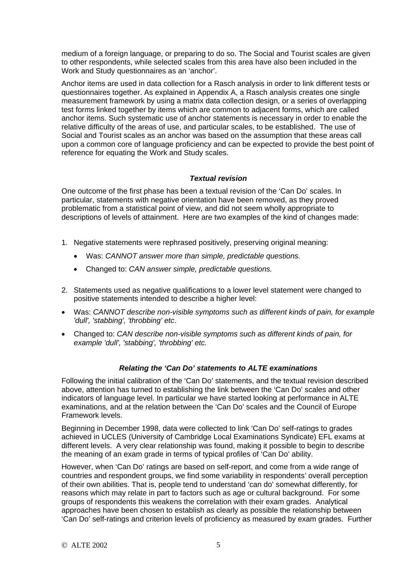medium of a foreign language, or preparing to do so. The Social and Tourist scales are given to other respondents, while selected scales from this area have also been included in the Work and Study questionnaires as an 'anchor'.

Anchor items are used in data collection for a Rasch analysis in order to link different tests or questionnaires together. As explained in Appendix A, a Rasch analysis creates one single measurement framework by using a matrix data collection design, or a series of overlapping test forms linked together by items which are common to adjacent forms, which are called anchor items. Such systematic use of anchor statements is necessary in order to enable the relative difficulty of the areas of use, and particular scales, to be established. The use of Social and Tourist scales as an anchor was based on the assumption that these areas call upon a common core of language proficiency and can be expected to provide the best point of reference for equating the Work and Study scales.

#### *Textual revision*

One outcome of the first phase has been a textual revision of the 'Can Do' scales. In particular, statements with negative orientation have been removed, as they proved problematic from a statistical point of view, and did not seem wholly appropriate to descriptions of levels of attainment. Here are two examples of the kind of changes made:

- 1. Negative statements were rephrased positively, preserving original meaning:
	- Was: *CANNOT answer more than simple, predictable questions.*
	- Changed to: *CAN answer simple, predictable questions.*
- 2. Statements used as negative qualifications to a lower level statement were changed to positive statements intended to describe a higher level:
- Was: *CANNOT describe non-visible symptoms such as different kinds of pain, for example 'dull', 'stabbing', 'throbbing' etc*.
- Changed to: *CAN describe non-visible symptoms such as different kinds of pain, for example 'dull', 'stabbing', 'throbbing' etc.*

#### *Relating the 'Can Do' statements to ALTE examinations*

Following the initial calibration of the 'Can Do' statements, and the textual revision described above, attention has turned to establishing the link between the 'Can Do' scales and other indicators of language level. In particular we have started looking at performance in ALTE examinations, and at the relation between the 'Can Do' scales and the Council of Europe Framework levels.

Beginning in December 1998, data were collected to link 'Can Do' self-ratings to grades achieved in UCLES (University of Cambridge Local Examinations Syndicate) EFL exams at different levels. A very clear relationship was found, making it possible to begin to describe the meaning of an exam grade in terms of typical profiles of 'Can Do' ability.

However, when 'Can Do' ratings are based on self-report, and come from a wide range of countries and respondent groups, we find some variability in respondents' overall perception of their own abilities. That is, people tend to understand 'can do' somewhat differently, for reasons which may relate in part to factors such as age or cultural background. For some groups of respondents this weakens the correlation with their exam grades. Analytical approaches have been chosen to establish as clearly as possible the relationship between 'Can Do' self-ratings and criterion levels of proficiency as measured by exam grades. Further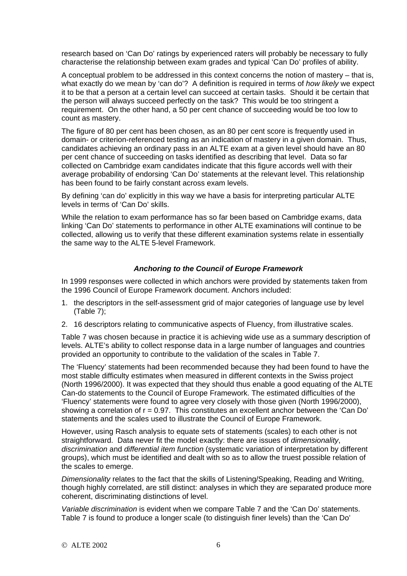research based on 'Can Do' ratings by experienced raters will probably be necessary to fully characterise the relationship between exam grades and typical 'Can Do' profiles of ability.

A conceptual problem to be addressed in this context concerns the notion of mastery – that is, what exactly do we mean by 'can do'? A definition is required in terms of *how likely* we expect it to be that a person at a certain level can succeed at certain tasks. Should it be certain that the person will always succeed perfectly on the task? This would be too stringent a requirement. On the other hand, a 50 per cent chance of succeeding would be too low to count as mastery.

The figure of 80 per cent has been chosen, as an 80 per cent score is frequently used in domain- or criterion-referenced testing as an indication of mastery in a given domain. Thus, candidates achieving an ordinary pass in an ALTE exam at a given level should have an 80 per cent chance of succeeding on tasks identified as describing that level. Data so far collected on Cambridge exam candidates indicate that this figure accords well with their average probability of endorsing 'Can Do' statements at the relevant level. This relationship has been found to be fairly constant across exam levels.

By defining 'can do' explicitly in this way we have a basis for interpreting particular ALTE levels in terms of 'Can Do' skills.

While the relation to exam performance has so far been based on Cambridge exams, data linking 'Can Do' statements to performance in other ALTE examinations will continue to be collected, allowing us to verify that these different examination systems relate in essentially the same way to the ALTE 5-level Framework.

#### *Anchoring to the Council of Europe Framework*

In 1999 responses were collected in which anchors were provided by statements taken from the 1996 Council of Europe Framework document. Anchors included:

- 1. the descriptors in the self-assessment grid of major categories of language use by level (Table 7);
- 2. 16 descriptors relating to communicative aspects of Fluency, from illustrative scales.

Table 7 was chosen because in practice it is achieving wide use as a summary description of levels. ALTE's ability to collect response data in a large number of languages and countries provided an opportunity to contribute to the validation of the scales in Table 7.

The 'Fluency' statements had been recommended because they had been found to have the most stable difficulty estimates when measured in different contexts in the Swiss project (North 1996/2000). It was expected that they should thus enable a good equating of the ALTE Can-do statements to the Council of Europe Framework. The estimated difficulties of the 'Fluency' statements were found to agree very closely with those given (North 1996/2000), showing a correlation of  $r = 0.97$ . This constitutes an excellent anchor between the 'Can Do' statements and the scales used to illustrate the Council of Europe Framework.

However, using Rasch analysis to equate sets of statements (scales) to each other is not straightforward. Data never fit the model exactly: there are issues of *dimensionality*, *discrimination* and *differential item function* (systematic variation of interpretation by different groups), which must be identified and dealt with so as to allow the truest possible relation of the scales to emerge.

*Dimensionality* relates to the fact that the skills of Listening/Speaking, Reading and Writing, though highly correlated, are still distinct: analyses in which they are separated produce more coherent, discriminating distinctions of level.

*Variable discrimination* is evident when we compare Table 7 and the 'Can Do' statements. Table 7 is found to produce a longer scale (to distinguish finer levels) than the 'Can Do'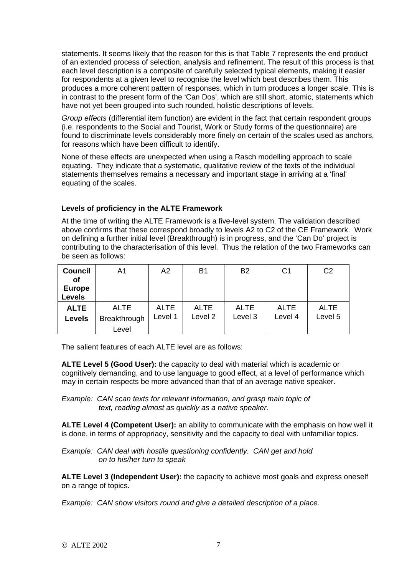statements. It seems likely that the reason for this is that Table 7 represents the end product of an extended process of selection, analysis and refinement. The result of this process is that each level description is a composite of carefully selected typical elements, making it easier for respondents at a given level to recognise the level which best describes them. This produces a more coherent pattern of responses, which in turn produces a longer scale. This is in contrast to the present form of the 'Can Dos', which are still short, atomic, statements which have not yet been grouped into such rounded, holistic descriptions of levels.

*Group effects* (differential item function) are evident in the fact that certain respondent groups (i.e. respondents to the Social and Tourist, Work or Study forms of the questionnaire) are found to discriminate levels considerably more finely on certain of the scales used as anchors, for reasons which have been difficult to identify.

None of these effects are unexpected when using a Rasch modelling approach to scale equating. They indicate that a systematic, qualitative review of the texts of the individual statements themselves remains a necessary and important stage in arriving at a 'final' equating of the scales.

#### **Levels of proficiency in the ALTE Framework**

At the time of writing the ALTE Framework is a five-level system. The validation described above confirms that these correspond broadly to levels A2 to C2 of the CE Framework. Work on defining a further initial level (Breakthrough) is in progress, and the 'Can Do' project is contributing to the characterisation of this level. Thus the relation of the two Frameworks can be seen as follows:

| <b>Council</b><br>οf           | A1           | A2          | B <sub>1</sub> | <b>B2</b>   | C <sub>1</sub> | C <sub>2</sub> |
|--------------------------------|--------------|-------------|----------------|-------------|----------------|----------------|
| <b>Europe</b><br><b>Levels</b> |              |             |                |             |                |                |
| <b>ALTE</b>                    | <b>ALTE</b>  | <b>ALTE</b> | <b>ALTE</b>    | <b>ALTE</b> | <b>ALTE</b>    | <b>ALTE</b>    |
| <b>Levels</b>                  | Breakthrough | Level 1     | Level 2        | Level 3     | Level 4        | Level 5        |
|                                | Level        |             |                |             |                |                |

The salient features of each ALTE level are as follows:

**ALTE Level 5 (Good User):** the capacity to deal with material which is academic or cognitively demanding, and to use language to good effect, at a level of performance which may in certain respects be more advanced than that of an average native speaker.

*Example: CAN scan texts for relevant information, and grasp main topic of text, reading almost as quickly as a native speaker.* 

**ALTE Level 4 (Competent User):** an ability to communicate with the emphasis on how well it is done, in terms of appropriacy, sensitivity and the capacity to deal with unfamiliar topics.

*Example: CAN deal with hostile questioning confidently. CAN get and hold on to his/her turn to speak* 

**ALTE Level 3 (Independent User):** the capacity to achieve most goals and express oneself on a range of topics.

*Example: CAN show visitors round and give a detailed description of a place.*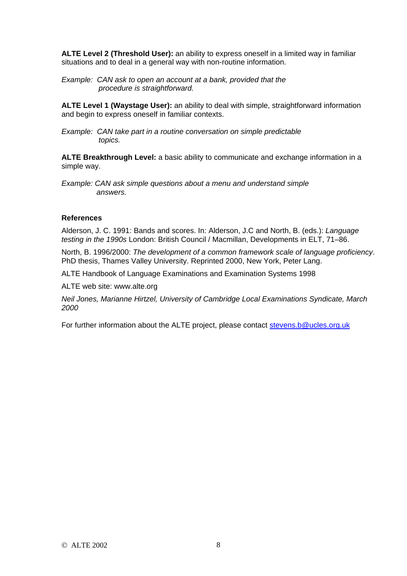**ALTE Level 2 (Threshold User):** an ability to express oneself in a limited way in familiar situations and to deal in a general way with non-routine information.

*Example: CAN ask to open an account at a bank, provided that the procedure is straightforward.* 

**ALTE Level 1 (Waystage User):** an ability to deal with simple, straightforward information and begin to express oneself in familiar contexts.

*Example: CAN take part in a routine conversation on simple predictable topics.* 

**ALTE Breakthrough Level:** a basic ability to communicate and exchange information in a simple way.

*Example: CAN ask simple questions about a menu and understand simple answers.* 

#### **References**

Alderson, J. C. 1991: Bands and scores. In: Alderson, J.C and North, B. (eds.): *Language testing in the 1990s* London: British Council / Macmillan, Developments in ELT, 71–86.

North, B. 1996/2000: *The development of a common framework scale of language proficiency*. PhD thesis, Thames Valley University. Reprinted 2000, New York, Peter Lang.

ALTE Handbook of Language Examinations and Examination Systems 1998

ALTE web site: www.alte.org

*Neil Jones, Marianne Hirtzel, University of Cambridge Local Examinations Syndicate, March 2000*

For further information about the ALTE project, please contact stevens.b@ucles.org.uk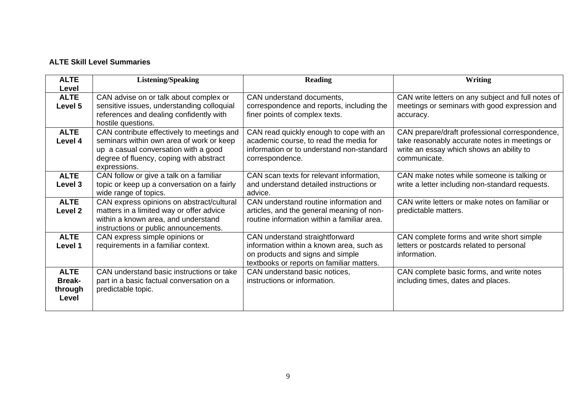#### **ALTE Skill Level Summaries**

| <b>ALTE</b>                                      | <b>Listening/Speaking</b>                                                                                                                                                                 | <b>Reading</b>                                                                                                                                              | Writing                                                                                                                                                     |
|--------------------------------------------------|-------------------------------------------------------------------------------------------------------------------------------------------------------------------------------------------|-------------------------------------------------------------------------------------------------------------------------------------------------------------|-------------------------------------------------------------------------------------------------------------------------------------------------------------|
| Level<br><b>ALTE</b><br>Level 5                  | CAN advise on or talk about complex or<br>sensitive issues, understanding colloquial<br>references and dealing confidently with<br>hostile questions.                                     | CAN understand documents,<br>correspondence and reports, including the<br>finer points of complex texts.                                                    | CAN write letters on any subject and full notes of<br>meetings or seminars with good expression and<br>accuracy.                                            |
| <b>ALTE</b><br>Level 4                           | CAN contribute effectively to meetings and<br>seminars within own area of work or keep<br>up a casual conversation with a good<br>degree of fluency, coping with abstract<br>expressions. | CAN read quickly enough to cope with an<br>academic course, to read the media for<br>information or to understand non-standard<br>correspondence.           | CAN prepare/draft professional correspondence,<br>take reasonably accurate notes in meetings or<br>write an essay which shows an ability to<br>communicate. |
| <b>ALTE</b><br>Level 3                           | CAN follow or give a talk on a familiar<br>topic or keep up a conversation on a fairly<br>wide range of topics.                                                                           | CAN scan texts for relevant information,<br>and understand detailed instructions or<br>advice.                                                              | CAN make notes while someone is talking or<br>write a letter including non-standard requests.                                                               |
| <b>ALTE</b><br>Level 2                           | CAN express opinions on abstract/cultural<br>matters in a limited way or offer advice<br>within a known area, and understand<br>instructions or public announcements.                     | CAN understand routine information and<br>articles, and the general meaning of non-<br>routine information within a familiar area.                          | CAN write letters or make notes on familiar or<br>predictable matters.                                                                                      |
| <b>ALTE</b><br>Level 1                           | CAN express simple opinions or<br>requirements in a familiar context.                                                                                                                     | CAN understand straightforward<br>information within a known area, such as<br>on products and signs and simple<br>textbooks or reports on familiar matters. | CAN complete forms and write short simple<br>letters or postcards related to personal<br>information.                                                       |
| <b>ALTE</b><br><b>Break-</b><br>through<br>Level | CAN understand basic instructions or take<br>part in a basic factual conversation on a<br>predictable topic.                                                                              | CAN understand basic notices,<br>instructions or information.                                                                                               | CAN complete basic forms, and write notes<br>including times, dates and places.                                                                             |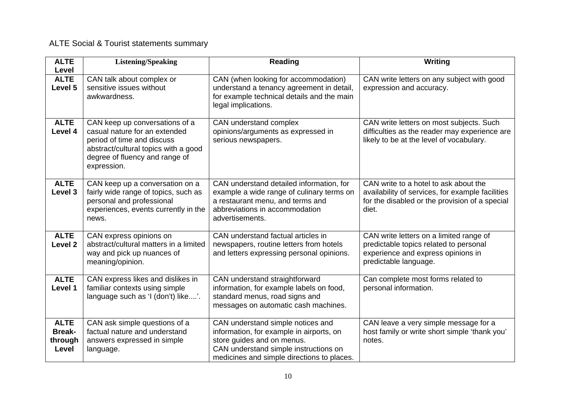## ALTE Social & Tourist statements summary

| <b>ALTE</b>                                      | <b>Listening/Speaking</b>                                                                                                                                                              | <b>Reading</b>                                                                                                                                                                                     | Writing                                                                                                                                              |
|--------------------------------------------------|----------------------------------------------------------------------------------------------------------------------------------------------------------------------------------------|----------------------------------------------------------------------------------------------------------------------------------------------------------------------------------------------------|------------------------------------------------------------------------------------------------------------------------------------------------------|
| Level                                            |                                                                                                                                                                                        |                                                                                                                                                                                                    |                                                                                                                                                      |
| <b>ALTE</b><br>Level 5                           | CAN talk about complex or<br>sensitive issues without<br>awkwardness.                                                                                                                  | CAN (when looking for accommodation)<br>understand a tenancy agreement in detail,<br>for example technical details and the main<br>legal implications.                                             | CAN write letters on any subject with good<br>expression and accuracy.                                                                               |
| <b>ALTE</b><br>Level 4                           | CAN keep up conversations of a<br>casual nature for an extended<br>period of time and discuss<br>abstract/cultural topics with a good<br>degree of fluency and range of<br>expression. | CAN understand complex<br>opinions/arguments as expressed in<br>serious newspapers.                                                                                                                | CAN write letters on most subjects. Such<br>difficulties as the reader may experience are<br>likely to be at the level of vocabulary.                |
| <b>ALTE</b><br>Level 3                           | CAN keep up a conversation on a<br>fairly wide range of topics, such as<br>personal and professional<br>experiences, events currently in the<br>news.                                  | CAN understand detailed information, for<br>example a wide range of culinary terms on<br>a restaurant menu, and terms and<br>abbreviations in accommodation<br>advertisements.                     | CAN write to a hotel to ask about the<br>availability of services, for example facilities<br>for the disabled or the provision of a special<br>diet. |
| <b>ALTE</b><br>Level <sub>2</sub>                | CAN express opinions on<br>abstract/cultural matters in a limited<br>way and pick up nuances of<br>meaning/opinion.                                                                    | CAN understand factual articles in<br>newspapers, routine letters from hotels<br>and letters expressing personal opinions.                                                                         | CAN write letters on a limited range of<br>predictable topics related to personal<br>experience and express opinions in<br>predictable language.     |
| <b>ALTE</b><br>Level 1                           | CAN express likes and dislikes in<br>familiar contexts using simple<br>language such as 'I (don't) like'.                                                                              | CAN understand straightforward<br>information, for example labels on food,<br>standard menus, road signs and<br>messages on automatic cash machines.                                               | Can complete most forms related to<br>personal information.                                                                                          |
| <b>ALTE</b><br><b>Break-</b><br>through<br>Level | CAN ask simple questions of a<br>factual nature and understand<br>answers expressed in simple<br>language.                                                                             | CAN understand simple notices and<br>information, for example in airports, on<br>store guides and on menus.<br>CAN understand simple instructions on<br>medicines and simple directions to places. | CAN leave a very simple message for a<br>host family or write short simple 'thank you'<br>notes.                                                     |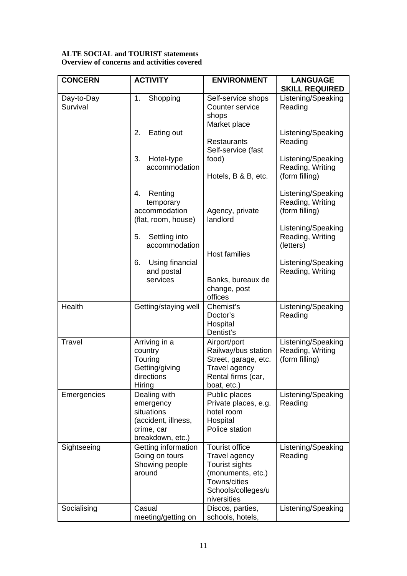#### **ALTE SOCIAL and TOURIST statements Overview of concerns and activities covered**

| <b>CONCERN</b>         | <b>ACTIVITY</b>                                                                                  | <b>ENVIRONMENT</b>                                                                                                                 | <b>LANGUAGE</b><br><b>SKILL REQUIRED</b>                 |
|------------------------|--------------------------------------------------------------------------------------------------|------------------------------------------------------------------------------------------------------------------------------------|----------------------------------------------------------|
| Day-to-Day<br>Survival | 1.<br>Shopping                                                                                   | Self-service shops<br>Counter service<br>shops                                                                                     | Listening/Speaking<br>Reading                            |
|                        | 2.<br>Eating out                                                                                 | Market place<br><b>Restaurants</b><br>Self-service (fast                                                                           | Listening/Speaking<br>Reading                            |
|                        | 3.<br>Hotel-type<br>accommodation                                                                | food)<br>Hotels, B & B, etc.                                                                                                       | Listening/Speaking<br>Reading, Writing<br>(form filling) |
|                        | 4.<br>Renting<br>temporary<br>accommodation<br>(flat, room, house)                               | Agency, private<br>landlord                                                                                                        | Listening/Speaking<br>Reading, Writing<br>(form filling) |
|                        | 5.<br>Settling into<br>accommodation                                                             | <b>Host families</b>                                                                                                               | Listening/Speaking<br>Reading, Writing<br>(letters)      |
|                        | 6.<br>Using financial<br>and postal<br>services                                                  | Banks, bureaux de<br>change, post<br>offices                                                                                       | Listening/Speaking<br>Reading, Writing                   |
| Health                 | Getting/staying well                                                                             | Chemist's<br>Doctor's<br>Hospital<br>Dentist's                                                                                     | Listening/Speaking<br>Reading                            |
| Travel                 | Arriving in a<br>country<br>Touring<br>Getting/giving<br>directions<br>Hiring                    | Airport/port<br>Railway/bus station<br>Street, garage, etc.<br>Travel agency<br>Rental firms (car,<br>boat, etc.)                  | Listening/Speaking<br>Reading, Writing<br>(form filling) |
| Emergencies            | Dealing with<br>emergency<br>situations<br>(accident, illness,<br>crime, car<br>breakdown, etc.) | Public places<br>Private places, e.g.<br>hotel room<br>Hospital<br>Police station                                                  | Listening/Speaking<br>Reading                            |
| Sightseeing            | Getting information<br>Going on tours<br>Showing people<br>around                                | <b>Tourist office</b><br>Travel agency<br>Tourist sights<br>(monuments, etc.)<br>Towns/cities<br>Schools/colleges/u<br>niversities | Listening/Speaking<br>Reading                            |
| Socialising            | Casual<br>meeting/getting on                                                                     | Discos, parties,<br>schools, hotels,                                                                                               | Listening/Speaking                                       |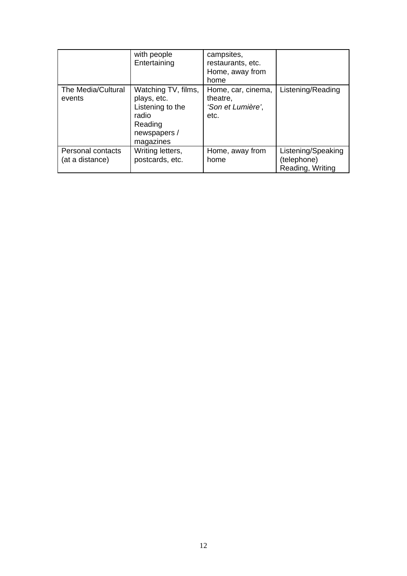|                                      | with people<br>Entertaining                                                                             | campsites,<br>restaurants, etc.<br>Home, away from<br>home  |                                                       |
|--------------------------------------|---------------------------------------------------------------------------------------------------------|-------------------------------------------------------------|-------------------------------------------------------|
| The Media/Cultural<br>events         | Watching TV, films,<br>plays, etc.<br>Listening to the<br>radio<br>Reading<br>newspapers /<br>magazines | Home, car, cinema,<br>theatre,<br>'Son et Lumière',<br>etc. | Listening/Reading                                     |
| Personal contacts<br>(at a distance) | Writing letters,<br>postcards, etc.                                                                     | Home, away from<br>home                                     | Listening/Speaking<br>(telephone)<br>Reading, Writing |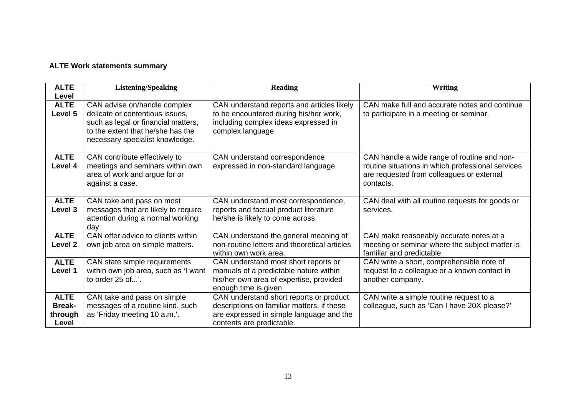## **ALTE Work statements summary**

| <b>ALTE</b><br>Level                             | <b>Listening/Speaking</b>                                                                                                                                                      | <b>Reading</b>                                                                                                                                                 | <b>Writing</b>                                                                                                                                             |
|--------------------------------------------------|--------------------------------------------------------------------------------------------------------------------------------------------------------------------------------|----------------------------------------------------------------------------------------------------------------------------------------------------------------|------------------------------------------------------------------------------------------------------------------------------------------------------------|
| <b>ALTE</b><br>Level 5                           | CAN advise on/handle complex<br>delicate or contentious issues.<br>such as legal or financial matters,<br>to the extent that he/she has the<br>necessary specialist knowledge. | CAN understand reports and articles likely<br>to be encountered during his/her work,<br>including complex ideas expressed in<br>complex language.              | CAN make full and accurate notes and continue<br>to participate in a meeting or seminar.                                                                   |
| <b>ALTE</b><br>Level 4                           | CAN contribute effectively to<br>meetings and seminars within own<br>area of work and argue for or<br>against a case.                                                          | CAN understand correspondence<br>expressed in non-standard language.                                                                                           | CAN handle a wide range of routine and non-<br>routine situations in which professional services<br>are requested from colleagues or external<br>contacts. |
| <b>ALTE</b><br>Level 3                           | CAN take and pass on most<br>messages that are likely to require<br>attention during a normal working<br>day.                                                                  | CAN understand most correspondence,<br>reports and factual product literature<br>he/she is likely to come across.                                              | CAN deal with all routine requests for goods or<br>services.                                                                                               |
| <b>ALTE</b><br>Level 2                           | CAN offer advice to clients within<br>own job area on simple matters.                                                                                                          | CAN understand the general meaning of<br>non-routine letters and theoretical articles<br>within own work area.                                                 | CAN make reasonably accurate notes at a<br>meeting or seminar where the subject matter is<br>familiar and predictable.                                     |
| <b>ALTE</b><br>Level 1                           | CAN state simple requirements<br>within own job area, such as 'I want<br>to order 25 of'.                                                                                      | CAN understand most short reports or<br>manuals of a predictable nature within<br>his/her own area of expertise, provided<br>enough time is given.             | CAN write a short, comprehensible note of<br>request to a colleague or a known contact in<br>another company.                                              |
| <b>ALTE</b><br><b>Break-</b><br>through<br>Level | CAN take and pass on simple<br>messages of a routine kind, such<br>as 'Friday meeting 10 a.m.'.                                                                                | CAN understand short reports or product<br>descriptions on familiar matters, if these<br>are expressed in simple language and the<br>contents are predictable. | CAN write a simple routine request to a<br>colleague, such as 'Can I have 20X please?'                                                                     |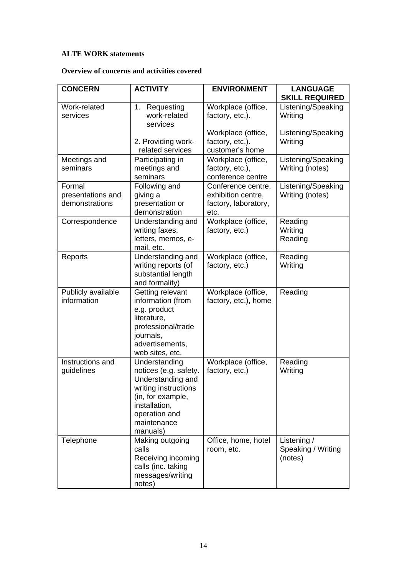## **ALTE WORK statements**

## **Overview of concerns and activities covered**

| <b>CONCERN</b>                                | <b>ACTIVITY</b>                                                                                                                                                       | <b>ENVIRONMENT</b>                                                       | <b>LANGUAGE</b>                                        |
|-----------------------------------------------|-----------------------------------------------------------------------------------------------------------------------------------------------------------------------|--------------------------------------------------------------------------|--------------------------------------------------------|
| Work-related<br>services                      | Requesting<br>1.<br>work-related                                                                                                                                      | Workplace (office,<br>factory, etc,).                                    | <b>SKILL REQUIRED</b><br>Listening/Speaking<br>Writing |
|                                               | services<br>2. Providing work-<br>related services                                                                                                                    | Workplace (office,<br>factory, etc,).<br>customer's home                 | Listening/Speaking<br>Writing                          |
| Meetings and<br>seminars                      | Participating in<br>meetings and<br>seminars                                                                                                                          | Workplace (office,<br>factory, etc.),<br>conference centre               | Listening/Speaking<br>Writing (notes)                  |
| Formal<br>presentations and<br>demonstrations | Following and<br>giving a<br>presentation or<br>demonstration                                                                                                         | Conference centre,<br>exhibition centre,<br>factory, laboratory,<br>etc. | Listening/Speaking<br>Writing (notes)                  |
| Correspondence                                | Understanding and<br>writing faxes,<br>letters, memos, e-<br>mail, etc.                                                                                               | Workplace (office,<br>factory, etc.)                                     | Reading<br>Writing<br>Reading                          |
| Reports                                       | Understanding and<br>writing reports (of<br>substantial length<br>and formality)                                                                                      | Workplace (office,<br>factory, etc.)                                     | Reading<br>Writing                                     |
| Publicly available<br>information             | Getting relevant<br>information (from<br>e.g. product<br>literature,<br>professional/trade<br>journals,<br>advertisements,<br>web sites, etc.                         | Workplace (office,<br>factory, etc.), home                               | Reading                                                |
| Instructions and<br>guidelines                | Understanding<br>notices (e.g. safety.<br>Understanding and<br>writing instructions<br>(in, for example,<br>installation,<br>operation and<br>maintenance<br>manuals) | Workplace (office,<br>factory, etc.)                                     | Reading<br>Writing                                     |
| Telephone                                     | Making outgoing<br>calls<br>Receiving incoming<br>calls (inc. taking<br>messages/writing<br>notes)                                                                    | Office, home, hotel<br>room, etc.                                        | Listening /<br>Speaking / Writing<br>(notes)           |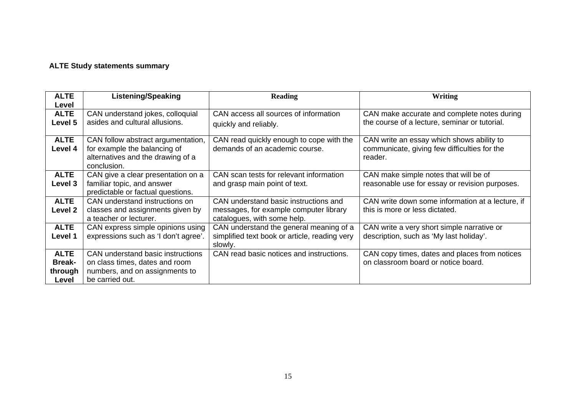## **ALTE Study statements summary**

| <b>ALTE</b><br>Level                             | <b>Listening/Speaking</b>                                                                                                | <b>Reading</b>                                                                                                 | Writing                                                                                              |
|--------------------------------------------------|--------------------------------------------------------------------------------------------------------------------------|----------------------------------------------------------------------------------------------------------------|------------------------------------------------------------------------------------------------------|
| <b>ALTE</b><br>Level 5                           | CAN understand jokes, colloquial<br>asides and cultural allusions.                                                       | CAN access all sources of information<br>quickly and reliably.                                                 | CAN make accurate and complete notes during<br>the course of a lecture, seminar or tutorial.         |
| <b>ALTE</b><br>Level 4                           | CAN follow abstract argumentation,<br>for example the balancing of<br>alternatives and the drawing of a<br>conclusion.   | CAN read quickly enough to cope with the<br>demands of an academic course.                                     | CAN write an essay which shows ability to<br>communicate, giving few difficulties for the<br>reader. |
| <b>ALTE</b><br>Level 3                           | CAN give a clear presentation on a<br>familiar topic, and answer<br>predictable or factual questions.                    | CAN scan tests for relevant information<br>and grasp main point of text.                                       | CAN make simple notes that will be of<br>reasonable use for essay or revision purposes.              |
| <b>ALTE</b><br>Level 2                           | CAN understand instructions on<br>classes and assignments given by<br>a teacher or lecturer.                             | CAN understand basic instructions and<br>messages, for example computer library<br>catalogues, with some help. | CAN write down some information at a lecture, if<br>this is more or less dictated.                   |
| <b>ALTE</b><br>Level 1                           | CAN express simple opinions using<br>expressions such as 'I don't agree'.                                                | CAN understand the general meaning of a<br>simplified text book or article, reading very<br>slowly.            | CAN write a very short simple narrative or<br>description, such as 'My last holiday'.                |
| <b>ALTE</b><br><b>Break-</b><br>through<br>Level | CAN understand basic instructions<br>on class times, dates and room<br>numbers, and on assignments to<br>be carried out. | CAN read basic notices and instructions.                                                                       | CAN copy times, dates and places from notices<br>on classroom board or notice board.                 |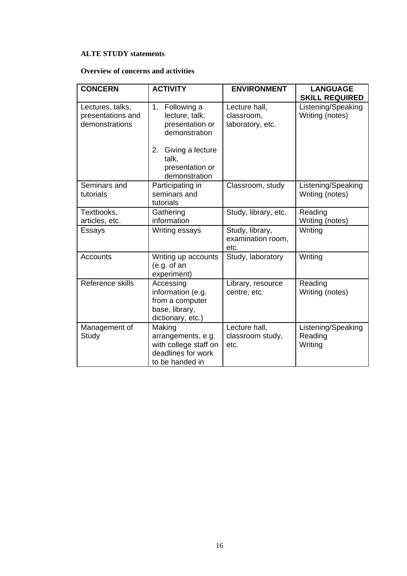#### **ALTE STUDY statements**

#### **Overview of concerns and activities**

| <b>CONCERN</b>                                          | <b>ACTIVITY</b>                                                                                | <b>ENVIRONMENT</b>                              | <b>LANGUAGE</b><br><b>SKILL REQUIRED</b> |
|---------------------------------------------------------|------------------------------------------------------------------------------------------------|-------------------------------------------------|------------------------------------------|
| Lectures, talks,<br>presentations and<br>demonstrations | Following a<br>1.<br>lecture, talk,<br>presentation or<br>demonstration                        | Lecture hall,<br>classroom,<br>laboratory, etc. | Listening/Speaking<br>Writing (notes)    |
|                                                         | 2.<br>Giving a lecture<br>talk,<br>presentation or<br>demonstration                            |                                                 |                                          |
| Seminars and<br>tutorials                               | Participating in<br>seminars and<br>tutorials                                                  | Classroom, study                                | Listening/Speaking<br>Writing (notes)    |
| Textbooks,<br>articles, etc.                            | Gathering<br>information                                                                       | Study, library, etc.                            | Reading<br>Writing (notes)               |
| Essays                                                  | Writing essays                                                                                 | Study, library,<br>examination room,<br>etc.    | Writing                                  |
| Accounts                                                | Writing up accounts<br>(e.g. of an<br>experiment)                                              | Study, laboratory                               | Writing                                  |
| Reference skills                                        | Accessing<br>information (e.g.<br>from a computer<br>base, library,<br>dictionary, etc.)       | Library, resource<br>centre, etc.               | Reading<br>Writing (notes)               |
| Management of<br>Study                                  | Making<br>arrangements, e.g.<br>with college staff on<br>deadlines for work<br>to be handed in | Lecture hall,<br>classroom study,<br>etc.       | Listening/Speaking<br>Reading<br>Writing |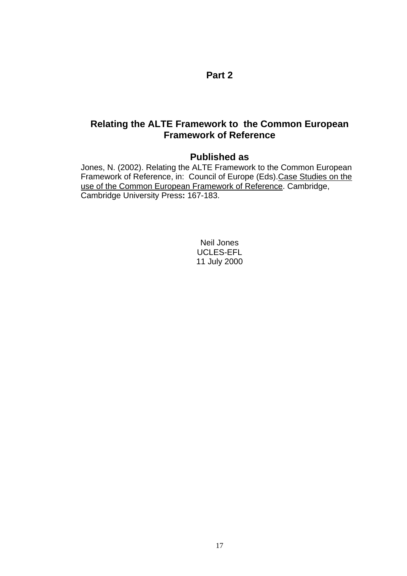## **Part 2**

## **Relating the ALTE Framework to the Common European Framework of Reference**

#### **Published as**

Jones, N. (2002). Relating the ALTE Framework to the Common European Framework of Reference, in: Council of Europe (Eds).Case Studies on the use of the Common European Framework of Reference. Cambridge, Cambridge University Press**:** 167-183.

> Neil Jones UCLES-EFL 11 July 2000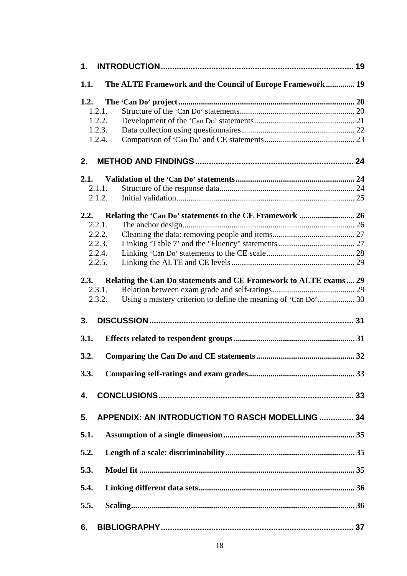| 1.                                                                       |  |
|--------------------------------------------------------------------------|--|
| 1.1.<br>The ALTE Framework and the Council of Europe Framework 19        |  |
| 1.2.                                                                     |  |
| 1.2.1.                                                                   |  |
| 1.2.2.                                                                   |  |
| 1.2.3.                                                                   |  |
| 1.2.4.                                                                   |  |
| 2.                                                                       |  |
|                                                                          |  |
| 2.1.1.                                                                   |  |
| 2.1.2.                                                                   |  |
| Relating the 'Can Do' statements to the CE Framework  26<br>2.2.         |  |
| 2.2.1.                                                                   |  |
| 2.2.2.                                                                   |  |
| 2.2.3.                                                                   |  |
| 2.2.4.                                                                   |  |
| 2.2.5.                                                                   |  |
| Relating the Can Do statements and CE Framework to ALTE exams 29<br>2.3. |  |
| 2.3.1.                                                                   |  |
| Using a mastery criterion to define the meaning of 'Can Do' 30<br>2.3.2. |  |
|                                                                          |  |
| 3.                                                                       |  |
| 3.1.                                                                     |  |
| 3.2.                                                                     |  |
|                                                                          |  |
| 3.3.                                                                     |  |
| 4.                                                                       |  |
| APPENDIX: AN INTRODUCTION TO RASCH MODELLING  34<br>5.                   |  |
| 5.1.                                                                     |  |
| 5.2.                                                                     |  |
| 5.3.                                                                     |  |
| 5.4.                                                                     |  |
| 5.5.                                                                     |  |
| 6.                                                                       |  |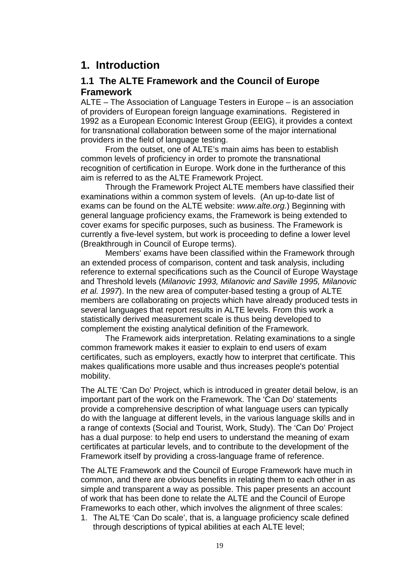## **1. Introduction**

## **1.1 The ALTE Framework and the Council of Europe Framework**

ALTE – The Association of Language Testers in Europe – is an association of providers of European foreign language examinations. Registered in 1992 as a European Economic Interest Group (EEIG), it provides a context for transnational collaboration between some of the major international providers in the field of language testing.

From the outset, one of ALTE's main aims has been to establish common levels of proficiency in order to promote the transnational recognition of certification in Europe. Work done in the furtherance of this aim is referred to as the ALTE Framework Project.

Through the Framework Project ALTE members have classified their examinations within a common system of levels. (An up-to-date list of exams can be found on the ALTE website: *www.alte.org.*) Beginning with general language proficiency exams, the Framework is being extended to cover exams for specific purposes, such as business. The Framework is currently a five-level system, but work is proceeding to define a lower level (Breakthrough in Council of Europe terms).

Members' exams have been classified within the Framework through an extended process of comparison, content and task analysis, including reference to external specifications such as the Council of Europe Waystage and Threshold levels (*Milanovic 1993, Milanovic and Saville 1995, Milanovic et al. 1997*). In the new area of computer-based testing a group of ALTE members are collaborating on projects which have already produced tests in several languages that report results in ALTE levels. From this work a statistically derived measurement scale is thus being developed to complement the existing analytical definition of the Framework.

The Framework aids interpretation. Relating examinations to a single common framework makes it easier to explain to end users of exam certificates, such as employers, exactly how to interpret that certificate. This makes qualifications more usable and thus increases people's potential mobility.

The ALTE 'Can Do' Project, which is introduced in greater detail below, is an important part of the work on the Framework. The 'Can Do' statements provide a comprehensive description of what language users can typically do with the language at different levels, in the various language skills and in a range of contexts (Social and Tourist, Work, Study). The 'Can Do' Project has a dual purpose: to help end users to understand the meaning of exam certificates at particular levels, and to contribute to the development of the Framework itself by providing a cross-language frame of reference.

The ALTE Framework and the Council of Europe Framework have much in common, and there are obvious benefits in relating them to each other in as simple and transparent a way as possible. This paper presents an account of work that has been done to relate the ALTE and the Council of Europe Frameworks to each other, which involves the alignment of three scales:

1. The ALTE 'Can Do scale', that is, a language proficiency scale defined through descriptions of typical abilities at each ALTE level;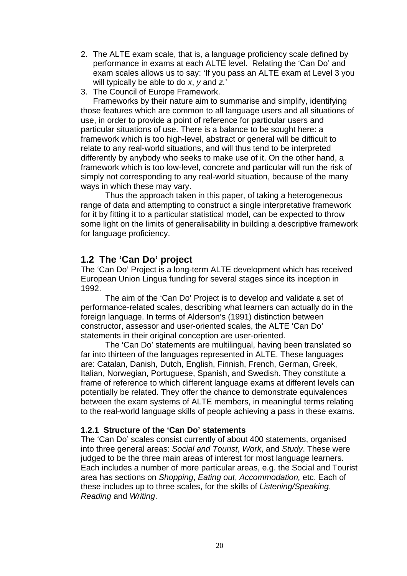- 2. The ALTE exam scale, that is, a language proficiency scale defined by performance in exams at each ALTE level. Relating the 'Can Do' and exam scales allows us to say: 'If you pass an ALTE exam at Level 3 you will typically be able to do *x*, *y* and *z.*'
- 3. The Council of Europe Framework.

Frameworks by their nature aim to summarise and simplify, identifying those features which are common to all language users and all situations of use, in order to provide a point of reference for particular users and particular situations of use. There is a balance to be sought here: a framework which is too high-level, abstract or general will be difficult to relate to any real-world situations, and will thus tend to be interpreted differently by anybody who seeks to make use of it. On the other hand, a framework which is too low-level, concrete and particular will run the risk of simply not corresponding to any real-world situation, because of the many ways in which these may vary.

Thus the approach taken in this paper, of taking a heterogeneous range of data and attempting to construct a single interpretative framework for it by fitting it to a particular statistical model, can be expected to throw some light on the limits of generalisability in building a descriptive framework for language proficiency.

## **1.2 The 'Can Do' project**

The 'Can Do' Project is a long-term ALTE development which has received European Union Lingua funding for several stages since its inception in 1992.

The aim of the 'Can Do' Project is to develop and validate a set of performance-related scales, describing what learners can actually do in the foreign language. In terms of Alderson's (1991) distinction between constructor, assessor and user-oriented scales, the ALTE 'Can Do' statements in their original conception are user-oriented.

The 'Can Do' statements are multilingual, having been translated so far into thirteen of the languages represented in ALTE. These languages are: Catalan, Danish, Dutch, English, Finnish, French, German, Greek, Italian, Norwegian, Portuguese, Spanish, and Swedish. They constitute a frame of reference to which different language exams at different levels can potentially be related. They offer the chance to demonstrate equivalences between the exam systems of ALTE members, in meaningful terms relating to the real-world language skills of people achieving a pass in these exams.

#### **1.2.1 Structure of the 'Can Do' statements**

The 'Can Do' scales consist currently of about 400 statements, organised into three general areas: *Social and Tourist*, *Work*, and *Study*. These were judged to be the three main areas of interest for most language learners. Each includes a number of more particular areas, e.g. the Social and Tourist area has sections on *Shopping*, *Eating out*, *Accommodation,* etc. Each of these includes up to three scales, for the skills of *Listening/Speaking*, *Reading* and *Writing*.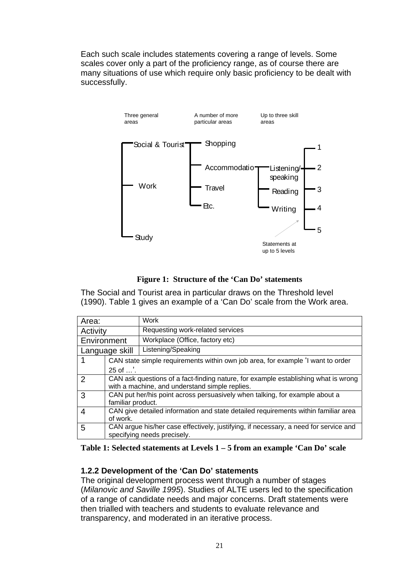Each such scale includes statements covering a range of levels. Some scales cover only a part of the proficiency range, as of course there are many situations of use which require only basic proficiency to be dealt with successfully.



#### **Figure 1: Structure of the 'Can Do' statements**

The Social and Tourist area in particular draws on the Threshold level (1990). Table 1 gives an example of a 'Can Do' scale from the Work area.

| Area:    | Work                                                                                 |                             |  |
|----------|--------------------------------------------------------------------------------------|-----------------------------|--|
| Activity | Requesting work-related services                                                     |                             |  |
|          | Workplace (Office, factory etc)<br>Environment                                       |                             |  |
|          | Language skill                                                                       | Listening/Speaking          |  |
|          | CAN state simple requirements within own job area, for example 'I want to order      |                             |  |
|          | $25$ of $$ .                                                                         |                             |  |
| 2        | CAN ask questions of a fact-finding nature, for example establishing what is wrong   |                             |  |
|          | with a machine, and understand simple replies.                                       |                             |  |
| 3        | CAN put her/his point across persuasively when talking, for example about a          |                             |  |
|          | familiar product.                                                                    |                             |  |
| 4        | CAN give detailed information and state detailed requirements within familiar area   |                             |  |
|          | of work.                                                                             |                             |  |
| 5        | CAN argue his/her case effectively, justifying, if necessary, a need for service and |                             |  |
|          |                                                                                      | specifying needs precisely. |  |

#### **Table 1: Selected statements at Levels 1 – 5 from an example 'Can Do' scale**

#### **1.2.2 Development of the 'Can Do' statements**

The original development process went through a number of stages (*Milanovic and Saville 1995*). Studies of ALTE users led to the specification of a range of candidate needs and major concerns. Draft statements were then trialled with teachers and students to evaluate relevance and transparency, and moderated in an iterative process.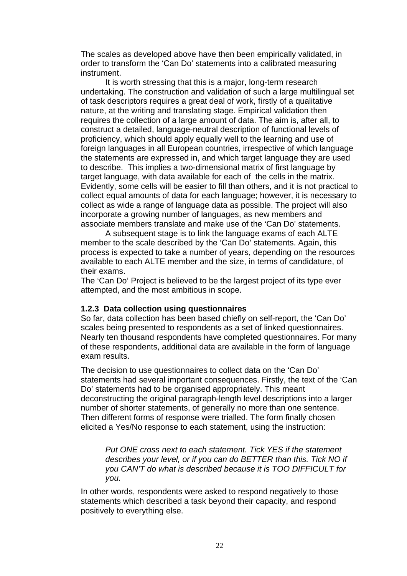The scales as developed above have then been empirically validated, in order to transform the 'Can Do' statements into a calibrated measuring instrument.

It is worth stressing that this is a major, long-term research undertaking. The construction and validation of such a large multilingual set of task descriptors requires a great deal of work, firstly of a qualitative nature, at the writing and translating stage. Empirical validation then requires the collection of a large amount of data. The aim is, after all, to construct a detailed, language-neutral description of functional levels of proficiency, which should apply equally well to the learning and use of foreign languages in all European countries, irrespective of which language the statements are expressed in, and which target language they are used to describe. This implies a two-dimensional matrix of first language by target language, with data available for each of the cells in the matrix. Evidently, some cells will be easier to fill than others, and it is not practical to collect equal amounts of data for each language; however, it is necessary to collect as wide a range of language data as possible. The project will also incorporate a growing number of languages, as new members and associate members translate and make use of the 'Can Do' statements.

A subsequent stage is to link the language exams of each ALTE member to the scale described by the 'Can Do' statements. Again, this process is expected to take a number of years, depending on the resources available to each ALTE member and the size, in terms of candidature, of their exams.

The 'Can Do' Project is believed to be the largest project of its type ever attempted, and the most ambitious in scope.

#### **1.2.3 Data collection using questionnaires**

So far, data collection has been based chiefly on self-report, the 'Can Do' scales being presented to respondents as a set of linked questionnaires. Nearly ten thousand respondents have completed questionnaires. For many of these respondents, additional data are available in the form of language exam results.

The decision to use questionnaires to collect data on the 'Can Do' statements had several important consequences. Firstly, the text of the 'Can Do' statements had to be organised appropriately. This meant deconstructing the original paragraph-length level descriptions into a larger number of shorter statements, of generally no more than one sentence. Then different forms of response were trialled. The form finally chosen elicited a Yes/No response to each statement, using the instruction:

*Put ONE cross next to each statement. Tick YES if the statement describes your level, or if you can do BETTER than this. Tick NO if you CAN'T do what is described because it is TOO DIFFICULT for you.* 

In other words, respondents were asked to respond negatively to those statements which described a task beyond their capacity, and respond positively to everything else.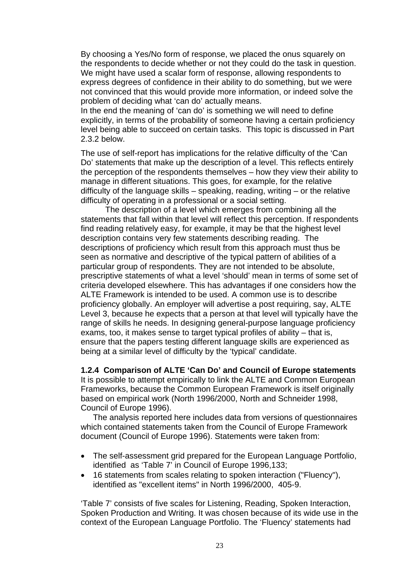By choosing a Yes/No form of response, we placed the onus squarely on the respondents to decide whether or not they could do the task in question. We might have used a scalar form of response, allowing respondents to express degrees of confidence in their ability to do something, but we were not convinced that this would provide more information, or indeed solve the problem of deciding what 'can do' actually means.

In the end the meaning of 'can do' is something we will need to define explicitly, in terms of the probability of someone having a certain proficiency level being able to succeed on certain tasks. This topic is discussed in Part 2.3.2 below.

The use of self-report has implications for the relative difficulty of the 'Can Do' statements that make up the description of a level. This reflects entirely the perception of the respondents themselves – how they view their ability to manage in different situations. This goes, for example, for the relative difficulty of the language skills – speaking, reading, writing – or the relative difficulty of operating in a professional or a social setting.

The description of a level which emerges from combining all the statements that fall within that level will reflect this perception. If respondents find reading relatively easy, for example, it may be that the highest level description contains very few statements describing reading. The descriptions of proficiency which result from this approach must thus be seen as normative and descriptive of the typical pattern of abilities of a particular group of respondents. They are not intended to be absolute, prescriptive statements of what a level 'should' mean in terms of some set of criteria developed elsewhere. This has advantages if one considers how the ALTE Framework is intended to be used. A common use is to describe proficiency globally. An employer will advertise a post requiring, say, ALTE Level 3, because he expects that a person at that level will typically have the range of skills he needs. In designing general-purpose language proficiency exams, too, it makes sense to target typical profiles of ability – that is, ensure that the papers testing different language skills are experienced as being at a similar level of difficulty by the 'typical' candidate.

#### **1.2.4 Comparison of ALTE 'Can Do' and Council of Europe statements**

It is possible to attempt empirically to link the ALTE and Common European Frameworks, because the Common European Framework is itself originally based on empirical work (North 1996/2000, North and Schneider 1998, Council of Europe 1996).

The analysis reported here includes data from versions of questionnaires which contained statements taken from the Council of Europe Framework document (Council of Europe 1996). Statements were taken from:

- The self-assessment grid prepared for the European Language Portfolio, identified as 'Table 7' in Council of Europe 1996,133;
- 16 statements from scales relating to spoken interaction ("Fluency"), identified as "excellent items" in North 1996/2000, 405-9.

'Table 7' consists of five scales for Listening, Reading, Spoken Interaction, Spoken Production and Writing. It was chosen because of its wide use in the context of the European Language Portfolio. The 'Fluency' statements had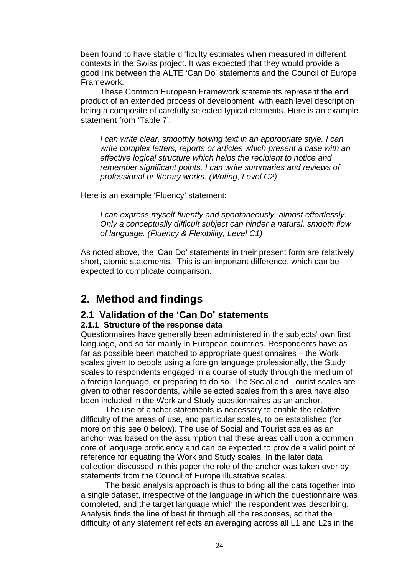been found to have stable difficulty estimates when measured in different contexts in the Swiss project. It was expected that they would provide a good link between the ALTE 'Can Do' statements and the Council of Europe Framework.

These Common European Framework statements represent the end product of an extended process of development, with each level description being a composite of carefully selected typical elements. Here is an example statement from 'Table 7':

*I can write clear, smoothly flowing text in an appropriate style. I can write complex letters, reports or articles which present a case with an effective logical structure which helps the recipient to notice and remember significant points. I can write summaries and reviews of professional or literary works. (Writing, Level C2)* 

Here is an example 'Fluency' statement:

*I can express myself fluently and spontaneously, almost effortlessly. Only a conceptually difficult subject can hinder a natural, smooth flow of language. (Fluency & Flexibility, Level C1)* 

As noted above, the 'Can Do' statements in their present form are relatively short, atomic statements. This is an important difference, which can be expected to complicate comparison.

## **2. Method and findings**

## **2.1 Validation of the 'Can Do' statements**

#### **2.1.1 Structure of the response data**

Questionnaires have generally been administered in the subjects' own first language, and so far mainly in European countries. Respondents have as far as possible been matched to appropriate questionnaires – the Work scales given to people using a foreign language professionally, the Study scales to respondents engaged in a course of study through the medium of a foreign language, or preparing to do so. The Social and Tourist scales are given to other respondents, while selected scales from this area have also been included in the Work and Study questionnaires as an anchor.

The use of anchor statements is necessary to enable the relative difficulty of the areas of use, and particular scales, to be established (for more on this see 0 below). The use of Social and Tourist scales as an anchor was based on the assumption that these areas call upon a common core of language proficiency and can be expected to provide a valid point of reference for equating the Work and Study scales. In the later data collection discussed in this paper the role of the anchor was taken over by statements from the Council of Europe illustrative scales.

The basic analysis approach is thus to bring all the data together into a single dataset, irrespective of the language in which the questionnaire was completed, and the target language which the respondent was describing. Analysis finds the line of best fit through all the responses, so that the difficulty of any statement reflects an averaging across all L1 and L2s in the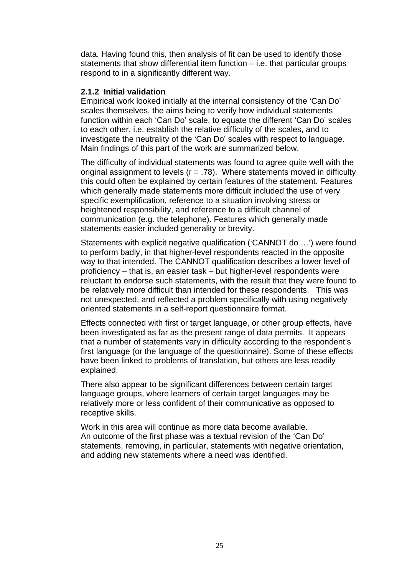data. Having found this, then analysis of fit can be used to identify those statements that show differential item function – i.e. that particular groups respond to in a significantly different way.

#### **2.1.2 Initial validation**

Empirical work looked initially at the internal consistency of the 'Can Do' scales themselves, the aims being to verify how individual statements function within each 'Can Do' scale, to equate the different 'Can Do' scales to each other, i.e. establish the relative difficulty of the scales, and to investigate the neutrality of the 'Can Do' scales with respect to language. Main findings of this part of the work are summarized below.

The difficulty of individual statements was found to agree quite well with the original assignment to levels  $(r = .78)$ . Where statements moved in difficulty this could often be explained by certain features of the statement. Features which generally made statements more difficult included the use of very specific exemplification, reference to a situation involving stress or heightened responsibility, and reference to a difficult channel of communication (e.g. the telephone). Features which generally made statements easier included generality or brevity.

Statements with explicit negative qualification ('CANNOT do …') were found to perform badly, in that higher-level respondents reacted in the opposite way to that intended. The CANNOT qualification describes a lower level of proficiency – that is, an easier task – but higher-level respondents were reluctant to endorse such statements, with the result that they were found to be relatively more difficult than intended for these respondents. This was not unexpected, and reflected a problem specifically with using negatively oriented statements in a self-report questionnaire format.

Effects connected with first or target language, or other group effects, have been investigated as far as the present range of data permits. It appears that a number of statements vary in difficulty according to the respondent's first language (or the language of the questionnaire). Some of these effects have been linked to problems of translation, but others are less readily explained.

There also appear to be significant differences between certain target language groups, where learners of certain target languages may be relatively more or less confident of their communicative as opposed to receptive skills.

Work in this area will continue as more data become available. An outcome of the first phase was a textual revision of the 'Can Do' statements, removing, in particular, statements with negative orientation, and adding new statements where a need was identified.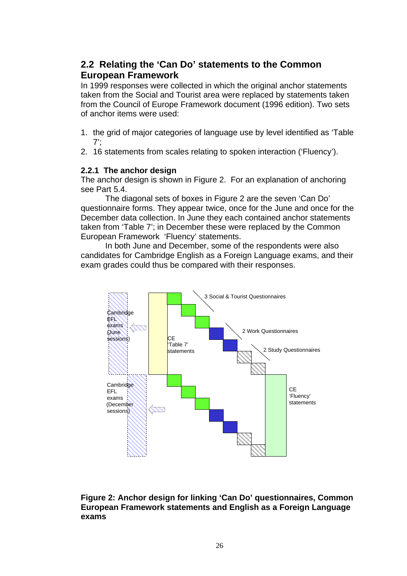## **2.2 Relating the 'Can Do' statements to the Common European Framework**

In 1999 responses were collected in which the original anchor statements taken from the Social and Tourist area were replaced by statements taken from the Council of Europe Framework document (1996 edition). Two sets of anchor items were used:

- 1. the grid of major categories of language use by level identified as 'Table 7';
- 2. 16 statements from scales relating to spoken interaction ('Fluency').

#### **2.2.1 The anchor design**

The anchor design is shown in Figure 2. For an explanation of anchoring see Part 5.4.

The diagonal sets of boxes in Figure 2 are the seven 'Can Do' questionnaire forms. They appear twice, once for the June and once for the December data collection. In June they each contained anchor statements taken from 'Table 7'; in December these were replaced by the Common European Framework 'Fluency' statements.

In both June and December, some of the respondents were also candidates for Cambridge English as a Foreign Language exams, and their exam grades could thus be compared with their responses.



#### **Figure 2: Anchor design for linking 'Can Do' questionnaires, Common European Framework statements and English as a Foreign Language exams**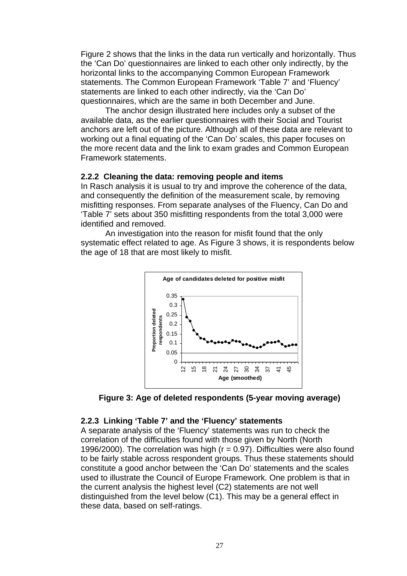Figure 2 shows that the links in the data run vertically and horizontally. Thus the 'Can Do' questionnaires are linked to each other only indirectly, by the horizontal links to the accompanying Common European Framework statements. The Common European Framework 'Table 7' and 'Fluency' statements are linked to each other indirectly, via the 'Can Do' questionnaires, which are the same in both December and June.

The anchor design illustrated here includes only a subset of the available data, as the earlier questionnaires with their Social and Tourist anchors are left out of the picture. Although all of these data are relevant to working out a final equating of the 'Can Do' scales, this paper focuses on the more recent data and the link to exam grades and Common European Framework statements.

#### **2.2.2 Cleaning the data: removing people and items**

In Rasch analysis it is usual to try and improve the coherence of the data, and consequently the definition of the measurement scale, by removing misfitting responses. From separate analyses of the Fluency, Can Do and 'Table 7' sets about 350 misfitting respondents from the total 3,000 were identified and removed.

An investigation into the reason for misfit found that the only systematic effect related to age. As Figure 3 shows, it is respondents below the age of 18 that are most likely to misfit.



**Figure 3: Age of deleted respondents (5-year moving average)** 

#### **2.2.3 Linking 'Table 7' and the 'Fluency' statements**

A separate analysis of the 'Fluency' statements was run to check the correlation of the difficulties found with those given by North (North 1996/2000). The correlation was high ( $r = 0.97$ ). Difficulties were also found to be fairly stable across respondent groups. Thus these statements should constitute a good anchor between the 'Can Do' statements and the scales used to illustrate the Council of Europe Framework. One problem is that in the current analysis the highest level (C2) statements are not well distinguished from the level below (C1). This may be a general effect in these data, based on self-ratings.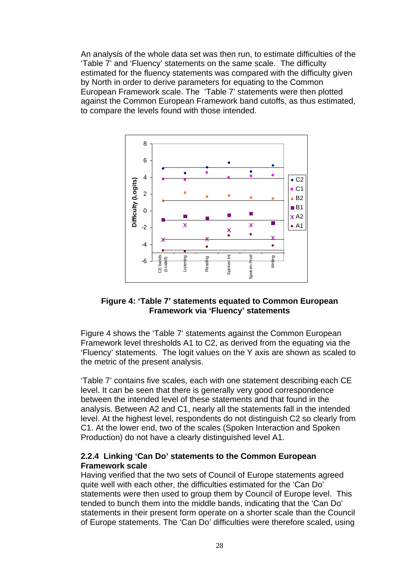An analysis of the whole data set was then run, to estimate difficulties of the 'Table 7' and 'Fluency' statements on the same scale. The difficulty estimated for the fluency statements was compared with the difficulty given by North in order to derive parameters for equating to the Common European Framework scale. The 'Table 7' statements were then plotted against the Common European Framework band cutoffs, as thus estimated, to compare the levels found with those intended.



#### **Figure 4: 'Table 7' statements equated to Common European Framework via 'Fluency' statements**

Figure 4 shows the 'Table 7' statements against the Common European Framework level thresholds A1 to C2, as derived from the equating via the 'Fluency' statements. The logit values on the Y axis are shown as scaled to the metric of the present analysis.

'Table 7' contains five scales, each with one statement describing each CE level. It can be seen that there is generally very good correspondence between the intended level of these statements and that found in the analysis. Between A2 and C1, nearly all the statements fall in the intended level. At the highest level, respondents do not distinguish C2 so clearly from C1. At the lower end, two of the scales (Spoken Interaction and Spoken Production) do not have a clearly distinguished level A1.

#### **2.2.4 Linking 'Can Do' statements to the Common European Framework scale**

Having verified that the two sets of Council of Europe statements agreed quite well with each other, the difficulties estimated for the 'Can Do' statements were then used to group them by Council of Europe level. This tended to bunch them into the middle bands, indicating that the 'Can Do' statements in their present form operate on a shorter scale than the Council of Europe statements. The 'Can Do' difficulties were therefore scaled, using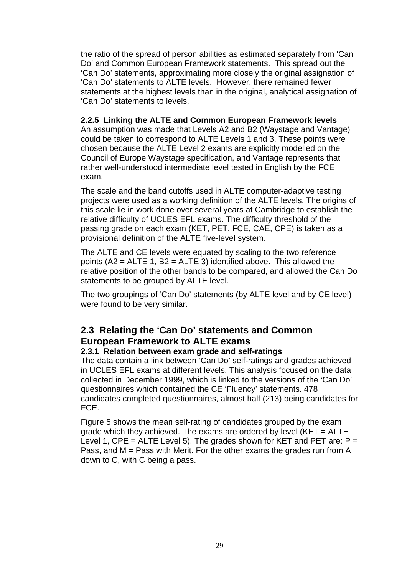the ratio of the spread of person abilities as estimated separately from 'Can Do' and Common European Framework statements. This spread out the 'Can Do' statements, approximating more closely the original assignation of 'Can Do' statements to ALTE levels. However, there remained fewer statements at the highest levels than in the original, analytical assignation of 'Can Do' statements to levels.

#### **2.2.5 Linking the ALTE and Common European Framework levels**

An assumption was made that Levels A2 and B2 (Waystage and Vantage) could be taken to correspond to ALTE Levels 1 and 3. These points were chosen because the ALTE Level 2 exams are explicitly modelled on the Council of Europe Waystage specification, and Vantage represents that rather well-understood intermediate level tested in English by the FCE exam.

The scale and the band cutoffs used in ALTE computer-adaptive testing projects were used as a working definition of the ALTE levels. The origins of this scale lie in work done over several years at Cambridge to establish the relative difficulty of UCLES EFL exams. The difficulty threshold of the passing grade on each exam (KET, PET, FCE, CAE, CPE) is taken as a provisional definition of the ALTE five-level system.

The ALTE and CE levels were equated by scaling to the two reference points ( $A2 = ALTE$  1,  $B2 = ALTE$  3) identified above. This allowed the relative position of the other bands to be compared, and allowed the Can Do statements to be grouped by ALTE level.

The two groupings of 'Can Do' statements (by ALTE level and by CE level) were found to be very similar.

## **2.3 Relating the 'Can Do' statements and Common European Framework to ALTE exams**

#### **2.3.1 Relation between exam grade and self-ratings**

The data contain a link between 'Can Do' self-ratings and grades achieved in UCLES EFL exams at different levels. This analysis focused on the data collected in December 1999, which is linked to the versions of the 'Can Do' questionnaires which contained the CE 'Fluency' statements. 478 candidates completed questionnaires, almost half (213) being candidates for FCE.

Figure 5 shows the mean self-rating of candidates grouped by the exam grade which they achieved. The exams are ordered by level ( $KET = ALTE$ ) Level 1, CPE = ALTE Level 5). The grades shown for KET and PET are:  $P =$ Pass, and M = Pass with Merit. For the other exams the grades run from A down to C, with C being a pass.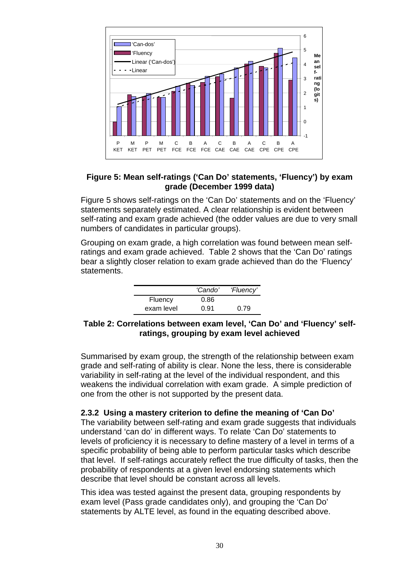

#### **Figure 5: Mean self-ratings ('Can Do' statements, 'Fluency') by exam grade (December 1999 data)**

Figure 5 shows self-ratings on the 'Can Do' statements and on the 'Fluency' statements separately estimated. A clear relationship is evident between self-rating and exam grade achieved (the odder values are due to very small numbers of candidates in particular groups).

Grouping on exam grade, a high correlation was found between mean selfratings and exam grade achieved. Table 2 shows that the 'Can Do' ratings bear a slightly closer relation to exam grade achieved than do the 'Fluency' statements.

|            | 'Cando' | 'Fluency' |
|------------|---------|-----------|
| Fluency    | 0.86    |           |
| exam level | 0.91    | 0.79      |

#### **Table 2: Correlations between exam level, 'Can Do' and 'Fluency' selfratings, grouping by exam level achieved**

Summarised by exam group, the strength of the relationship between exam grade and self-rating of ability is clear. None the less, there is considerable variability in self-rating at the level of the individual respondent, and this weakens the individual correlation with exam grade. A simple prediction of one from the other is not supported by the present data.

#### **2.3.2 Using a mastery criterion to define the meaning of 'Can Do'**

The variability between self-rating and exam grade suggests that individuals understand 'can do' in different ways. To relate 'Can Do' statements to levels of proficiency it is necessary to define mastery of a level in terms of a specific probability of being able to perform particular tasks which describe that level. If self-ratings accurately reflect the true difficulty of tasks, then the probability of respondents at a given level endorsing statements which describe that level should be constant across all levels.

This idea was tested against the present data, grouping respondents by exam level (Pass grade candidates only), and grouping the 'Can Do' statements by ALTE level, as found in the equating described above.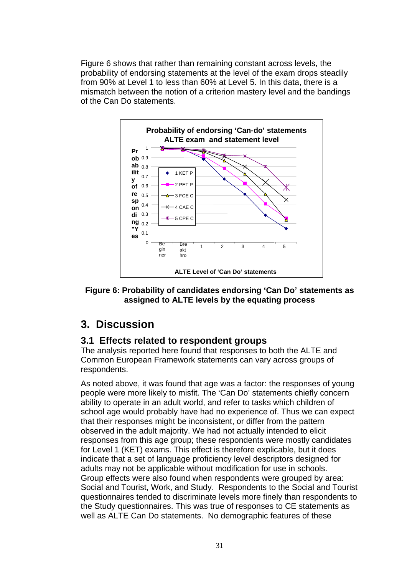Figure 6 shows that rather than remaining constant across levels, the probability of endorsing statements at the level of the exam drops steadily from 90% at Level 1 to less than 60% at Level 5. In this data, there is a mismatch between the notion of a criterion mastery level and the bandings of the Can Do statements.



**Figure 6: Probability of candidates endorsing 'Can Do' statements as assigned to ALTE levels by the equating process** 

## **3. Discussion**

## **3.1 Effects related to respondent groups**

The analysis reported here found that responses to both the ALTE and Common European Framework statements can vary across groups of respondents.

As noted above, it was found that age was a factor: the responses of young people were more likely to misfit. The 'Can Do' statements chiefly concern ability to operate in an adult world, and refer to tasks which children of school age would probably have had no experience of. Thus we can expect that their responses might be inconsistent, or differ from the pattern observed in the adult majority. We had not actually intended to elicit responses from this age group; these respondents were mostly candidates for Level 1 (KET) exams. This effect is therefore explicable, but it does indicate that a set of language proficiency level descriptors designed for adults may not be applicable without modification for use in schools. Group effects were also found when respondents were grouped by area: Social and Tourist, Work, and Study. Respondents to the Social and Tourist questionnaires tended to discriminate levels more finely than respondents to the Study questionnaires. This was true of responses to CE statements as well as ALTE Can Do statements. No demographic features of these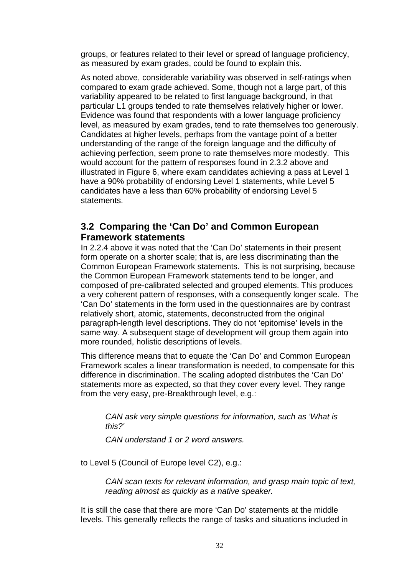groups, or features related to their level or spread of language proficiency, as measured by exam grades, could be found to explain this.

As noted above, considerable variability was observed in self-ratings when compared to exam grade achieved. Some, though not a large part, of this variability appeared to be related to first language background, in that particular L1 groups tended to rate themselves relatively higher or lower. Evidence was found that respondents with a lower language proficiency level, as measured by exam grades, tend to rate themselves too generously. Candidates at higher levels, perhaps from the vantage point of a better understanding of the range of the foreign language and the difficulty of achieving perfection, seem prone to rate themselves more modestly. This would account for the pattern of responses found in 2.3.2 above and illustrated in Figure 6, where exam candidates achieving a pass at Level 1 have a 90% probability of endorsing Level 1 statements, while Level 5 candidates have a less than 60% probability of endorsing Level 5 statements.

## **3.2 Comparing the 'Can Do' and Common European Framework statements**

In 2.2.4 above it was noted that the 'Can Do' statements in their present form operate on a shorter scale; that is, are less discriminating than the Common European Framework statements. This is not surprising, because the Common European Framework statements tend to be longer, and composed of pre-calibrated selected and grouped elements. This produces a very coherent pattern of responses, with a consequently longer scale. The 'Can Do' statements in the form used in the questionnaires are by contrast relatively short, atomic, statements, deconstructed from the original paragraph-length level descriptions. They do not 'epitomise' levels in the same way. A subsequent stage of development will group them again into more rounded, holistic descriptions of levels.

This difference means that to equate the 'Can Do' and Common European Framework scales a linear transformation is needed, to compensate for this difference in discrimination. The scaling adopted distributes the 'Can Do' statements more as expected, so that they cover every level. They range from the very easy, pre-Breakthrough level, e.g.:

*CAN ask very simple questions for information, such as 'What is this?'* 

*CAN understand 1 or 2 word answers.* 

to Level 5 (Council of Europe level C2), e.g.:

*CAN scan texts for relevant information, and grasp main topic of text, reading almost as quickly as a native speaker.* 

It is still the case that there are more 'Can Do' statements at the middle levels. This generally reflects the range of tasks and situations included in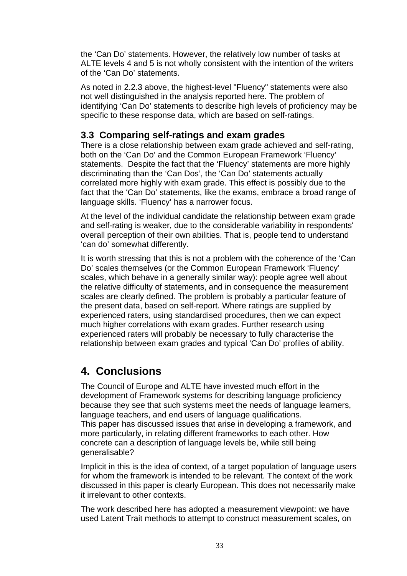the 'Can Do' statements. However, the relatively low number of tasks at ALTE levels 4 and 5 is not wholly consistent with the intention of the writers of the 'Can Do' statements.

As noted in 2.2.3 above, the highest-level "Fluency" statements were also not well distinguished in the analysis reported here. The problem of identifying 'Can Do' statements to describe high levels of proficiency may be specific to these response data, which are based on self-ratings.

## **3.3 Comparing self-ratings and exam grades**

There is a close relationship between exam grade achieved and self-rating, both on the 'Can Do' and the Common European Framework 'Fluency' statements. Despite the fact that the 'Fluency' statements are more highly discriminating than the 'Can Dos', the 'Can Do' statements actually correlated more highly with exam grade. This effect is possibly due to the fact that the 'Can Do' statements, like the exams, embrace a broad range of language skills. 'Fluency' has a narrower focus.

At the level of the individual candidate the relationship between exam grade and self-rating is weaker, due to the considerable variability in respondents' overall perception of their own abilities. That is, people tend to understand 'can do' somewhat differently.

It is worth stressing that this is not a problem with the coherence of the 'Can Do' scales themselves (or the Common European Framework 'Fluency' scales, which behave in a generally similar way): people agree well about the relative difficulty of statements, and in consequence the measurement scales are clearly defined. The problem is probably a particular feature of the present data, based on self-report. Where ratings are supplied by experienced raters, using standardised procedures, then we can expect much higher correlations with exam grades. Further research using experienced raters will probably be necessary to fully characterise the relationship between exam grades and typical 'Can Do' profiles of ability.

## **4. Conclusions**

The Council of Europe and ALTE have invested much effort in the development of Framework systems for describing language proficiency because they see that such systems meet the needs of language learners, language teachers, and end users of language qualifications. This paper has discussed issues that arise in developing a framework, and more particularly, in relating different frameworks to each other. How concrete can a description of language levels be, while still being generalisable?

Implicit in this is the idea of context, of a target population of language users for whom the framework is intended to be relevant. The context of the work discussed in this paper is clearly European. This does not necessarily make it irrelevant to other contexts.

The work described here has adopted a measurement viewpoint: we have used Latent Trait methods to attempt to construct measurement scales, on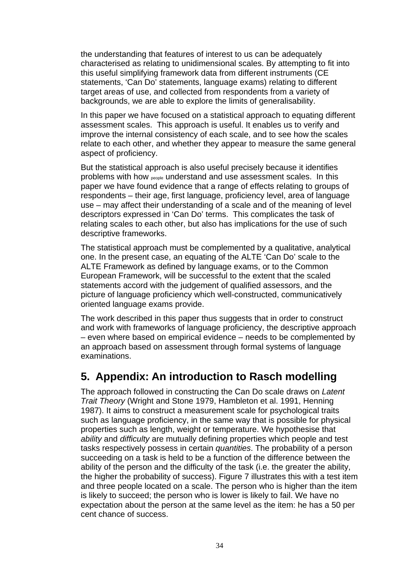the understanding that features of interest to us can be adequately characterised as relating to unidimensional scales. By attempting to fit into this useful simplifying framework data from different instruments (CE statements, 'Can Do' statements, language exams) relating to different target areas of use, and collected from respondents from a variety of backgrounds, we are able to explore the limits of generalisability.

In this paper we have focused on a statistical approach to equating different assessment scales. This approach is useful. It enables us to verify and improve the internal consistency of each scale, and to see how the scales relate to each other, and whether they appear to measure the same general aspect of proficiency.

But the statistical approach is also useful precisely because it identifies problems with how people understand and use assessment scales. In this paper we have found evidence that a range of effects relating to groups of respondents – their age, first language, proficiency level, area of language use – may affect their understanding of a scale and of the meaning of level descriptors expressed in 'Can Do' terms. This complicates the task of relating scales to each other, but also has implications for the use of such descriptive frameworks.

The statistical approach must be complemented by a qualitative, analytical one. In the present case, an equating of the ALTE 'Can Do' scale to the ALTE Framework as defined by language exams, or to the Common European Framework, will be successful to the extent that the scaled statements accord with the judgement of qualified assessors, and the picture of language proficiency which well-constructed, communicatively oriented language exams provide.

The work described in this paper thus suggests that in order to construct and work with frameworks of language proficiency, the descriptive approach – even where based on empirical evidence – needs to be complemented by an approach based on assessment through formal systems of language examinations.

## **5. Appendix: An introduction to Rasch modelling**

The approach followed in constructing the Can Do scale draws on *Latent Trait Theory* (Wright and Stone 1979, Hambleton et al. 1991, Henning 1987). It aims to construct a measurement scale for psychological traits such as language proficiency, in the same way that is possible for physical properties such as length, weight or temperature. We hypothesise that *ability* and *difficulty* are mutually defining properties which people and test tasks respectively possess in certain *quantities*. The probability of a person succeeding on a task is held to be a function of the difference between the ability of the person and the difficulty of the task (i.e. the greater the ability, the higher the probability of success). Figure 7 illustrates this with a test item and three people located on a scale. The person who is higher than the item is likely to succeed; the person who is lower is likely to fail. We have no expectation about the person at the same level as the item: he has a 50 per cent chance of success.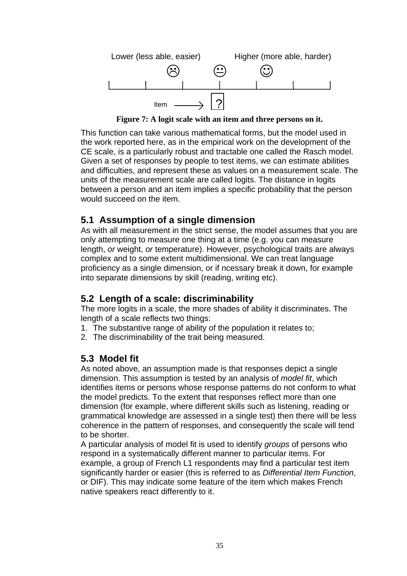

**Figure 7: A logit scale with an item and three persons on it.** 

This function can take various mathematical forms, but the model used in the work reported here, as in the empirical work on the development of the CE scale, is a particularly robust and tractable one called the Rasch model. Given a set of responses by people to test items, we can estimate abilities and difficulties, and represent these as values on a measurement scale. The units of the measurement scale are called logits. The distance in logits between a person and an item implies a specific probability that the person would succeed on the item.

## **5.1 Assumption of a single dimension**

As with all measurement in the strict sense, the model assumes that you are only attempting to measure one thing at a time (e.g. you can measure length, *or* weight, *or* temperature). However, psychological traits are always complex and to some extent multidimensional. We can treat language proficiency as a single dimension, or if ncessary break it down, for example into separate dimensions by skill (reading, writing etc).

## **5.2 Length of a scale: discriminability**

The more logits in a scale, the more shades of ability it discriminates. The length of a scale reflects two things:

- 1. The substantive range of ability of the population it relates to;
- 2. The discriminability of the trait being measured.

## **5.3 Model fit**

As noted above, an assumption made is that responses depict a single dimension. This assumption is tested by an analysis of *model fit*, which identifies items or persons whose response patterns do not conform to what the model predicts. To the extent that responses reflect more than one dimension (for example, where different skills such as listening, reading or grammatical knowledge are assessed in a single test) then there will be less coherence in the pattern of responses, and consequently the scale will tend to be shorter.

A particular analysis of model fit is used to identify *groups* of persons who respond in a systematically different manner to particular items. For example, a group of French L1 respondents may find a particular test item significantly harder or easier (this is referred to as *Differential Item Function*, or DIF). This may indicate some feature of the item which makes French native speakers react differently to it.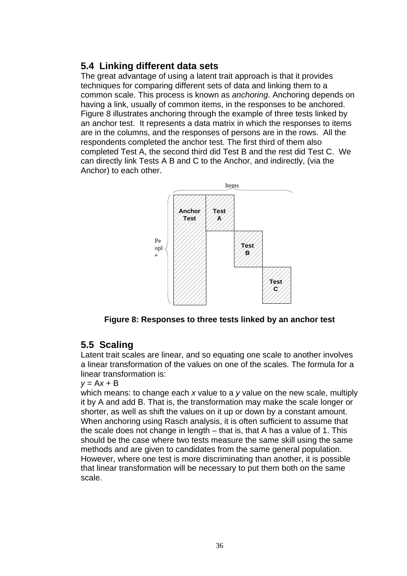## **5.4 Linking different data sets**

The great advantage of using a latent trait approach is that it provides techniques for comparing different sets of data and linking them to a common scale. This process is known as *anchoring*. Anchoring depends on having a link, usually of common items, in the responses to be anchored. Figure 8 illustrates anchoring through the example of three tests linked by an anchor test. It represents a data matrix in which the responses to items are in the columns, and the responses of persons are in the rows. All the respondents completed the anchor test. The first third of them also completed Test A, the second third did Test B and the rest did Test C. We can directly link Tests A B and C to the Anchor, and indirectly, (via the Anchor) to each other.



**Figure 8: Responses to three tests linked by an anchor test** 

## **5.5 Scaling**

Latent trait scales are linear, and so equating one scale to another involves a linear transformation of the values on one of the scales. The formula for a linear transformation is:

#### *y* = A*x* + B

which means: to change each *x* value to a *y* value on the new scale, multiply it by A and add B. That is, the transformation may make the scale longer or shorter, as well as shift the values on it up or down by a constant amount. When anchoring using Rasch analysis, it is often sufficient to assume that the scale does not change in length – that is, that A has a value of 1. This should be the case where two tests measure the same skill using the same methods and are given to candidates from the same general population. However, where one test is more discriminating than another, it is possible that linear transformation will be necessary to put them both on the same scale.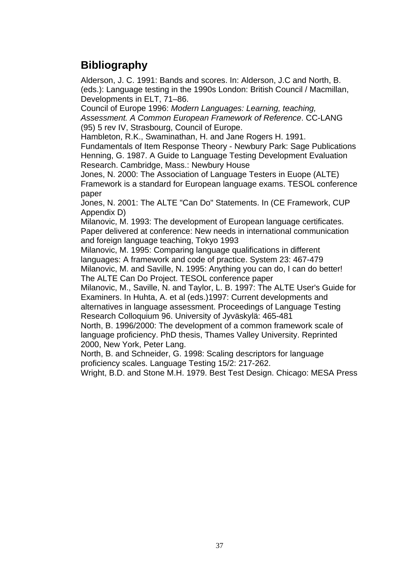## **Bibliography**

Alderson, J. C. 1991: Bands and scores. In: Alderson, J.C and North, B. (eds.): Language testing in the 1990s London: British Council / Macmillan, Developments in ELT, 71–86.

Council of Europe 1996: *Modern Languages: Learning, teaching, Assessment. A Common European Framework of Reference*. CC-LANG (95) 5 rev IV, Strasbourg, Council of Europe.

Hambleton, R.K., Swaminathan, H. and Jane Rogers H. 1991.

Fundamentals of Item Response Theory - Newbury Park: Sage Publications Henning, G. 1987. A Guide to Language Testing Development Evaluation Research. Cambridge, Mass.: Newbury House

Jones, N. 2000: The Association of Language Testers in Euope (ALTE) Framework is a standard for European language exams. TESOL conference paper

Jones, N. 2001: The ALTE "Can Do" Statements. In (CE Framework, CUP Appendix D)

Milanovic, M. 1993: The development of European language certificates. Paper delivered at conference: New needs in international communication and foreign language teaching, Tokyo 1993

Milanovic, M. 1995: Comparing language qualifications in different languages: A framework and code of practice. System 23: 467-479

Milanovic, M. and Saville, N. 1995: Anything you can do, I can do better! The ALTE Can Do Project. TESOL conference paper

Milanovic, M., Saville, N. and Taylor, L. B. 1997: The ALTE User's Guide for Examiners. In Huhta, A. et al (eds.)1997: Current developments and alternatives in language assessment. Proceedings of Language Testing Research Colloquium 96. University of Jyväskylä: 465-481

North, B. 1996/2000: The development of a common framework scale of language proficiency. PhD thesis, Thames Valley University. Reprinted 2000, New York, Peter Lang.

North, B. and Schneider, G. 1998: Scaling descriptors for language proficiency scales. Language Testing 15/2: 217-262.

Wright, B.D. and Stone M.H. 1979. Best Test Design. Chicago: MESA Press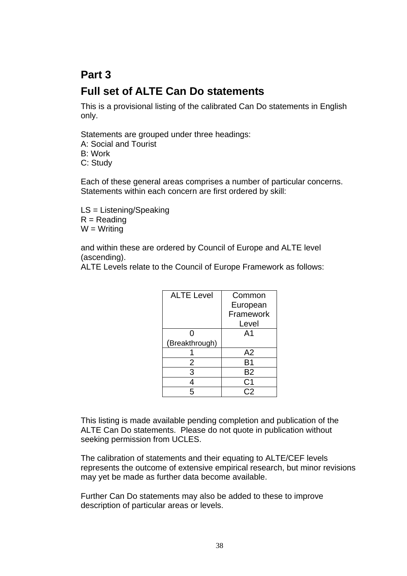## **Part 3 Full set of ALTE Can Do statements**

This is a provisional listing of the calibrated Can Do statements in English only.

Statements are grouped under three headings:

A: Social and Tourist

B: Work

C: Study

Each of these general areas comprises a number of particular concerns. Statements within each concern are first ordered by skill:

LS = Listening/Speaking  $R =$  Reading  $W = W$ riting

and within these are ordered by Council of Europe and ALTE level (ascending).

ALTE Levels relate to the Council of Europe Framework as follows:

| <b>ALTE Level</b> | Common         |  |
|-------------------|----------------|--|
|                   | European       |  |
|                   | Framework      |  |
|                   | Level          |  |
| $\mathbf 0$       | A <sub>1</sub> |  |
| (Breakthrough)    |                |  |
|                   | A2             |  |
| $\overline{2}$    | <b>B1</b>      |  |
| 3                 | B <sub>2</sub> |  |
| 4                 | C <sub>1</sub> |  |
| 5                 | C2             |  |

This listing is made available pending completion and publication of the ALTE Can Do statements. Please do not quote in publication without seeking permission from UCLES.

The calibration of statements and their equating to ALTE/CEF levels represents the outcome of extensive empirical research, but minor revisions may yet be made as further data become available.

Further Can Do statements may also be added to these to improve description of particular areas or levels.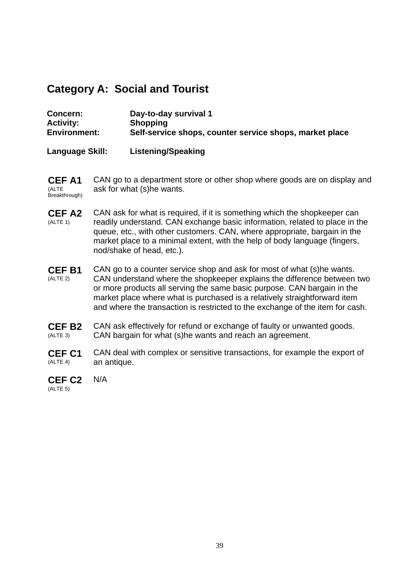| <b>Concern:</b>     | Day-to-day survival 1                                   |
|---------------------|---------------------------------------------------------|
| <b>Activity:</b>    | <b>Shopping</b>                                         |
| <b>Environment:</b> | Self-service shops, counter service shops, market place |

**Language Skill: Listening/Speaking** 

**CEF A1**  (ALTE Breakthrough) CAN go to a department store or other shop where goods are on display and ask for what (s)he wants.

- **CEF A2**  (ALTE 1) CAN ask for what is required, if it is something which the shopkeeper can readily understand. CAN exchange basic information, related to place in the queue, etc., with other customers. CAN, where appropriate, bargain in the market place to a minimal extent, with the help of body language (fingers, nod/shake of head, etc.).
- **CEF B1**  (ALTE 2) CAN go to a counter service shop and ask for most of what (s)he wants. CAN understand where the shopkeeper explains the difference between two or more products all serving the same basic purpose. CAN bargain in the market place where what is purchased is a relatively straightforward item and where the transaction is restricted to the exchange of the item for cash.
- **CEF B2**  (ALTE 3) CAN ask effectively for refund or exchange of faulty or unwanted goods. CAN bargain for what (s)he wants and reach an agreement.
- **CEF C1**  (ALTE 4) CAN deal with complex or sensitive transactions, for example the export of an antique.
- **CEF C2**  N/A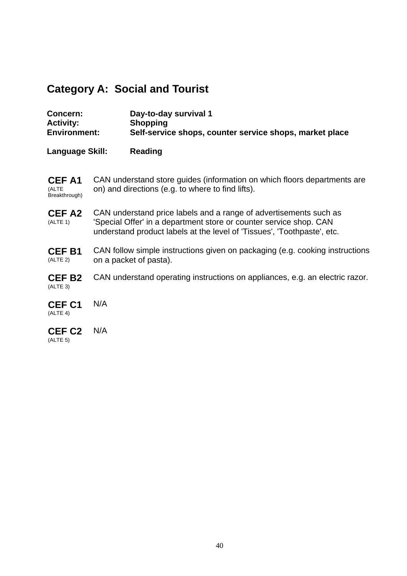| Concern:<br><b>Activity:</b><br><b>Environment:</b> | Day-to-day survival 1<br><b>Shopping</b><br>Self-service shops, counter service shops, market place                                                                                                                |  |  |
|-----------------------------------------------------|--------------------------------------------------------------------------------------------------------------------------------------------------------------------------------------------------------------------|--|--|
| Language Skill:                                     | <b>Reading</b>                                                                                                                                                                                                     |  |  |
| <b>CEFA1</b><br>(ALTE<br>Breakthrough)              | CAN understand store guides (information on which floors departments are<br>on) and directions (e.g. to where to find lifts).                                                                                      |  |  |
| <b>CEFA2</b><br>(ALTE 1)                            | CAN understand price labels and a range of advertisements such as<br>'Special Offer' in a department store or counter service shop. CAN<br>understand product labels at the level of 'Tissues', 'Toothpaste', etc. |  |  |
| <b>CEFB1</b><br>(ALTE 2)                            | CAN follow simple instructions given on packaging (e.g. cooking instructions<br>on a packet of pasta).                                                                                                             |  |  |
| CEF B <sub>2</sub><br>(ALTE 3)                      | CAN understand operating instructions on appliances, e.g. an electric razor.                                                                                                                                       |  |  |
| CEF <sub>C1</sub><br>(ALTE 4)                       | N/A                                                                                                                                                                                                                |  |  |
| CEF <sub>C2</sub><br>(ALTE 5)                       | N/A                                                                                                                                                                                                                |  |  |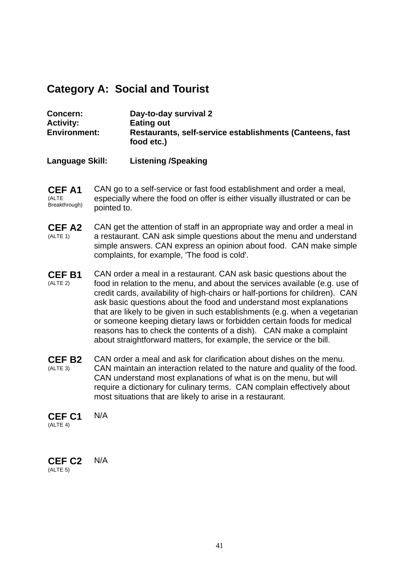| Concern:            | Day-to-day survival 2                                                  |
|---------------------|------------------------------------------------------------------------|
| <b>Activity:</b>    | <b>Eating out</b>                                                      |
| <b>Environment:</b> | Restaurants, self-service establishments (Canteens, fast<br>food etc.) |

**Language Skill: Listening /Speaking** 

- **CEF A1**  (ALTE Breakthrough) CAN go to a self-service or fast food establishment and order a meal, especially where the food on offer is either visually illustrated or can be pointed to.
- **CEF A2**  (ALTE 1) CAN get the attention of staff in an appropriate way and order a meal in a restaurant. CAN ask simple questions about the menu and understand simple answers. CAN express an opinion about food. CAN make simple complaints, for example, 'The food is cold'.
- **CEF B1**  (ALTE 2) CAN order a meal in a restaurant. CAN ask basic questions about the food in relation to the menu, and about the services available (e.g. use of credit cards, availability of high-chairs or half-portions for children). CAN ask basic questions about the food and understand most explanations that are likely to be given in such establishments (e.g. when a vegetarian or someone keeping dietary laws or forbidden certain foods for medical reasons has to check the contents of a dish). CAN make a complaint about straightforward matters, for example, the service or the bill.
- **CEF B2**  (ALTE 3) CAN order a meal and ask for clarification about dishes on the menu. CAN maintain an interaction related to the nature and quality of the food. CAN understand most explanations of what is on the menu, but will require a dictionary for culinary terms. CAN complain effectively about most situations that are likely to arise in a restaurant.

| CEF <sub>C1</sub> | N/A |
|-------------------|-----|
| (ALTE 4)          |     |

#### **CEF C2**  (ALTE 5) N/A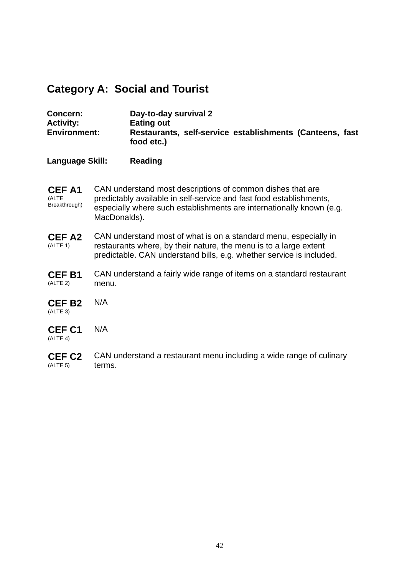| Concern:<br><b>Activity:</b><br><b>Environment:</b> |                                                                                                                                                                                                                           | Day-to-day survival 2<br><b>Eating out</b><br>Restaurants, self-service establishments (Canteens, fast<br>food etc.) |  |
|-----------------------------------------------------|---------------------------------------------------------------------------------------------------------------------------------------------------------------------------------------------------------------------------|----------------------------------------------------------------------------------------------------------------------|--|
| <b>Language Skill:</b>                              |                                                                                                                                                                                                                           | <b>Reading</b>                                                                                                       |  |
| <b>CEFA1</b><br>(ALTE<br>Breakthrough)              | CAN understand most descriptions of common dishes that are<br>predictably available in self-service and fast food establishments,<br>especially where such establishments are internationally known (e.g.<br>MacDonalds). |                                                                                                                      |  |
| <b>CEFA2</b><br>(ALTE 1)                            | CAN understand most of what is on a standard menu, especially in<br>restaurants where, by their nature, the menu is to a large extent<br>predictable. CAN understand bills, e.g. whether service is included.             |                                                                                                                      |  |
| CEF <sub>B1</sub><br>(ALTE 2)                       | CAN understand a fairly wide range of items on a standard restaurant<br>menu.                                                                                                                                             |                                                                                                                      |  |
| CEF <sub>B2</sub><br>(ALTE 3)                       | N/A                                                                                                                                                                                                                       |                                                                                                                      |  |
| CEF <sub>C1</sub><br>(ALTE 4)                       | N/A                                                                                                                                                                                                                       |                                                                                                                      |  |
| CEF C <sub>2</sub><br>(ALTE 5)                      | terms.                                                                                                                                                                                                                    | CAN understand a restaurant menu including a wide range of culinary                                                  |  |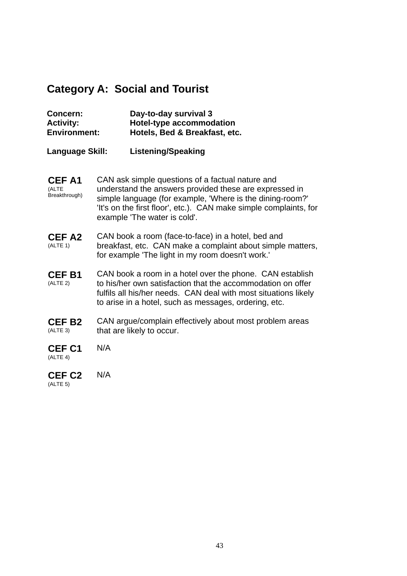| Concern:            | Day-to-day survival 3         |
|---------------------|-------------------------------|
| <b>Activity:</b>    | Hotel-type accommodation      |
| <b>Environment:</b> | Hotels, Bed & Breakfast, etc. |

**Language Skill: Listening/Speaking** 

**CEF A1**  (ALTE Breakthrough) CAN ask simple questions of a factual nature and understand the answers provided these are expressed in simple language (for example, 'Where is the dining-room?' 'It's on the first floor', etc.). CAN make simple complaints, for example 'The water is cold'.

#### **CEF A2**  (ALTE 1) CAN book a room (face-to-face) in a hotel, bed and breakfast, etc. CAN make a complaint about simple matters, for example 'The light in my room doesn't work.'

- **CEF B1**  (ALTE 2) CAN book a room in a hotel over the phone. CAN establish to his/her own satisfaction that the accommodation on offer fulfils all his/her needs. CAN deal with most situations likely to arise in a hotel, such as messages, ordering, etc.
- **CEF B2**  (ALTE 3) CAN argue/complain effectively about most problem areas that are likely to occur.

**CEF C1**  (ALTE 4) N/A

**CEF C2**  N/A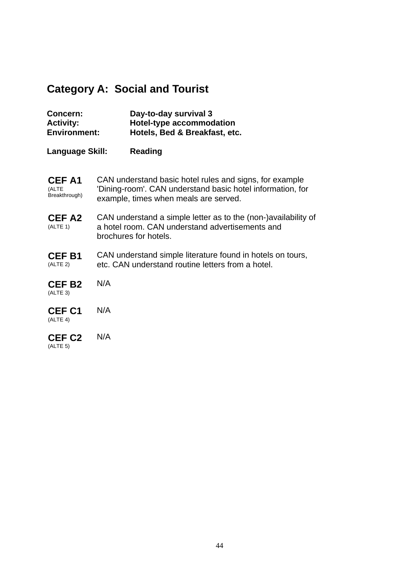| Concern:<br><b>Activity:</b><br><b>Environment:</b> | Day-to-day survival 3<br>Hotel-type accommodation<br>Hotels, Bed & Breakfast, etc.                                                                             |  |
|-----------------------------------------------------|----------------------------------------------------------------------------------------------------------------------------------------------------------------|--|
| Language Skill:                                     | Reading                                                                                                                                                        |  |
| <b>CEFA1</b><br>(ALTE<br>Breakthrough)              | CAN understand basic hotel rules and signs, for example<br>'Dining-room'. CAN understand basic hotel information, for<br>example, times when meals are served. |  |
| <b>CEFA2</b><br>(ALTE 1)                            | CAN understand a simple letter as to the (non-)availability of<br>a hotel room. CAN understand advertisements and<br>brochures for hotels.                     |  |
| <b>CEFB1</b><br>(ALTE 2)                            | CAN understand simple literature found in hotels on tours,<br>etc. CAN understand routine letters from a hotel.                                                |  |
| <b>CEFB2</b><br>(ALTE 3)                            | N/A                                                                                                                                                            |  |
| <b>CEF C1</b><br>(ALTE 4)                           | N/A                                                                                                                                                            |  |
| <b>CEF C2</b>                                       | N/A                                                                                                                                                            |  |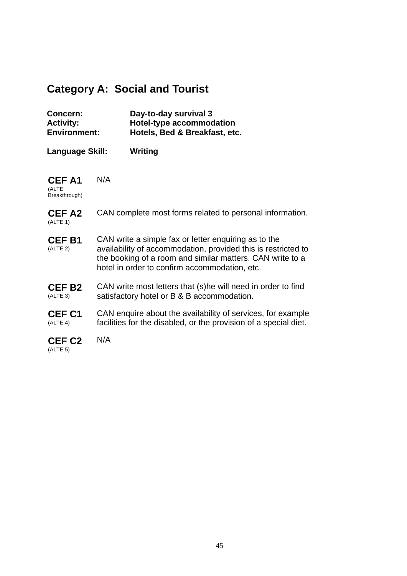| Concern:            | Day-to-day survival 3         |
|---------------------|-------------------------------|
| <b>Activity:</b>    | Hotel-type accommodation      |
| <b>Environment:</b> | Hotels, Bed & Breakfast, etc. |

### **Language Skill: Writing**

**CEF A1**  (ALTE N/A

Breakthrough)

- **CEF A2**  CAN complete most forms related to personal information.
- (ALTE 1)
- **CEF B1**  (ALTE 2) CAN write a simple fax or letter enquiring as to the availability of accommodation, provided this is restricted to the booking of a room and similar matters. CAN write to a hotel in order to confirm accommodation, etc.
- **CEF B2**  (ALTE 3) CAN write most letters that (s)he will need in order to find satisfactory hotel or B & B accommodation.

#### **CEF C1**  (ALTE 4) CAN enquire about the availability of services, for example facilities for the disabled, or the provision of a special diet.

#### **CEF C2**  N/A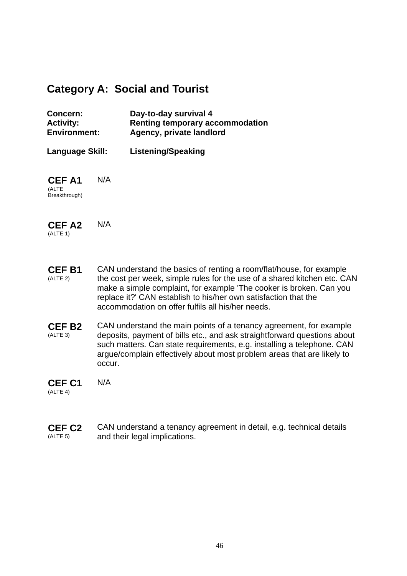| Concern:<br><b>Activity:</b><br><b>Environment:</b><br>Language Skill: |  | Day-to-day survival 4<br>Renting temporary accommodation<br>Agency, private landlord<br><b>Listening/Speaking</b> |  |
|------------------------------------------------------------------------|--|-------------------------------------------------------------------------------------------------------------------|--|
|                                                                        |  |                                                                                                                   |  |

(ALTE Breakthrough)

#### **CEF A2**  (ALTE 1) N/A

- **CEF B1**  (ALTE 2) CAN understand the basics of renting a room/flat/house, for example the cost per week, simple rules for the use of a shared kitchen etc. CAN make a simple complaint, for example 'The cooker is broken. Can you replace it?' CAN establish to his/her own satisfaction that the accommodation on offer fulfils all his/her needs.
- **CEF B2**  (ALTE 3) CAN understand the main points of a tenancy agreement, for example deposits, payment of bills etc., and ask straightforward questions about such matters. Can state requirements, e.g. installing a telephone. CAN argue/complain effectively about most problem areas that are likely to occur.

#### **CEF C1**  N/A

(ALTE 4)

**CEF C2**  (ALTE 5) CAN understand a tenancy agreement in detail, e.g. technical details and their legal implications.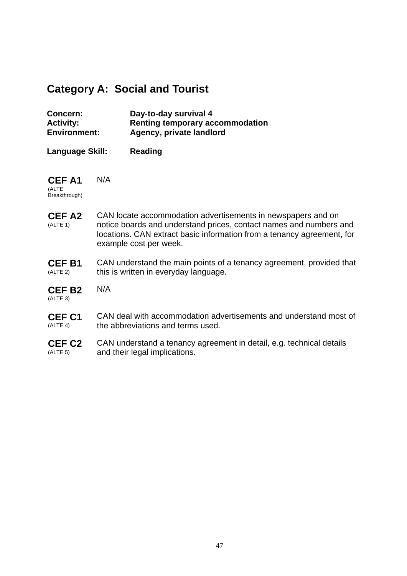| Concern:            | Day-to-day survival 4           |
|---------------------|---------------------------------|
| <b>Activity:</b>    | Renting temporary accommodation |
| <b>Environment:</b> | <b>Agency, private landlord</b> |

### **Language Skill: Reading**

| <b>CEFA1</b> | N/A |
|--------------|-----|
| (ALTE        |     |

Breakthrough)

**CEF A2**  (ALTE 1) CAN locate accommodation advertisements in newspapers and on notice boards and understand prices, contact names and numbers and locations. CAN extract basic information from a tenancy agreement, for example cost per week.

#### **CEF B1**  (ALTE 2) CAN understand the main points of a tenancy agreement, provided that this is written in everyday language.

**CEF B2**  N/A

(ALTE 3)

- **CEF C1**   $(ALTE 4)$ CAN deal with accommodation advertisements and understand most of the abbreviations and terms used.
- **CEF C2**   $(ALTE 5)$ CAN understand a tenancy agreement in detail, e.g. technical details and their legal implications.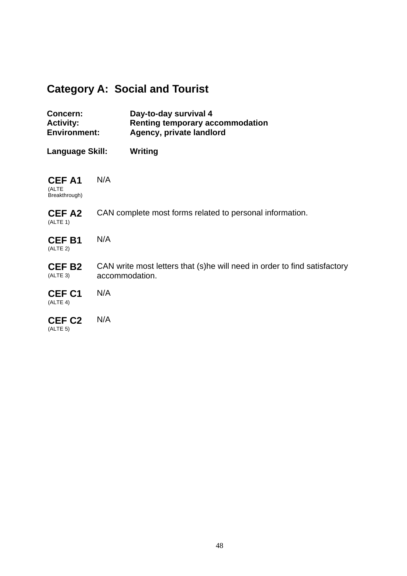| Concern:<br><b>Activity:</b><br><b>Environment:</b> | Day-to-day survival 4<br>Renting temporary accommodation<br>Agency, private landlord         |  |
|-----------------------------------------------------|----------------------------------------------------------------------------------------------|--|
| <b>Language Skill:</b>                              | <b>Writing</b>                                                                               |  |
| <b>CEFA1</b><br>(ALTE<br>Breakthrough)              | N/A                                                                                          |  |
| <b>CEFA2</b><br>(ALTE 1)                            | CAN complete most forms related to personal information.                                     |  |
| <b>CEFB1</b><br>(ALTE 2)                            | N/A                                                                                          |  |
| CEF <sub>B2</sub><br>(ALTE 3)                       | CAN write most letters that (s) he will need in order to find satisfactory<br>accommodation. |  |
| CEF C1<br>(ALTE 4)                                  | N/A                                                                                          |  |
| <b>CEF C2</b><br>(ALTE 5)                           | N/A                                                                                          |  |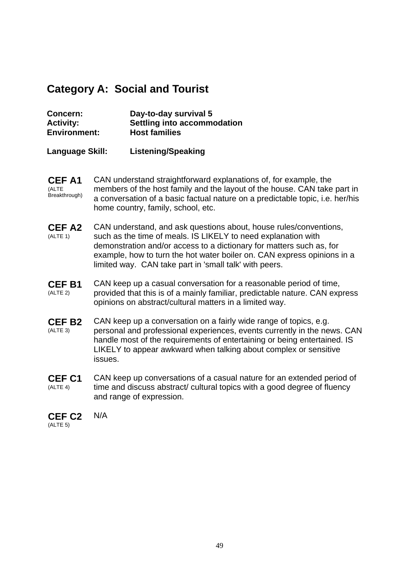| Concern:            | Day-to-day survival 5       |
|---------------------|-----------------------------|
| <b>Activity:</b>    | Settling into accommodation |
| <b>Environment:</b> | <b>Host families</b>        |

**Language Skill: Listening/Speaking** 

- **CEF A1**  (ALTE Breakthrough) CAN understand straightforward explanations of, for example, the members of the host family and the layout of the house. CAN take part in a conversation of a basic factual nature on a predictable topic, i.e. her/his home country, family, school, etc.
- **CEF A2**  (ALTE 1) CAN understand, and ask questions about, house rules/conventions, such as the time of meals. IS LIKELY to need explanation with demonstration and/or access to a dictionary for matters such as, for example, how to turn the hot water boiler on. CAN express opinions in a limited way. CAN take part in 'small talk' with peers.
- **CEF B1**  (ALTE 2) CAN keep up a casual conversation for a reasonable period of time, provided that this is of a mainly familiar, predictable nature. CAN express opinions on abstract/cultural matters in a limited way.
- **CEF B2**  (ALTE 3) CAN keep up a conversation on a fairly wide range of topics, e.g. personal and professional experiences, events currently in the news. CAN handle most of the requirements of entertaining or being entertained. IS LIKELY to appear awkward when talking about complex or sensitive issues.
- **CEF C1**  (ALTE 4) CAN keep up conversations of a casual nature for an extended period of time and discuss abstract/ cultural topics with a good degree of fluency and range of expression.
- **CEF C2**  N/A

 $(A)$  TF 5)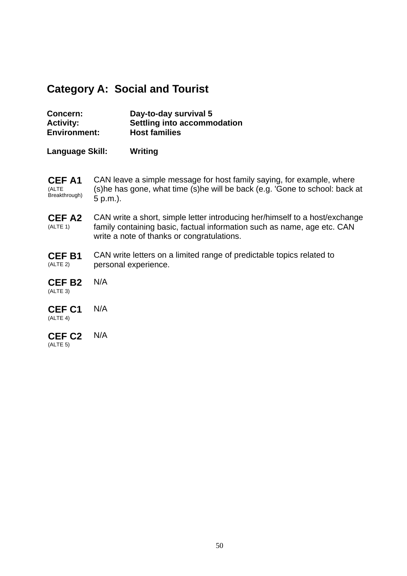| Concern:            | Day-to-day survival 5              |
|---------------------|------------------------------------|
| <b>Activity:</b>    | <b>Settling into accommodation</b> |
| <b>Environment:</b> | <b>Host families</b>               |

### **Language Skill: Writing**

- **CEF A1**  (ALTE Breakthrough) CAN leave a simple message for host family saying, for example, where (s)he has gone, what time (s)he will be back (e.g. 'Gone to school: back at 5 p.m.).
- **CEF A2**  (ALTE 1) CAN write a short, simple letter introducing her/himself to a host/exchange family containing basic, factual information such as name, age etc. CAN write a note of thanks or congratulations.
- **CEF B1**  (ALTE 2) CAN write letters on a limited range of predictable topics related to personal experience.
- **CEF B2**  (ALTE 3) N/A
- **CEF C1**  (ALTE 4) N/A
- **CEF C2**  N/A
- (ALTE 5)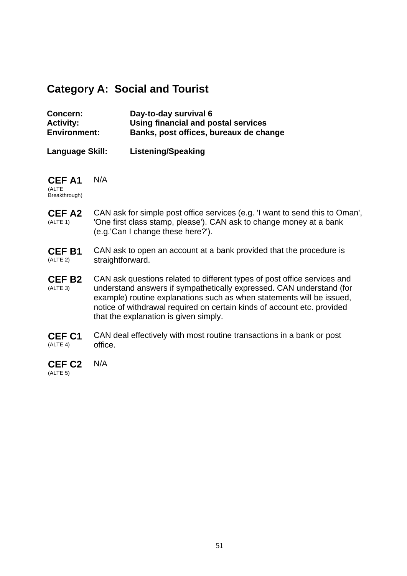| Concern:            | Day-to-day survival 6                  |
|---------------------|----------------------------------------|
| <b>Activity:</b>    | Using financial and postal services    |
| <b>Environment:</b> | Banks, post offices, bureaux de change |

**Language Skill: Listening/Speaking** 

| <b>CEFA1</b> | N/A |
|--------------|-----|
| (ALTE        |     |

Breakthrough)

**CEF A2**  (ALTE 1) CAN ask for simple post office services (e.g. 'I want to send this to Oman', 'One first class stamp, please'). CAN ask to change money at a bank (e.g.'Can I change these here?').

#### **CEF B1**  (ALTE 2) CAN ask to open an account at a bank provided that the procedure is straightforward.

- **CEF B2**  (ALTE 3) CAN ask questions related to different types of post office services and understand answers if sympathetically expressed. CAN understand (for example) routine explanations such as when statements will be issued, notice of withdrawal required on certain kinds of account etc. provided that the explanation is given simply.
- **CEF C1**  (ALTE 4) CAN deal effectively with most routine transactions in a bank or post office.
- **CEF C2**  N/A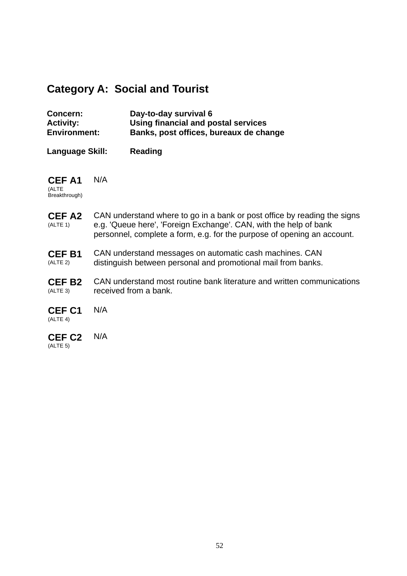| Concern:            | Day-to-day survival 6                  |
|---------------------|----------------------------------------|
| <b>Activity:</b>    | Using financial and postal services    |
| <b>Environment:</b> | Banks, post offices, bureaux de change |

### **Language Skill: Reading**

| <b>CEFA1</b> | N/A |
|--------------|-----|
| (ALTE        |     |

Breakthrough)

- **CEF A2**  (ALTE 1) CAN understand where to go in a bank or post office by reading the signs e.g. 'Queue here', 'Foreign Exchange'. CAN, with the help of bank personnel, complete a form, e.g. for the purpose of opening an account.
- **CEF B1**  (ALTE 2) CAN understand messages on automatic cash machines. CAN distinguish between personal and promotional mail from banks.
- **CEF B2**  (ALTE 3) CAN understand most routine bank literature and written communications received from a bank.
- **CEF C1**  N/A

(ALTE 4)

**CEF C2**  N/A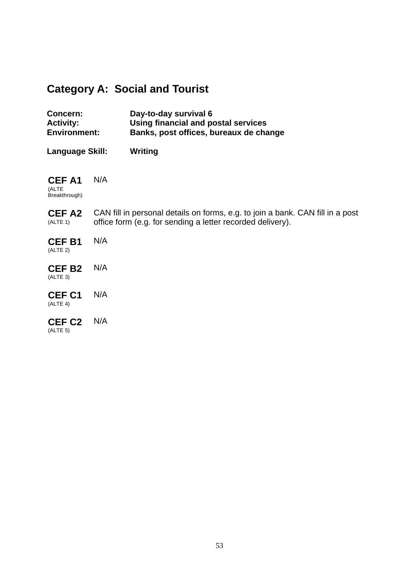| Concern:<br><b>Activity:</b><br><b>Environment:</b> |     | Day-to-day survival 6<br><b>Using financial and postal services</b><br>Banks, post offices, bureaux de change                                |
|-----------------------------------------------------|-----|----------------------------------------------------------------------------------------------------------------------------------------------|
| Language Skill:                                     |     | Writing                                                                                                                                      |
| <b>CEFA1</b><br>(ALTE<br>Breakthrough)              | N/A |                                                                                                                                              |
| <b>CEF A2</b><br>(ALTE 1)                           |     | CAN fill in personal details on forms, e.g. to join a bank. CAN fill in a post<br>office form (e.g. for sending a letter recorded delivery). |
| <b>CEFB1</b><br>(ALTE 2)                            | N/A |                                                                                                                                              |
| CEF B <sub>2</sub><br>(ALTE 3)                      | N/A |                                                                                                                                              |
| CEF <sub>C1</sub><br>(ALTE 4)                       | N/A |                                                                                                                                              |
| CEF <sub>C2</sub><br>(ALTE 5)                       | N/A |                                                                                                                                              |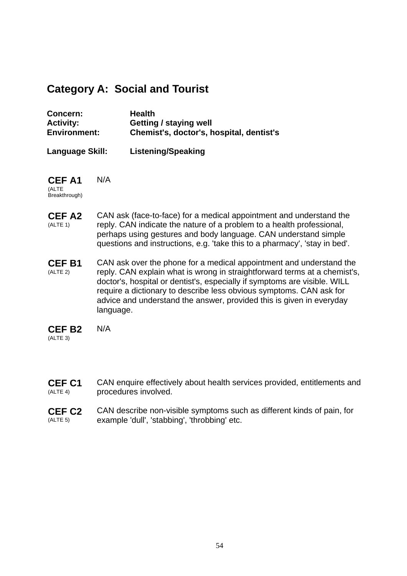| Concern:<br><b>Activity:</b><br><b>Environment:</b><br>Language Skill: |  | <b>Health</b><br>Getting / staying well<br>Chemist's, doctor's, hospital, dentist's<br>Listening/Speaking |  |
|------------------------------------------------------------------------|--|-----------------------------------------------------------------------------------------------------------|--|
|                                                                        |  |                                                                                                           |  |
|                                                                        |  |                                                                                                           |  |

- **CEF A2**  (ALTE 1) CAN ask (face-to-face) for a medical appointment and understand the reply. CAN indicate the nature of a problem to a health professional, perhaps using gestures and body language. CAN understand simple questions and instructions, e.g. 'take this to a pharmacy', 'stay in bed'.
- **CEF B1**  (ALTE 2) CAN ask over the phone for a medical appointment and understand the reply. CAN explain what is wrong in straightforward terms at a chemist's, doctor's, hospital or dentist's, especially if symptoms are visible. WILL require a dictionary to describe less obvious symptoms. CAN ask for advice and understand the answer, provided this is given in everyday language.

#### **CEF B2**  N/A

(ALTE 3)

**CEF C1**  (ALTE 4) CAN enquire effectively about health services provided, entitlements and procedures involved.

#### **CEF C2**  (ALTE 5) CAN describe non-visible symptoms such as different kinds of pain, for example 'dull', 'stabbing', 'throbbing' etc.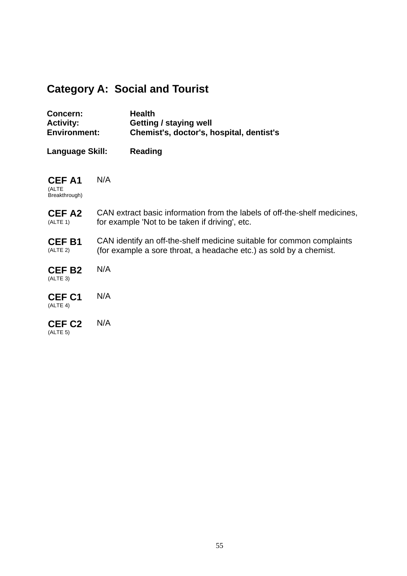| Concern:<br><b>Activity:</b><br><b>Environment:</b> |                                                                                                                             | <b>Health</b><br>Getting / staying well<br>Chemist's, doctor's, hospital, dentist's                                                         |
|-----------------------------------------------------|-----------------------------------------------------------------------------------------------------------------------------|---------------------------------------------------------------------------------------------------------------------------------------------|
| Language Skill:                                     |                                                                                                                             | <b>Reading</b>                                                                                                                              |
| <b>CEFA1</b><br>(ALTE<br>Breakthrough)              | N/A                                                                                                                         |                                                                                                                                             |
| <b>CEFA2</b><br>(ALTE 1)                            | CAN extract basic information from the labels of off-the-shelf medicines,<br>for example 'Not to be taken if driving', etc. |                                                                                                                                             |
| <b>CEF B1</b><br>(ALTE 2)                           |                                                                                                                             | CAN identify an off-the-shelf medicine suitable for common complaints<br>(for example a sore throat, a headache etc.) as sold by a chemist. |
| CEF B <sub>2</sub><br>(ALTE 3)                      | N/A                                                                                                                         |                                                                                                                                             |
| <b>CEF C1</b><br>(ALTE 4)                           | N/A                                                                                                                         |                                                                                                                                             |
| CEF <sub>C2</sub><br>(ALTE 5)                       | N/A                                                                                                                         |                                                                                                                                             |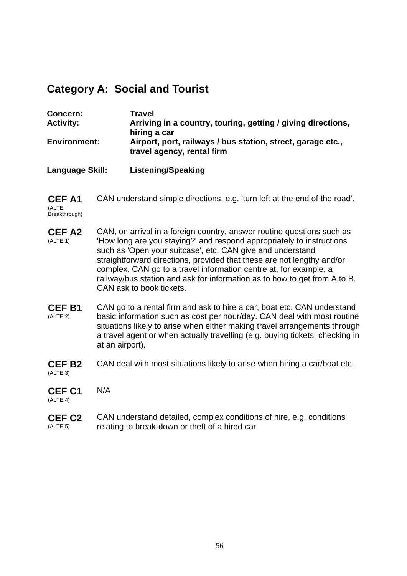| Concern:            | Travel                                                                                    |
|---------------------|-------------------------------------------------------------------------------------------|
| <b>Activity:</b>    | Arriving in a country, touring, getting / giving directions,<br>hiring a car              |
| <b>Environment:</b> | Airport, port, railways / bus station, street, garage etc.,<br>travel agency, rental firm |
| Language Skill:     | Listening/Speaking                                                                        |

**CEF A1**  (ALTE CAN understand simple directions, e.g. 'turn left at the end of the road'.

Breakthrough)

- **CEF A2**  (ALTE 1) CAN, on arrival in a foreign country, answer routine questions such as 'How long are you staying?' and respond appropriately to instructions such as 'Open your suitcase', etc. CAN give and understand straightforward directions, provided that these are not lengthy and/or complex. CAN go to a travel information centre at, for example, a railway/bus station and ask for information as to how to get from A to B. CAN ask to book tickets.
- **CEF B1**  (ALTE 2) CAN go to a rental firm and ask to hire a car, boat etc. CAN understand basic information such as cost per hour/day. CAN deal with most routine situations likely to arise when either making travel arrangements through a travel agent or when actually travelling (e.g. buying tickets, checking in at an airport).
- **CEF B2**  (ALTE 3) CAN deal with most situations likely to arise when hiring a car/boat etc.

#### **CEF C1**  N/A

(ALTE 4)

**CEF C2**  (ALTE 5) CAN understand detailed, complex conditions of hire, e.g. conditions relating to break-down or theft of a hired car.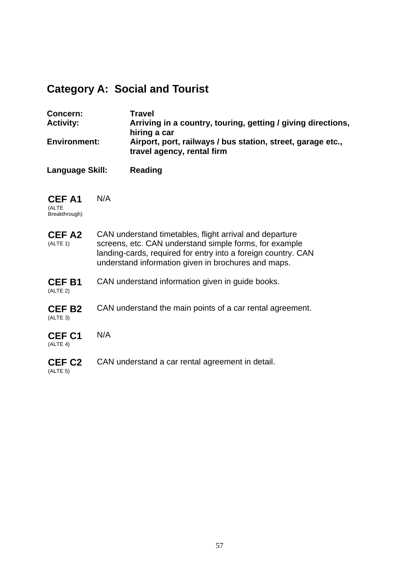| Concern:<br><b>Activity:</b><br><b>Environment:</b> |                                                                                                                                                                                                                                           | <b>Travel</b><br>Arriving in a country, touring, getting / giving directions,<br>hiring a car |  |
|-----------------------------------------------------|-------------------------------------------------------------------------------------------------------------------------------------------------------------------------------------------------------------------------------------------|-----------------------------------------------------------------------------------------------|--|
|                                                     |                                                                                                                                                                                                                                           | Airport, port, railways / bus station, street, garage etc.,<br>travel agency, rental firm     |  |
| <b>Language Skill:</b>                              |                                                                                                                                                                                                                                           | <b>Reading</b>                                                                                |  |
| <b>CEFA1</b><br>(ALTE<br>Breakthrough)              | N/A                                                                                                                                                                                                                                       |                                                                                               |  |
| <b>CEFA2</b><br>(ALTE 1)                            | CAN understand timetables, flight arrival and departure<br>screens, etc. CAN understand simple forms, for example<br>landing-cards, required for entry into a foreign country. CAN<br>understand information given in brochures and maps. |                                                                                               |  |
| CEF <sub>B1</sub><br>(ALTE 2)                       |                                                                                                                                                                                                                                           | CAN understand information given in guide books.                                              |  |
| CEF <sub>B2</sub><br>(ALTE 3)                       | CAN understand the main points of a car rental agreement.                                                                                                                                                                                 |                                                                                               |  |
| CEF <sub>C1</sub><br>(ALTE 4)                       | N/A                                                                                                                                                                                                                                       |                                                                                               |  |
| CEF <sub>C2</sub><br>(ALTE 5)                       | CAN understand a car rental agreement in detail.                                                                                                                                                                                          |                                                                                               |  |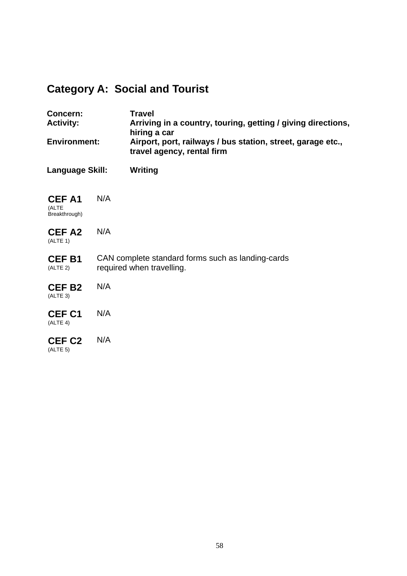| Concern:<br><b>Activity:</b><br><b>Environment:</b> |     | <b>Travel</b><br>Arriving in a country, touring, getting / giving directions,<br>hiring a car<br>Airport, port, railways / bus station, street, garage etc.,<br>travel agency, rental firm |
|-----------------------------------------------------|-----|--------------------------------------------------------------------------------------------------------------------------------------------------------------------------------------------|
| Language Skill:                                     |     | <b>Writing</b>                                                                                                                                                                             |
| <b>CEFA1</b><br>(ALTE<br>Breakthrough)              | N/A |                                                                                                                                                                                            |
| <b>CEFA2</b><br>(ALTE 1)                            | N/A |                                                                                                                                                                                            |
| <b>CEF B1</b><br>(ALTE 2)                           |     | CAN complete standard forms such as landing-cards<br>required when travelling.                                                                                                             |
| CEF B <sub>2</sub><br>(ALTE 3)                      | N/A |                                                                                                                                                                                            |
| <b>CEF C1</b><br>(ALTE 4)                           | N/A |                                                                                                                                                                                            |
| <b>CEF C2</b><br>(ALTE 5)                           | N/A |                                                                                                                                                                                            |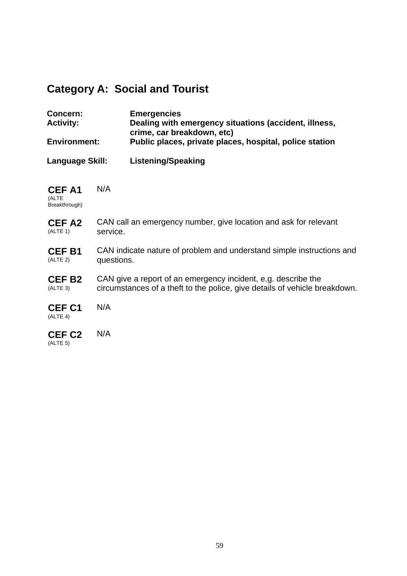| Concern:               | <b>Emergencies</b>                                                                  |
|------------------------|-------------------------------------------------------------------------------------|
| <b>Activity:</b>       | Dealing with emergency situations (accident, illness,<br>crime, car breakdown, etc) |
| <b>Environment:</b>    | Public places, private places, hospital, police station                             |
| <b>Language Skill:</b> | <b>Listening/Speaking</b>                                                           |

| <b>CEFA1</b>  | N/A |  |
|---------------|-----|--|
| (ALTE         |     |  |
| Breakthrough) |     |  |

| <b>CEFA2</b> | CAN call an emergency number, give location and ask for relevant      |
|--------------|-----------------------------------------------------------------------|
| (ALTE 1)     | service.                                                              |
| CEF DA       | CAN indicato naturo of problem and understand simple instructions are |

- **CEF B1**  CAN indicate nature of problem and understand simple instructions and (ALTE 2) questions.
- **CEF B2**  (ALTE 3) CAN give a report of an emergency incident, e.g. describe the circumstances of a theft to the police, give details of vehicle breakdown.
- **CEF C1**  N/A

(ALTE 4)

**CEF C2**  N/A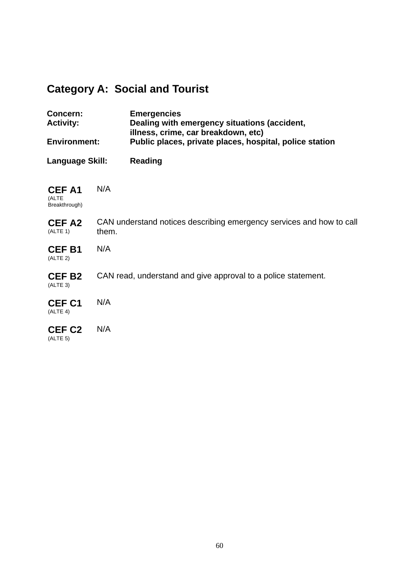| Concern:<br><b>Activity:</b>           |       | <b>Emergencies</b><br>Dealing with emergency situations (accident,<br>illness, crime, car breakdown, etc) |
|----------------------------------------|-------|-----------------------------------------------------------------------------------------------------------|
| <b>Environment:</b>                    |       | Public places, private places, hospital, police station                                                   |
| Language Skill:                        |       | <b>Reading</b>                                                                                            |
|                                        |       |                                                                                                           |
| <b>CEFA1</b><br>(ALTE<br>Breakthrough) | N/A   |                                                                                                           |
| <b>CEFA2</b><br>(ALTE 1)               | them. | CAN understand notices describing emergency services and how to call                                      |
| <b>CEFB1</b><br>(ALTE 2)               | N/A   |                                                                                                           |
| CEF B <sub>2</sub><br>(ALTE 3)         |       | CAN read, understand and give approval to a police statement.                                             |
| <b>CEF C1</b><br>(ALTE 4)              | N/A   |                                                                                                           |
| CEF <sub>C2</sub><br>(ALTE 5)          | N/A   |                                                                                                           |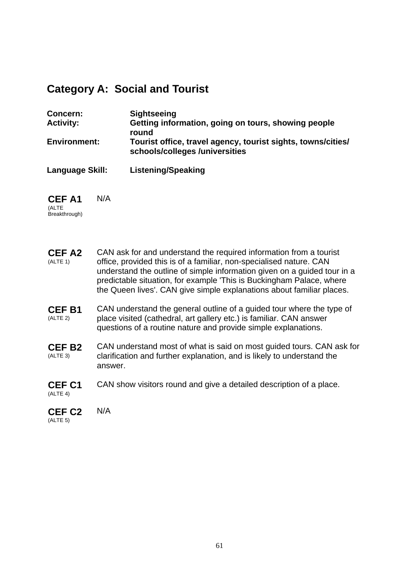| Concern:            | <b>Sightseeing</b>                                                                            |
|---------------------|-----------------------------------------------------------------------------------------------|
| <b>Activity:</b>    | Getting information, going on tours, showing people<br>round                                  |
| <b>Environment:</b> | Tourist office, travel agency, tourist sights, towns/cities/<br>schools/colleges/universities |
| Language Skill:     | <b>Listening/Speaking</b>                                                                     |

#### **CEF A1**  N/A

(ALTE Breakthrough)

**CEF A2**  (ALTE 1) CAN ask for and understand the required information from a tourist office, provided this is of a familiar, non-specialised nature. CAN understand the outline of simple information given on a guided tour in a predictable situation, for example 'This is Buckingham Palace, where the Queen lives'. CAN give simple explanations about familiar places.

#### **CEF B1**  (ALTE 2) CAN understand the general outline of a guided tour where the type of place visited (cathedral, art gallery etc.) is familiar. CAN answer questions of a routine nature and provide simple explanations.

- **CEF B2**  (ALTE 3) CAN understand most of what is said on most guided tours. CAN ask for clarification and further explanation, and is likely to understand the answer.
- **CEF C1**  (ALTE 4) CAN show visitors round and give a detailed description of a place.

| <b>CEF C2</b> | N/A |
|---------------|-----|
| (ALTE 5)      |     |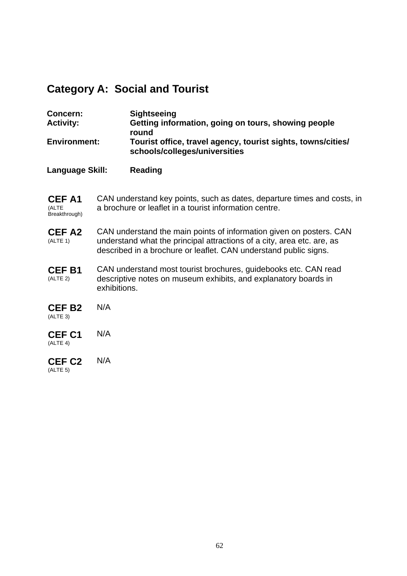| Concern:<br><b>Activity:</b><br><b>Environment:</b> |                                                                                                                                                                                                                   | <b>Sightseeing</b><br>Getting information, going on tours, showing people<br>round<br>Tourist office, travel agency, tourist sights, towns/cities/<br>schools/colleges/universities |  |
|-----------------------------------------------------|-------------------------------------------------------------------------------------------------------------------------------------------------------------------------------------------------------------------|-------------------------------------------------------------------------------------------------------------------------------------------------------------------------------------|--|
| Language Skill:                                     |                                                                                                                                                                                                                   | Reading                                                                                                                                                                             |  |
| <b>CEFA1</b><br>(ALTE<br>Breakthrough)              | CAN understand key points, such as dates, departure times and costs, in<br>a brochure or leaflet in a tourist information centre.                                                                                 |                                                                                                                                                                                     |  |
| <b>CEFA2</b><br>(ALTE 1)                            | CAN understand the main points of information given on posters. CAN<br>understand what the principal attractions of a city, area etc. are, as<br>described in a brochure or leaflet. CAN understand public signs. |                                                                                                                                                                                     |  |
| <b>CEF B1</b><br>(ALTE 2)                           |                                                                                                                                                                                                                   | CAN understand most tourist brochures, guidebooks etc. CAN read<br>descriptive notes on museum exhibits, and explanatory boards in<br>exhibitions.                                  |  |
| CEF <sub>B2</sub><br>(ALTE 3)                       | N/A                                                                                                                                                                                                               |                                                                                                                                                                                     |  |

**CEF C1**  (ALTE 4) N/A

N/A

**CEF C2**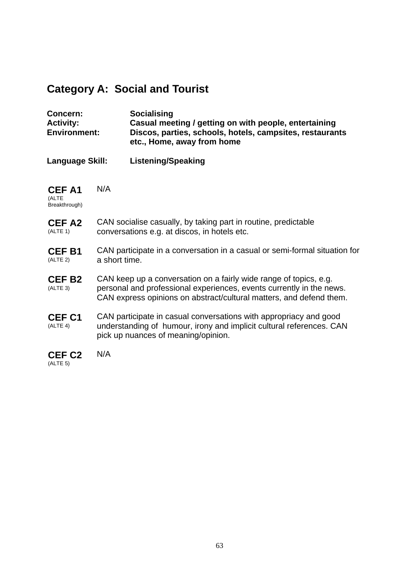| Concern:<br><b>Activity:</b><br><b>Environment:</b> | <b>Socialising</b><br>Casual meeting / getting on with people, entertaining<br>Discos, parties, schools, hotels, campsites, restaurants<br>etc., Home, away from home                                            |  |
|-----------------------------------------------------|------------------------------------------------------------------------------------------------------------------------------------------------------------------------------------------------------------------|--|
| Language Skill:                                     | <b>Listening/Speaking</b>                                                                                                                                                                                        |  |
| <b>CEFA1</b><br>(ALTE<br>Breakthrough)              | N/A                                                                                                                                                                                                              |  |
| <b>CEFA2</b><br>(ALTE 1)                            | CAN socialise casually, by taking part in routine, predictable<br>conversations e.g. at discos, in hotels etc.                                                                                                   |  |
| <b>CEFB1</b><br>(ALTE 2)                            | CAN participate in a conversation in a casual or semi-formal situation for<br>a short time.                                                                                                                      |  |
| CEF B <sub>2</sub><br>(ALTE 3)                      | CAN keep up a conversation on a fairly wide range of topics, e.g.<br>personal and professional experiences, events currently in the news.<br>CAN express opinions on abstract/cultural matters, and defend them. |  |
| <b>CEF C1</b><br>(ALTE 4)                           | CAN participate in casual conversations with appropriacy and good<br>understanding of humour, irony and implicit cultural references. CAN<br>pick up nuances of meaning/opinion.                                 |  |
| CEF <sub>C2</sub><br>(ALTE 5)                       | N/A                                                                                                                                                                                                              |  |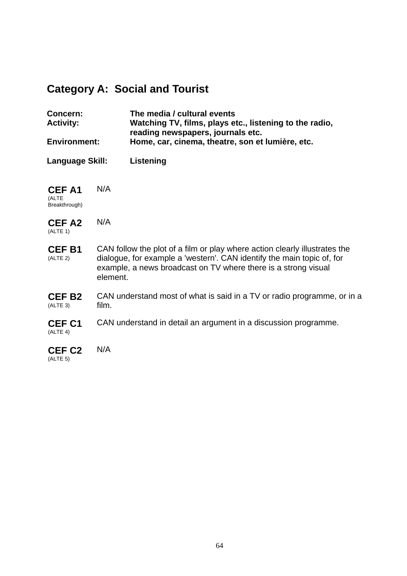| Concern:<br><b>Activity:</b>           |          | The media / cultural events<br>Watching TV, films, plays etc., listening to the radio,<br>reading newspapers, journals etc.<br>Home, car, cinema, theatre, son et lumière, etc.                                        |  |
|----------------------------------------|----------|------------------------------------------------------------------------------------------------------------------------------------------------------------------------------------------------------------------------|--|
| <b>Environment:</b>                    |          |                                                                                                                                                                                                                        |  |
| Language Skill:                        |          | Listening                                                                                                                                                                                                              |  |
| <b>CEFA1</b><br>(ALTE<br>Breakthrough) | N/A      |                                                                                                                                                                                                                        |  |
| <b>CEFA2</b><br>(ALTE 1)               | N/A      |                                                                                                                                                                                                                        |  |
| <b>CEFB1</b><br>(ALTE 2)               | element. | CAN follow the plot of a film or play where action clearly illustrates the<br>dialogue, for example a 'western'. CAN identify the main topic of, for<br>example, a news broadcast on TV where there is a strong visual |  |
| CEF B <sub>2</sub><br>(ALTE 3)         | film.    | CAN understand most of what is said in a TV or radio programme, or in a                                                                                                                                                |  |
| <b>CEF C1</b><br>(ALTE 4)              |          | CAN understand in detail an argument in a discussion programme.                                                                                                                                                        |  |
| CEF <sub>C2</sub><br>(ALTE 5)          | N/A      |                                                                                                                                                                                                                        |  |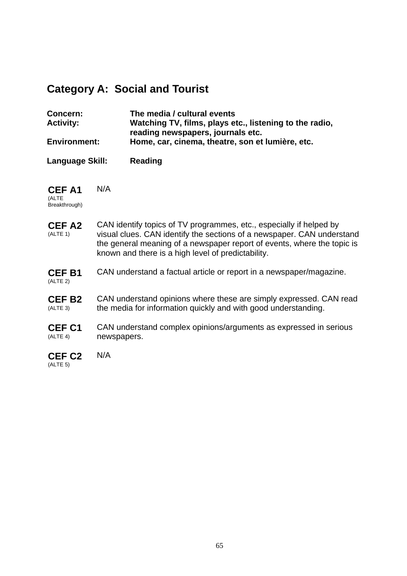| Concern:            | The media / cultural events                                                           |
|---------------------|---------------------------------------------------------------------------------------|
| <b>Activity:</b>    | Watching TV, films, plays etc., listening to the radio,                               |
| <b>Environment:</b> | reading newspapers, journals etc.<br>Home, car, cinema, theatre, son et lumière, etc. |
|                     |                                                                                       |

**Language Skill: Reading** 

| <b>CEFA1</b> | N/A |
|--------------|-----|
|--------------|-----|

(ALTE Breakthrough)

- **CEF A2**  (ALTE 1) CAN identify topics of TV programmes, etc., especially if helped by visual clues. CAN identify the sections of a newspaper. CAN understand the general meaning of a newspaper report of events, where the topic is known and there is a high level of predictability.
- **CEF B1**  CAN understand a factual article or report in a newspaper/magazine.

(ALTE 2)

- **CEF B2**  (ALTE 3) CAN understand opinions where these are simply expressed. CAN read the media for information quickly and with good understanding.
- **CEF C1**  (ALTE 4) CAN understand complex opinions/arguments as expressed in serious newspapers.
- **CEF C2**  N/A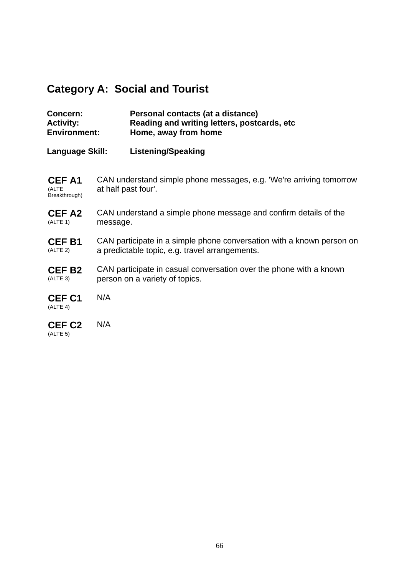| Concern:                               | Personal contacts (at a distance)                                                          |  |
|----------------------------------------|--------------------------------------------------------------------------------------------|--|
| <b>Activity:</b>                       | Reading and writing letters, postcards, etc                                                |  |
| <b>Environment:</b>                    | Home, away from home                                                                       |  |
| Language Skill:                        | <b>Listening/Speaking</b>                                                                  |  |
| <b>CEFA1</b><br>(ALTE<br>Breakthrough) | CAN understand simple phone messages, e.g. 'We're arriving tomorrow<br>at half past four'. |  |
| <b>CEFA2</b>                           | CAN understand a simple phone message and confirm details of the                           |  |
| (ALTE 1)                               | message.                                                                                   |  |
| CEF <sub>B1</sub>                      | CAN participate in a simple phone conversation with a known person on                      |  |
| (ALTE 2)                               | a predictable topic, e.g. travel arrangements.                                             |  |
| <b>CEF B2</b>                          | CAN participate in casual conversation over the phone with a known                         |  |
| (ALTE 3)                               | person on a variety of topics.                                                             |  |
| <b>CEF C1</b><br>(ALTE 4)              | N/A                                                                                        |  |
| CEF <sub>C2</sub><br>(ALTE 5)          | N/A                                                                                        |  |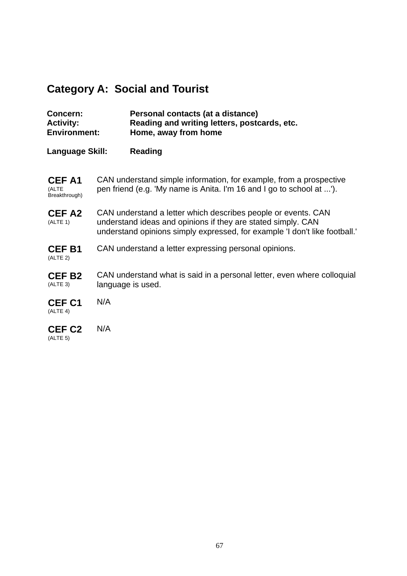| <b>Concern:</b><br><b>Activity:</b><br><b>Environment:</b> |                                                                                                                                                                                                             | Personal contacts (at a distance)<br>Reading and writing letters, postcards, etc.<br>Home, away from home                                  |
|------------------------------------------------------------|-------------------------------------------------------------------------------------------------------------------------------------------------------------------------------------------------------------|--------------------------------------------------------------------------------------------------------------------------------------------|
| <b>Language Skill:</b>                                     |                                                                                                                                                                                                             | <b>Reading</b>                                                                                                                             |
| <b>CEFA1</b><br>(ALTE<br>Breakthrough)                     |                                                                                                                                                                                                             | CAN understand simple information, for example, from a prospective<br>pen friend (e.g. 'My name is Anita. I'm 16 and I go to school at '). |
| <b>CEFA2</b><br>(ALTE 1)                                   | CAN understand a letter which describes people or events. CAN<br>understand ideas and opinions if they are stated simply. CAN<br>understand opinions simply expressed, for example 'I don't like football.' |                                                                                                                                            |
| CEF <sub>B1</sub><br>(ALTE 2)                              |                                                                                                                                                                                                             | CAN understand a letter expressing personal opinions.                                                                                      |
| CEF B <sub>2</sub><br>(ALTE 3)                             |                                                                                                                                                                                                             | CAN understand what is said in a personal letter, even where colloquial<br>language is used.                                               |
| CEF <sub>C1</sub><br>(ALTE 4)                              | N/A                                                                                                                                                                                                         |                                                                                                                                            |
| CEF <sub>C2</sub><br>(ALTE 5)                              | N/A                                                                                                                                                                                                         |                                                                                                                                            |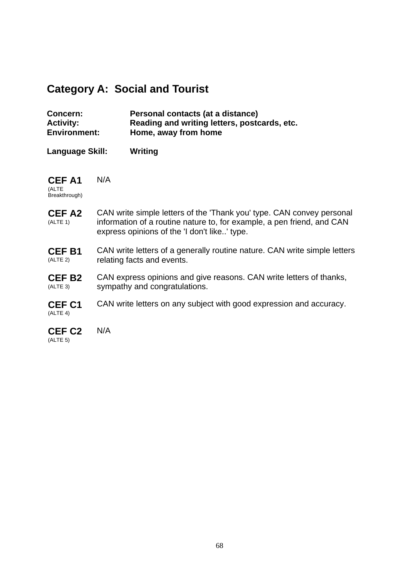| Concern:            | Personal contacts (at a distance)            |
|---------------------|----------------------------------------------|
| <b>Activity:</b>    | Reading and writing letters, postcards, etc. |
| <b>Environment:</b> | Home, away from home                         |

### **Language Skill: Writing**

| <b>CEFA1</b> | N/A |
|--------------|-----|
| (ALTE        |     |

Breakthrough)

**CEF A2**  (ALTE 1) CAN write simple letters of the 'Thank you' type. CAN convey personal information of a routine nature to, for example, a pen friend, and CAN express opinions of the 'I don't like..' type.

#### **CEF B1**  (ALTE 2) CAN write letters of a generally routine nature. CAN write simple letters relating facts and events.

**CEF B2**  (ALTE 3) CAN express opinions and give reasons. CAN write letters of thanks, sympathy and congratulations.

#### **CEF C1**   $\overline{A}$ CAN write letters on any subject with good expression and accuracy.

| (AL I E 4) |  |  |
|------------|--|--|
|            |  |  |

| <b>CEF C2</b> | N/A |
|---------------|-----|
|               |     |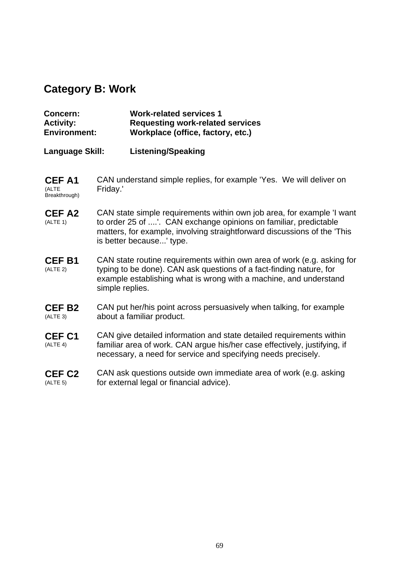| Concern:<br><b>Activity:</b><br><b>Environment:</b> | <b>Work-related services 1</b><br><b>Requesting work-related services</b><br>Workplace (office, factory, etc.)                                                                                                                                     |
|-----------------------------------------------------|----------------------------------------------------------------------------------------------------------------------------------------------------------------------------------------------------------------------------------------------------|
| <b>Language Skill:</b>                              | <b>Listening/Speaking</b>                                                                                                                                                                                                                          |
| <b>CEFA1</b><br>(ALTE<br>Breakthrough)              | CAN understand simple replies, for example 'Yes. We will deliver on<br>Friday.'                                                                                                                                                                    |
| <b>CEFA2</b><br>(ALTE 1)                            | CAN state simple requirements within own job area, for example 'I want<br>to order 25 of '. CAN exchange opinions on familiar, predictable<br>matters, for example, involving straightforward discussions of the 'This<br>is better because' type. |
| <b>CEFB1</b><br>(ALTE 2)                            | CAN state routine requirements within own area of work (e.g. asking for<br>typing to be done). CAN ask questions of a fact-finding nature, for<br>example establishing what is wrong with a machine, and understand<br>simple replies.             |
| CEF <sub>B2</sub><br>(ALTE 3)                       | CAN put her/his point across persuasively when talking, for example<br>about a familiar product.                                                                                                                                                   |
| <b>CEF C1</b><br>(ALTE 4)                           | CAN give detailed information and state detailed requirements within<br>familiar area of work. CAN argue his/her case effectively, justifying, if<br>necessary, a need for service and specifying needs precisely.                                 |
| CEF <sub>C2</sub><br>(ALTE 5)                       | CAN ask questions outside own immediate area of work (e.g. asking<br>for external legal or financial advice).                                                                                                                                      |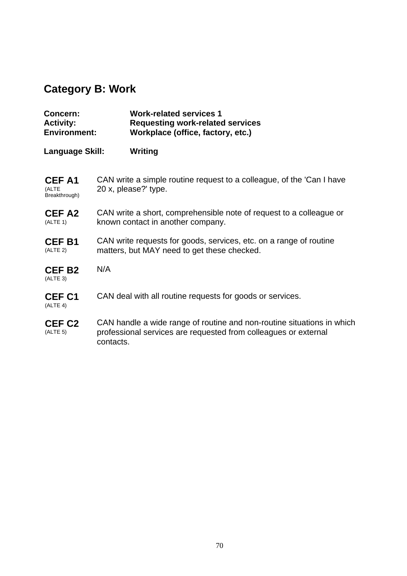| Concern:<br><b>Activity:</b><br><b>Environment:</b> | <b>Work-related services 1</b><br><b>Requesting work-related services</b><br>Workplace (office, factory, etc.)                                         |
|-----------------------------------------------------|--------------------------------------------------------------------------------------------------------------------------------------------------------|
| <b>Language Skill:</b>                              | <b>Writing</b>                                                                                                                                         |
| <b>CEFA1</b><br>(ALTE<br>Breakthrough)              | CAN write a simple routine request to a colleague, of the 'Can I have<br>20 x, please?' type.                                                          |
| <b>CEFA2</b><br>(ALTE 1)                            | CAN write a short, comprehensible note of request to a colleague or<br>known contact in another company.                                               |
| <b>CEF B1</b><br>(ALTE 2)                           | CAN write requests for goods, services, etc. on a range of routine<br>matters, but MAY need to get these checked.                                      |
| CEF <sub>B2</sub><br>(ALTE 3)                       | N/A                                                                                                                                                    |
| CEF <sub>C1</sub><br>(ALTE 4)                       | CAN deal with all routine requests for goods or services.                                                                                              |
| <b>CEF C2</b><br>(ALTE 5)                           | CAN handle a wide range of routine and non-routine situations in which<br>professional services are requested from colleagues or external<br>contacts. |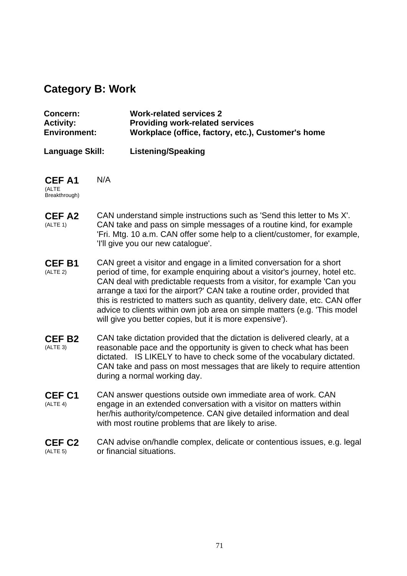| Concern:<br><b>Activity:</b><br><b>Environment:</b> | <b>Work-related services 2</b><br><b>Providing work-related services</b><br>Workplace (office, factory, etc.), Customer's home                                                                                                                                                                                                                                                                                                                                                                                                       |
|-----------------------------------------------------|--------------------------------------------------------------------------------------------------------------------------------------------------------------------------------------------------------------------------------------------------------------------------------------------------------------------------------------------------------------------------------------------------------------------------------------------------------------------------------------------------------------------------------------|
| Language Skill:                                     | <b>Listening/Speaking</b>                                                                                                                                                                                                                                                                                                                                                                                                                                                                                                            |
| <b>CEFA1</b><br>(ALTE<br>Breakthrough)              | N/A                                                                                                                                                                                                                                                                                                                                                                                                                                                                                                                                  |
| <b>CEFA2</b><br>(ALTE 1)                            | CAN understand simple instructions such as 'Send this letter to Ms X'.<br>CAN take and pass on simple messages of a routine kind, for example<br>'Fri. Mtg. 10 a.m. CAN offer some help to a client/customer, for example,<br>'I'll give you our new catalogue'.                                                                                                                                                                                                                                                                     |
| <b>CEFB1</b><br>(ALTE 2)                            | CAN greet a visitor and engage in a limited conversation for a short<br>period of time, for example enquiring about a visitor's journey, hotel etc.<br>CAN deal with predictable requests from a visitor, for example 'Can you<br>arrange a taxi for the airport?' CAN take a routine order, provided that<br>this is restricted to matters such as quantity, delivery date, etc. CAN offer<br>advice to clients within own job area on simple matters (e.g. 'This model<br>will give you better copies, but it is more expensive'). |
| <b>CEFB2</b><br>(ALTE 3)                            | CAN take dictation provided that the dictation is delivered clearly, at a<br>reasonable pace and the opportunity is given to check what has been<br>dictated. IS LIKELY to have to check some of the vocabulary dictated.<br>CAN take and pass on most messages that are likely to require attention<br>during a normal working day.                                                                                                                                                                                                 |
| <b>CEF C1</b><br>(ALTE 4)                           | CAN answer questions outside own immediate area of work. CAN<br>engage in an extended conversation with a visitor on matters within<br>her/his authority/competence. CAN give detailed information and deal<br>with most routine problems that are likely to arise.                                                                                                                                                                                                                                                                  |
| <b>CEF C2</b><br>(ALTE 5)                           | CAN advise on/handle complex, delicate or contentious issues, e.g. legal<br>or financial situations.                                                                                                                                                                                                                                                                                                                                                                                                                                 |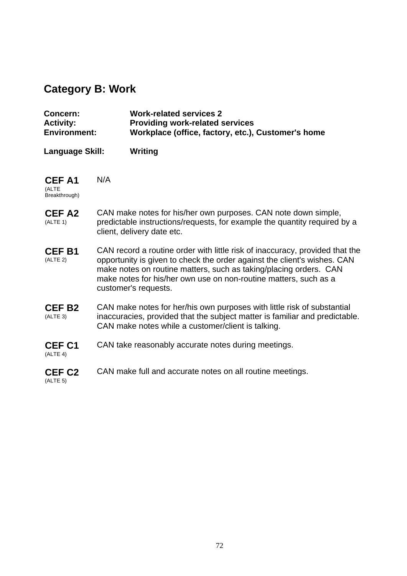| Concern:<br><b>Activity:</b><br><b>Environment:</b> | <b>Work-related services 2</b><br><b>Providing work-related services</b><br>Workplace (office, factory, etc.), Customer's home                                                                                                                                                                                            |
|-----------------------------------------------------|---------------------------------------------------------------------------------------------------------------------------------------------------------------------------------------------------------------------------------------------------------------------------------------------------------------------------|
| <b>Language Skill:</b>                              | <b>Writing</b>                                                                                                                                                                                                                                                                                                            |
| <b>CEFA1</b><br>(ALTE<br>Breakthrough)              | N/A                                                                                                                                                                                                                                                                                                                       |
| <b>CEFA2</b><br>(ALTE 1)                            | CAN make notes for his/her own purposes. CAN note down simple,<br>predictable instructions/requests, for example the quantity required by a<br>client, delivery date etc.                                                                                                                                                 |
| <b>CEFB1</b><br>(ALTE 2)                            | CAN record a routine order with little risk of inaccuracy, provided that the<br>opportunity is given to check the order against the client's wishes. CAN<br>make notes on routine matters, such as taking/placing orders. CAN<br>make notes for his/her own use on non-routine matters, such as a<br>customer's requests. |
| CEF <sub>B2</sub><br>(ALTE 3)                       | CAN make notes for her/his own purposes with little risk of substantial<br>inaccuracies, provided that the subject matter is familiar and predictable.<br>CAN make notes while a customer/client is talking.                                                                                                              |
| <b>CEF C1</b><br>(ALTE 4)                           | CAN take reasonably accurate notes during meetings.                                                                                                                                                                                                                                                                       |
| <b>CEF C2</b><br>(ALTE 5)                           | CAN make full and accurate notes on all routine meetings.                                                                                                                                                                                                                                                                 |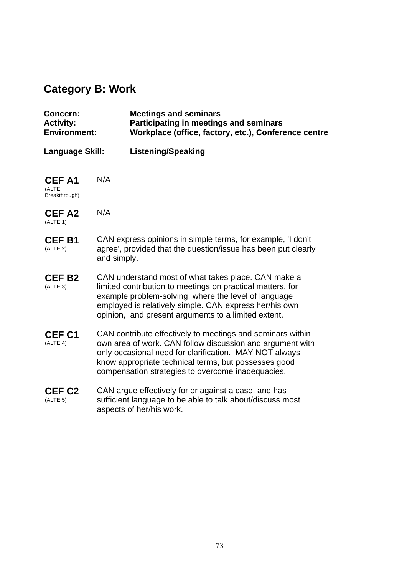| <b>Concern:</b><br><b>Activity:</b><br><b>Environment:</b> | <b>Meetings and seminars</b><br>Participating in meetings and seminars<br>Workplace (office, factory, etc.), Conference centre                                                                                                                                                                 |  |
|------------------------------------------------------------|------------------------------------------------------------------------------------------------------------------------------------------------------------------------------------------------------------------------------------------------------------------------------------------------|--|
| <b>Language Skill:</b>                                     | <b>Listening/Speaking</b>                                                                                                                                                                                                                                                                      |  |
| <b>CEFA1</b><br>(ALTE<br>Breakthrough)                     | N/A                                                                                                                                                                                                                                                                                            |  |
| <b>CEFA2</b><br>(ALTE 1)                                   | N/A                                                                                                                                                                                                                                                                                            |  |
| <b>CEFB1</b><br>(ALTE 2)                                   | CAN express opinions in simple terms, for example, 'I don't<br>agree', provided that the question/issue has been put clearly<br>and simply.                                                                                                                                                    |  |
| <b>CEFB2</b><br>(ALTE 3)                                   | CAN understand most of what takes place. CAN make a<br>limited contribution to meetings on practical matters, for<br>example problem-solving, where the level of language<br>employed is relatively simple. CAN express her/his own<br>opinion, and present arguments to a limited extent.     |  |
| <b>CEF C1</b><br>(ALTE 4)                                  | CAN contribute effectively to meetings and seminars within<br>own area of work. CAN follow discussion and argument with<br>only occasional need for clarification. MAY NOT always<br>know appropriate technical terms, but possesses good<br>compensation strategies to overcome inadequacies. |  |
| <b>CEF C2</b><br>(ALTE 5)                                  | CAN argue effectively for or against a case, and has<br>sufficient language to be able to talk about/discuss most<br>aspects of her/his work.                                                                                                                                                  |  |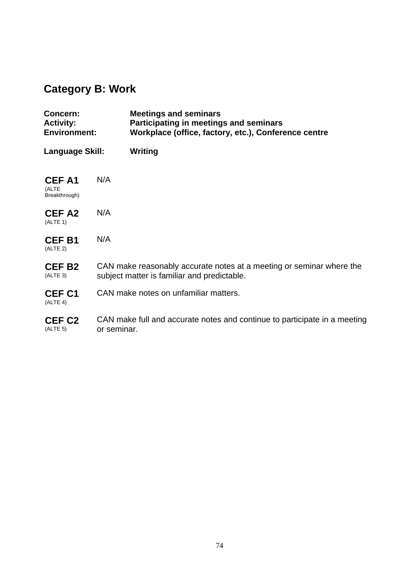| Concern:<br><b>Activity:</b><br><b>Environment:</b> | <b>Meetings and seminars</b><br>Participating in meetings and seminars<br>Workplace (office, factory, etc.), Conference centre |
|-----------------------------------------------------|--------------------------------------------------------------------------------------------------------------------------------|
| Language Skill:                                     | Writing                                                                                                                        |
| <b>CEFA1</b><br>(ALTE<br>Breakthrough)              | N/A                                                                                                                            |
| CEF <sub>A2</sub><br>(ALTE 1)                       | N/A                                                                                                                            |
| <b>CEFB1</b><br>(ALTE 2)                            | N/A                                                                                                                            |
| CEF B <sub>2</sub><br>(ALTE 3)                      | CAN make reasonably accurate notes at a meeting or seminar where the<br>subject matter is familiar and predictable.            |
| CEF <sub>C1</sub><br>(ALTE 4)                       | CAN make notes on unfamiliar matters.                                                                                          |
| CEF <sub>C2</sub><br>(ALTE 5)                       | CAN make full and accurate notes and continue to participate in a meeting<br>or seminar.                                       |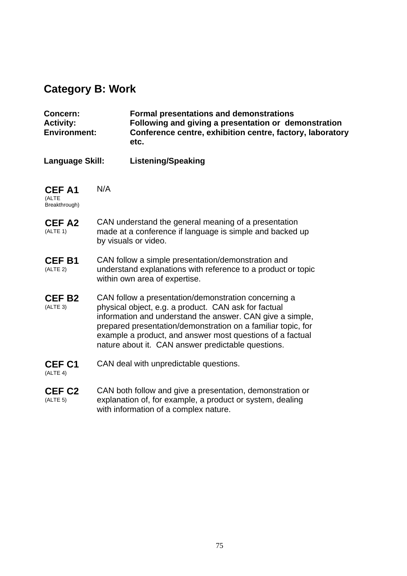| <b>Concern:</b><br><b>Activity:</b><br><b>Environment:</b> | <b>Formal presentations and demonstrations</b><br>Following and giving a presentation or demonstration<br>Conference centre, exhibition centre, factory, laboratory<br>etc.                                                                                                                                                                                  |  |
|------------------------------------------------------------|--------------------------------------------------------------------------------------------------------------------------------------------------------------------------------------------------------------------------------------------------------------------------------------------------------------------------------------------------------------|--|
| Language Skill:                                            | <b>Listening/Speaking</b>                                                                                                                                                                                                                                                                                                                                    |  |
| <b>CEFA1</b><br>(ALTE<br>Breakthrough)                     | N/A                                                                                                                                                                                                                                                                                                                                                          |  |
| <b>CEFA2</b><br>(ALTE 1)                                   | CAN understand the general meaning of a presentation<br>made at a conference if language is simple and backed up<br>by visuals or video.                                                                                                                                                                                                                     |  |
| <b>CEFB1</b><br>(ALTE 2)                                   | CAN follow a simple presentation/demonstration and<br>understand explanations with reference to a product or topic<br>within own area of expertise.                                                                                                                                                                                                          |  |
| <b>CEF B2</b><br>(ALTE 3)                                  | CAN follow a presentation/demonstration concerning a<br>physical object, e.g. a product. CAN ask for factual<br>information and understand the answer. CAN give a simple,<br>prepared presentation/demonstration on a familiar topic, for<br>example a product, and answer most questions of a factual<br>nature about it. CAN answer predictable questions. |  |
| CEF <sub>C1</sub><br>(ALTE 4)                              | CAN deal with unpredictable questions.                                                                                                                                                                                                                                                                                                                       |  |
| <b>CEF C2</b><br>(ALTE 5)                                  | CAN both follow and give a presentation, demonstration or<br>explanation of, for example, a product or system, dealing<br>with information of a complex nature.                                                                                                                                                                                              |  |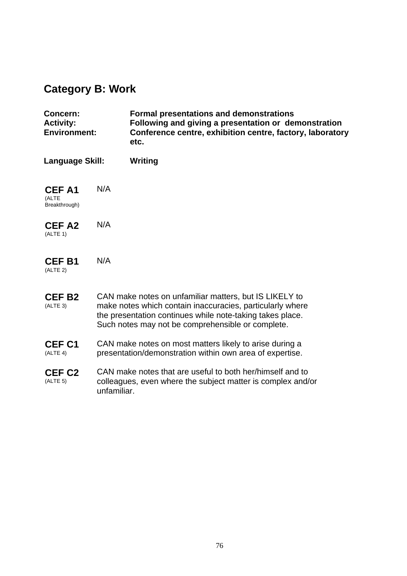| Concern:<br><b>Activity:</b><br><b>Environment:</b> | <b>Formal presentations and demonstrations</b><br>Following and giving a presentation or demonstration<br>Conference centre, exhibition centre, factory, laboratory<br>etc.                                                           |  |
|-----------------------------------------------------|---------------------------------------------------------------------------------------------------------------------------------------------------------------------------------------------------------------------------------------|--|
| Language Skill:                                     | Writing                                                                                                                                                                                                                               |  |
| <b>CEFA1</b><br>(ALTE<br>Breakthrough)              | N/A                                                                                                                                                                                                                                   |  |
| <b>CEFA2</b><br>(ALTE 1)                            | N/A                                                                                                                                                                                                                                   |  |
| <b>CEFB1</b><br>(ALTE 2)                            | N/A                                                                                                                                                                                                                                   |  |
| CEF B <sub>2</sub><br>(ALTE 3)                      | CAN make notes on unfamiliar matters, but IS LIKELY to<br>make notes which contain inaccuracies, particularly where<br>the presentation continues while note-taking takes place.<br>Such notes may not be comprehensible or complete. |  |
| CEF <sub>C1</sub><br>(ALTE 4)                       | CAN make notes on most matters likely to arise during a<br>presentation/demonstration within own area of expertise.                                                                                                                   |  |
| <b>CEF C2</b><br>(ALTE 5)                           | CAN make notes that are useful to both her/himself and to<br>colleagues, even where the subject matter is complex and/or<br>unfamiliar.                                                                                               |  |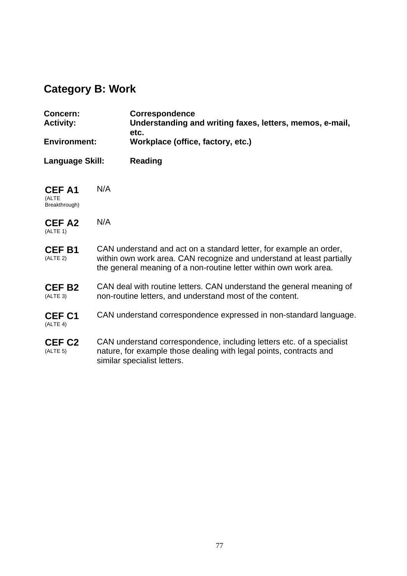| <b>Concern:</b><br><b>Activity:</b><br><b>Environment:</b> |                                                                                                                                  | <b>Correspondence</b><br>Understanding and writing faxes, letters, memos, e-mail,<br>etc.<br>Workplace (office, factory, etc.)                                                                                   |
|------------------------------------------------------------|----------------------------------------------------------------------------------------------------------------------------------|------------------------------------------------------------------------------------------------------------------------------------------------------------------------------------------------------------------|
| Language Skill:                                            |                                                                                                                                  | <b>Reading</b>                                                                                                                                                                                                   |
| <b>CEFA1</b><br>(ALTE<br>Breakthrough)                     | N/A                                                                                                                              |                                                                                                                                                                                                                  |
| <b>CEFA2</b><br>(ALTE 1)                                   | N/A                                                                                                                              |                                                                                                                                                                                                                  |
| <b>CEFB1</b><br>(ALTE 2)                                   |                                                                                                                                  | CAN understand and act on a standard letter, for example an order,<br>within own work area. CAN recognize and understand at least partially<br>the general meaning of a non-routine letter within own work area. |
| CEF B <sub>2</sub><br>(ALTE 3)                             | CAN deal with routine letters. CAN understand the general meaning of<br>non-routine letters, and understand most of the content. |                                                                                                                                                                                                                  |
| CEF <sub>C1</sub><br>(ALTE 4)                              |                                                                                                                                  | CAN understand correspondence expressed in non-standard language.                                                                                                                                                |
| <b>CEF C2</b><br>(ALTE 5)                                  |                                                                                                                                  | CAN understand correspondence, including letters etc. of a specialist<br>nature, for example those dealing with legal points, contracts and<br>similar specialist letters.                                       |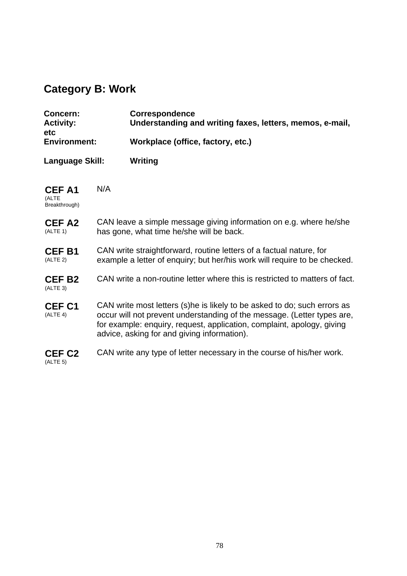| <b>Concern:</b><br><b>Activity:</b><br>etc<br><b>Environment:</b> | <b>Correspondence</b><br>Understanding and writing faxes, letters, memos, e-mail,<br>Workplace (office, factory, etc.)                                                                                                                                                       |
|-------------------------------------------------------------------|------------------------------------------------------------------------------------------------------------------------------------------------------------------------------------------------------------------------------------------------------------------------------|
| <b>Language Skill:</b>                                            | <b>Writing</b>                                                                                                                                                                                                                                                               |
| <b>CEFA1</b><br>(ALTE<br>Breakthrough)                            | N/A                                                                                                                                                                                                                                                                          |
| <b>CEFA2</b><br>(ALTE 1)                                          | CAN leave a simple message giving information on e.g. where he/she<br>has gone, what time he/she will be back.                                                                                                                                                               |
| <b>CEFB1</b><br>(ALTE 2)                                          | CAN write straightforward, routine letters of a factual nature, for<br>example a letter of enquiry; but her/his work will require to be checked.                                                                                                                             |
| CEF <sub>B2</sub><br>(ALTE 3)                                     | CAN write a non-routine letter where this is restricted to matters of fact.                                                                                                                                                                                                  |
| <b>CEF C1</b><br>(ALTE 4)                                         | CAN write most letters (s)he is likely to be asked to do; such errors as<br>occur will not prevent understanding of the message. (Letter types are,<br>for example: enquiry, request, application, complaint, apology, giving<br>advice, asking for and giving information). |
| CEF <sub>C2</sub><br>(ALTE 5)                                     | CAN write any type of letter necessary in the course of his/her work.                                                                                                                                                                                                        |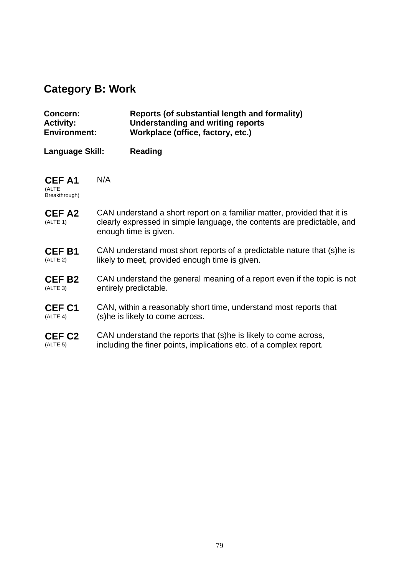| Concern:                               | Reports (of substantial length and formality)                                                                                                                               |
|----------------------------------------|-----------------------------------------------------------------------------------------------------------------------------------------------------------------------------|
| <b>Activity:</b>                       | <b>Understanding and writing reports</b>                                                                                                                                    |
| <b>Environment:</b>                    | Workplace (office, factory, etc.)                                                                                                                                           |
| Language Skill:                        | <b>Reading</b>                                                                                                                                                              |
| <b>CEFA1</b><br>(ALTE<br>Breakthrough) | N/A                                                                                                                                                                         |
| <b>CEFA2</b><br>(ALTE 1)               | CAN understand a short report on a familiar matter, provided that it is<br>clearly expressed in simple language, the contents are predictable, and<br>enough time is given. |
| <b>CEFB1</b>                           | CAN understand most short reports of a predictable nature that (s) he is                                                                                                    |
| (ALTE 2)                               | likely to meet, provided enough time is given.                                                                                                                              |
| CEF B <sub>2</sub>                     | CAN understand the general meaning of a report even if the topic is not                                                                                                     |
| (ALTE 3)                               | entirely predictable.                                                                                                                                                       |
| <b>CEF C1</b>                          | CAN, within a reasonably short time, understand most reports that                                                                                                           |
| (ALTE 4)                               | (s) he is likely to come across.                                                                                                                                            |
| <b>CEF C2</b>                          | CAN understand the reports that (s) he is likely to come across,                                                                                                            |
| (ALTE 5)                               | including the finer points, implications etc. of a complex report.                                                                                                          |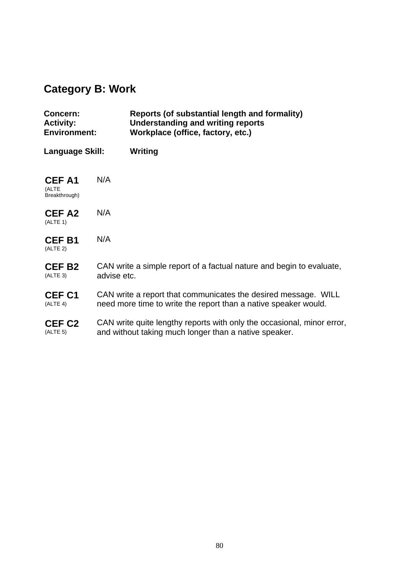| Concern:                               | Reports (of substantial length and formality)                          |  |
|----------------------------------------|------------------------------------------------------------------------|--|
| <b>Activity:</b>                       | <b>Understanding and writing reports</b>                               |  |
| <b>Environment:</b>                    | Workplace (office, factory, etc.)                                      |  |
| <b>Language Skill:</b>                 | <b>Writing</b>                                                         |  |
| <b>CEFA1</b><br>(ALTE<br>Breakthrough) | N/A                                                                    |  |
| CEF A2<br>(ALTE 1)                     | N/A                                                                    |  |
| <b>CEFB1</b><br>(ALTE 2)               | N/A                                                                    |  |
| CEF <sub>B2</sub>                      | CAN write a simple report of a factual nature and begin to evaluate,   |  |
| (ALTE 3)                               | advise etc.                                                            |  |
| CEF <sub>C1</sub>                      | CAN write a report that communicates the desired message. WILL         |  |
| (ALTE 4)                               | need more time to write the report than a native speaker would.        |  |
| CEF <sub>C2</sub>                      | CAN write quite lengthy reports with only the occasional, minor error, |  |
| (ALTE 5)                               | and without taking much longer than a native speaker.                  |  |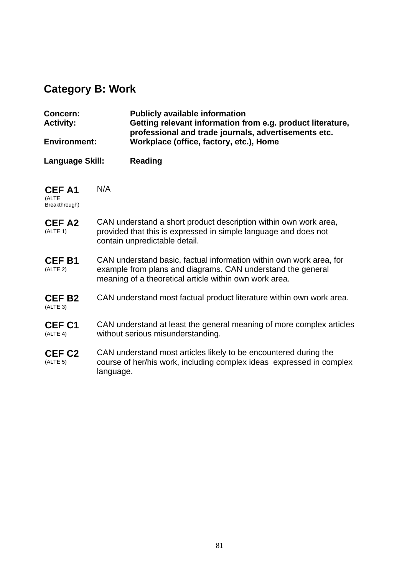| Concern:<br><b>Activity:</b>           | <b>Publicly available information</b><br>Getting relevant information from e.g. product literature,<br>professional and trade journals, advertisements etc.                                  |
|----------------------------------------|----------------------------------------------------------------------------------------------------------------------------------------------------------------------------------------------|
| <b>Environment:</b>                    | Workplace (office, factory, etc.), Home                                                                                                                                                      |
| <b>Language Skill:</b>                 | <b>Reading</b>                                                                                                                                                                               |
| <b>CEFA1</b><br>(ALTE<br>Breakthrough) | N/A                                                                                                                                                                                          |
| <b>CEFA2</b><br>(ALTE 1)               | CAN understand a short product description within own work area,<br>provided that this is expressed in simple language and does not<br>contain unpredictable detail.                         |
| <b>CEF B1</b><br>(ALTE 2)              | CAN understand basic, factual information within own work area, for<br>example from plans and diagrams. CAN understand the general<br>meaning of a theoretical article within own work area. |
| CEF <sub>B2</sub><br>(ALTE 3)          | CAN understand most factual product literature within own work area.                                                                                                                         |
| <b>CEF C1</b><br>(ALTE 4)              | CAN understand at least the general meaning of more complex articles<br>without serious misunderstanding.                                                                                    |
| CEF C <sub>2</sub><br>(ALTE 5)         | CAN understand most articles likely to be encountered during the<br>course of her/his work, including complex ideas expressed in complex<br>language.                                        |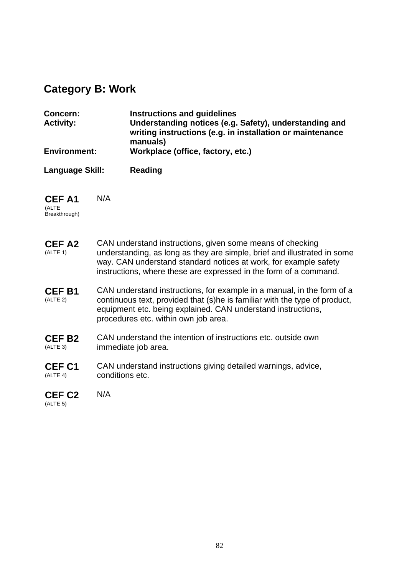| Concern:<br><b>Activity:</b><br><b>Environment:</b> | <b>Instructions and guidelines</b><br>Understanding notices (e.g. Safety), understanding and<br>writing instructions (e.g. in installation or maintenance<br>manuals)<br>Workplace (office, factory, etc.)                                                                     |
|-----------------------------------------------------|--------------------------------------------------------------------------------------------------------------------------------------------------------------------------------------------------------------------------------------------------------------------------------|
| Language Skill:                                     | <b>Reading</b>                                                                                                                                                                                                                                                                 |
| <b>CEFA1</b><br>(ALTE<br>Breakthrough)              | N/A                                                                                                                                                                                                                                                                            |
| <b>CEFA2</b><br>(ALTE 1)                            | CAN understand instructions, given some means of checking<br>understanding, as long as they are simple, brief and illustrated in some<br>way. CAN understand standard notices at work, for example safety<br>instructions, where these are expressed in the form of a command. |
| <b>CEFB1</b><br>(ALTE 2)                            | CAN understand instructions, for example in a manual, in the form of a<br>continuous text, provided that (s) he is familiar with the type of product,<br>equipment etc. being explained. CAN understand instructions,<br>procedures etc. within own job area.                  |
| CEF <sub>B2</sub><br>(ALTE 3)                       | CAN understand the intention of instructions etc. outside own<br>immediate job area.                                                                                                                                                                                           |
| CEF <sub>C1</sub><br>(ALTE 4)                       | CAN understand instructions giving detailed warnings, advice,<br>conditions etc.                                                                                                                                                                                               |
| CEF <sub>C2</sub><br>(ALTE 5)                       | N/A                                                                                                                                                                                                                                                                            |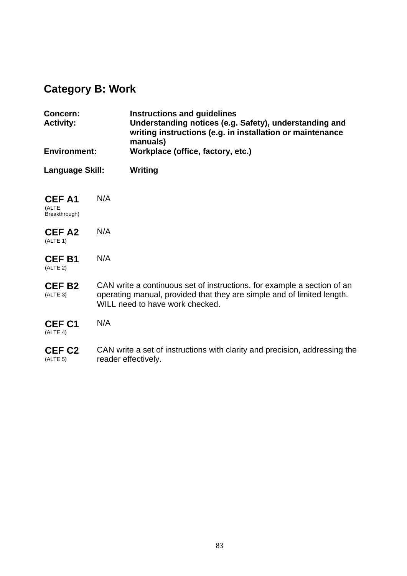| Concern:<br><b>Activity:</b>           | <b>Instructions and guidelines</b><br>Understanding notices (e.g. Safety), understanding and<br>writing instructions (e.g. in installation or maintenance<br>manuals)                |  |
|----------------------------------------|--------------------------------------------------------------------------------------------------------------------------------------------------------------------------------------|--|
| <b>Environment:</b>                    | Workplace (office, factory, etc.)                                                                                                                                                    |  |
| <b>Language Skill:</b>                 | <b>Writing</b>                                                                                                                                                                       |  |
| <b>CEFA1</b><br>(ALTE<br>Breakthrough) | N/A                                                                                                                                                                                  |  |
| <b>CEFA2</b><br>(ALTE 1)               | N/A                                                                                                                                                                                  |  |
| <b>CEFB1</b><br>(ALTE 2)               | N/A                                                                                                                                                                                  |  |
| CEF B <sub>2</sub><br>(ALTE 3)         | CAN write a continuous set of instructions, for example a section of an<br>operating manual, provided that they are simple and of limited length.<br>WILL need to have work checked. |  |
| CEF <sub>C1</sub><br>(ALTE 4)          | N/A                                                                                                                                                                                  |  |
| CEF C <sub>2</sub><br>(ALTE 5)         | CAN write a set of instructions with clarity and precision, addressing the<br>reader effectively.                                                                                    |  |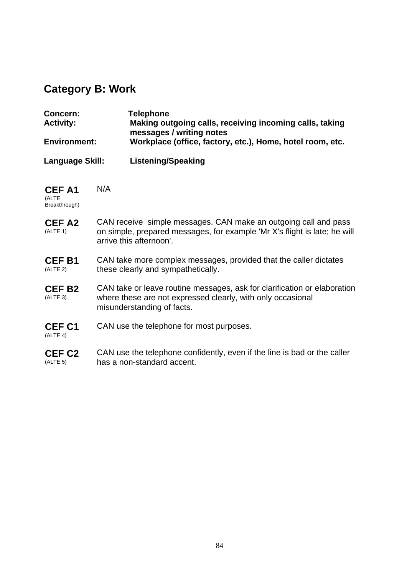| Concern:            | <b>Telephone</b>                                                                    |
|---------------------|-------------------------------------------------------------------------------------|
| <b>Activity:</b>    | Making outgoing calls, receiving incoming calls, taking<br>messages / writing notes |
| <b>Environment:</b> | Workplace (office, factory, etc.), Home, hotel room, etc.                           |
| Language Skill:     | <b>Listening/Speaking</b>                                                           |

| <b>CEFA1</b> | N/A |
|--------------|-----|
| (ALTE        |     |

Breakthrough)

- **CEF A2**  (ALTE 1) CAN receive simple messages. CAN make an outgoing call and pass on simple, prepared messages, for example 'Mr X's flight is late; he will arrive this afternoon'.
- **CEF B1**  (ALTE 2) CAN take more complex messages, provided that the caller dictates these clearly and sympathetically.
- **CEF B2**  (ALTE 3) CAN take or leave routine messages, ask for clarification or elaboration where these are not expressed clearly, with only occasional misunderstanding of facts.
- **CEF C1**  (ALTE 4) CAN use the telephone for most purposes.
- **CEF C2**  (ALTE 5) CAN use the telephone confidently, even if the line is bad or the caller has a non-standard accent.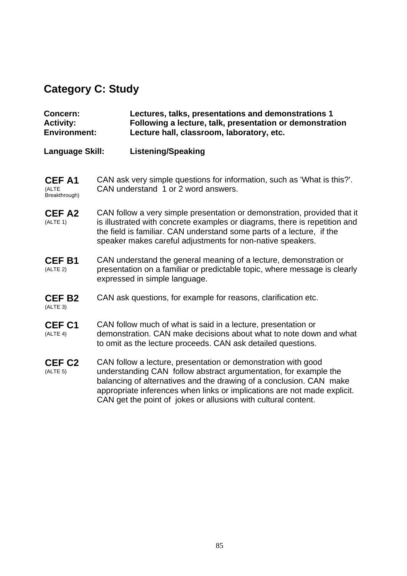| Concern:<br><b>Activity:</b><br><b>Environment:</b> | Lectures, talks, presentations and demonstrations 1<br>Following a lecture, talk, presentation or demonstration<br>Lecture hall, classroom, laboratory, etc.                                                                                                                                                                                           |
|-----------------------------------------------------|--------------------------------------------------------------------------------------------------------------------------------------------------------------------------------------------------------------------------------------------------------------------------------------------------------------------------------------------------------|
| Language Skill:                                     | <b>Listening/Speaking</b>                                                                                                                                                                                                                                                                                                                              |
| <b>CEFA1</b><br>(ALTE<br>Breakthrough)              | CAN ask very simple questions for information, such as 'What is this?'.<br>CAN understand 1 or 2 word answers.                                                                                                                                                                                                                                         |
| <b>CEFA2</b><br>(ALTE 1)                            | CAN follow a very simple presentation or demonstration, provided that it<br>is illustrated with concrete examples or diagrams, there is repetition and<br>the field is familiar. CAN understand some parts of a lecture, if the<br>speaker makes careful adjustments for non-native speakers.                                                          |
| <b>CEFB1</b><br>(ALTE 2)                            | CAN understand the general meaning of a lecture, demonstration or<br>presentation on a familiar or predictable topic, where message is clearly<br>expressed in simple language.                                                                                                                                                                        |
| CEF <sub>B2</sub><br>(ALTE 3)                       | CAN ask questions, for example for reasons, clarification etc.                                                                                                                                                                                                                                                                                         |
| <b>CEF C1</b><br>(ALTE 4)                           | CAN follow much of what is said in a lecture, presentation or<br>demonstration. CAN make decisions about what to note down and what<br>to omit as the lecture proceeds. CAN ask detailed questions.                                                                                                                                                    |
| CEF <sub>C2</sub><br>(ALTE 5)                       | CAN follow a lecture, presentation or demonstration with good<br>understanding CAN follow abstract argumentation, for example the<br>balancing of alternatives and the drawing of a conclusion. CAN make<br>appropriate inferences when links or implications are not made explicit.<br>CAN get the point of jokes or allusions with cultural content. |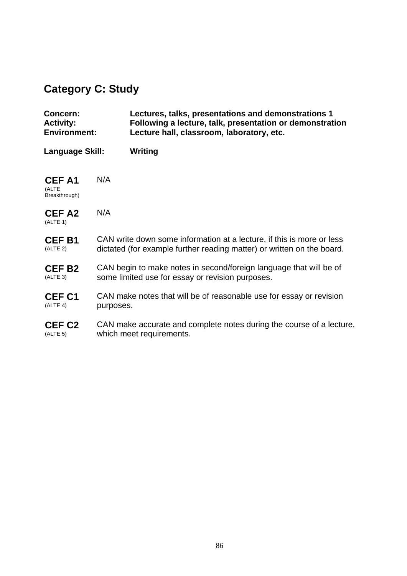| Concern:                               | Lectures, talks, presentations and demonstrations 1                    |
|----------------------------------------|------------------------------------------------------------------------|
| <b>Activity:</b>                       | Following a lecture, talk, presentation or demonstration               |
| <b>Environment:</b>                    | Lecture hall, classroom, laboratory, etc.                              |
| Language Skill:                        | Writing                                                                |
| <b>CEFA1</b><br>(ALTE<br>Breakthrough) | N/A                                                                    |
| <b>CEFA2</b><br>(ALTE 1)               | N/A                                                                    |
| <b>CEF B1</b>                          | CAN write down some information at a lecture, if this is more or less  |
| (ALTE 2)                               | dictated (for example further reading matter) or written on the board. |
| <b>CEF B2</b>                          | CAN begin to make notes in second/foreign language that will be of     |
| (ALTE 3)                               | some limited use for essay or revision purposes.                       |
| CEF <sub>C1</sub>                      | CAN make notes that will be of reasonable use for essay or revision    |
| (ALTE 4)                               | purposes.                                                              |
| <b>CEF C2</b>                          | CAN make accurate and complete notes during the course of a lecture,   |
| (ALTE 5)                               | which meet requirements.                                               |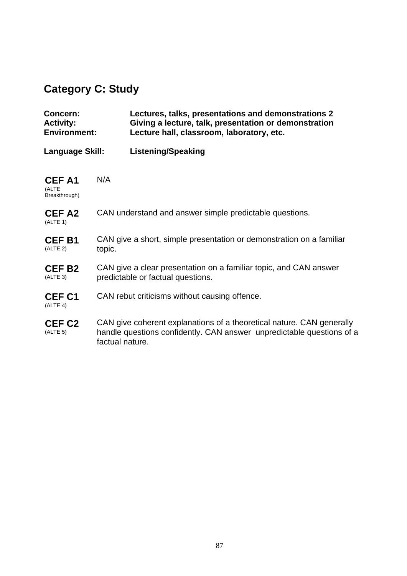| Concern:<br><b>Activity:</b><br><b>Environment:</b> |                 | Lectures, talks, presentations and demonstrations 2<br>Giving a lecture, talk, presentation or demonstration<br>Lecture hall, classroom, laboratory, etc. |  |
|-----------------------------------------------------|-----------------|-----------------------------------------------------------------------------------------------------------------------------------------------------------|--|
| Language Skill:                                     |                 | <b>Listening/Speaking</b>                                                                                                                                 |  |
| <b>CEFA1</b><br>(ALTE<br>Breakthrough)              | N/A             |                                                                                                                                                           |  |
| <b>CEFA2</b><br>(ALTE 1)                            |                 | CAN understand and answer simple predictable questions.                                                                                                   |  |
| <b>CEFB1</b><br>(ALTE 2)                            | topic.          | CAN give a short, simple presentation or demonstration on a familiar                                                                                      |  |
| CEF <sub>B2</sub><br>(ALTE 3)                       |                 | CAN give a clear presentation on a familiar topic, and CAN answer<br>predictable or factual questions.                                                    |  |
| CEF <sub>C1</sub><br>(ALTE 4)                       |                 | CAN rebut criticisms without causing offence.                                                                                                             |  |
| <b>CEF C2</b><br>(ALTE 5)                           | factual nature. | CAN give coherent explanations of a theoretical nature. CAN generally<br>handle questions confidently. CAN answer unpredictable questions of a            |  |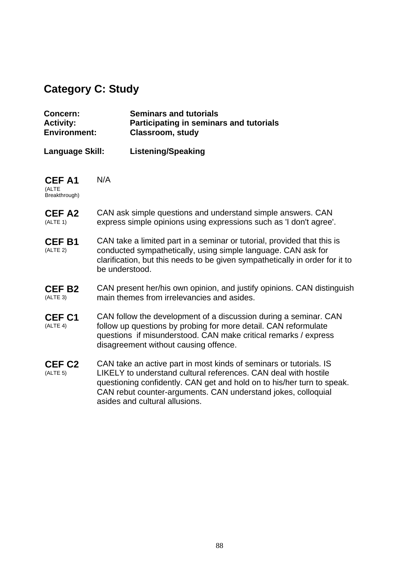| <b>Concern:</b><br><b>Activity:</b><br><b>Environment:</b> | <b>Seminars and tutorials</b><br><b>Participating in seminars and tutorials</b><br><b>Classroom, study</b>                                                                                                                                                                                                         |
|------------------------------------------------------------|--------------------------------------------------------------------------------------------------------------------------------------------------------------------------------------------------------------------------------------------------------------------------------------------------------------------|
| Language Skill:                                            | <b>Listening/Speaking</b>                                                                                                                                                                                                                                                                                          |
| <b>CEFA1</b><br>(ALTE<br>Breakthrough)                     | N/A                                                                                                                                                                                                                                                                                                                |
| <b>CEFA2</b><br>(ALTE 1)                                   | CAN ask simple questions and understand simple answers. CAN<br>express simple opinions using expressions such as 'I don't agree'.                                                                                                                                                                                  |
| <b>CEFB1</b><br>(ALTE 2)                                   | CAN take a limited part in a seminar or tutorial, provided that this is<br>conducted sympathetically, using simple language. CAN ask for<br>clarification, but this needs to be given sympathetically in order for it to<br>be understood.                                                                         |
| CEF <sub>B2</sub><br>(ALTE 3)                              | CAN present her/his own opinion, and justify opinions. CAN distinguish<br>main themes from irrelevancies and asides.                                                                                                                                                                                               |
| <b>CEF C1</b><br>(ALTE 4)                                  | CAN follow the development of a discussion during a seminar. CAN<br>follow up questions by probing for more detail. CAN reformulate<br>questions if misunderstood. CAN make critical remarks / express<br>disagreement without causing offence.                                                                    |
| <b>CEF C2</b><br>(ALTE 5)                                  | CAN take an active part in most kinds of seminars or tutorials. IS<br>LIKELY to understand cultural references. CAN deal with hostile<br>questioning confidently. CAN get and hold on to his/her turn to speak.<br>CAN rebut counter-arguments. CAN understand jokes, colloquial<br>asides and cultural allusions. |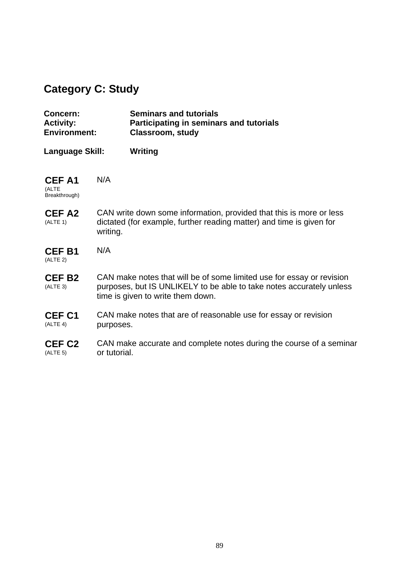| Concern:<br><b>Activity:</b><br><b>Environment:</b> | <b>Seminars and tutorials</b><br>Participating in seminars and tutorials<br><b>Classroom, study</b>                                                                                |
|-----------------------------------------------------|------------------------------------------------------------------------------------------------------------------------------------------------------------------------------------|
| Language Skill:                                     | <b>Writing</b>                                                                                                                                                                     |
| <b>CEFA1</b><br>(ALTE<br>Breakthrough)              | N/A                                                                                                                                                                                |
| <b>CEFA2</b><br>(ALTE 1)                            | CAN write down some information, provided that this is more or less<br>dictated (for example, further reading matter) and time is given for<br>writing.                            |
| <b>CEFB1</b><br>(ALTE 2)                            | N/A                                                                                                                                                                                |
| CEF B <sub>2</sub><br>(ALTE 3)                      | CAN make notes that will be of some limited use for essay or revision<br>purposes, but IS UNLIKELY to be able to take notes accurately unless<br>time is given to write them down. |
| <b>CEF C1</b><br>(ALTE 4)                           | CAN make notes that are of reasonable use for essay or revision<br>purposes.                                                                                                       |
| CEF <sub>C2</sub><br>(ALTE 5)                       | CAN make accurate and complete notes during the course of a seminar<br>or tutorial.                                                                                                |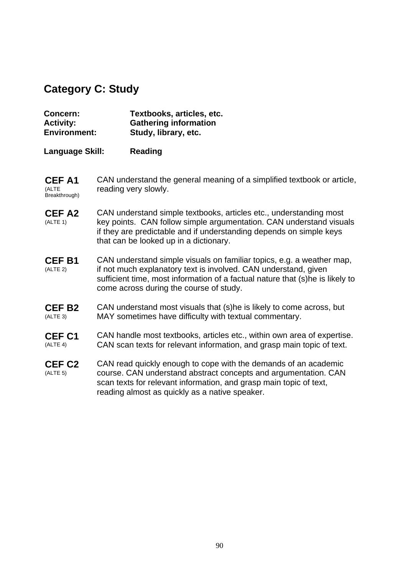| <b>Concern:</b><br><b>Activity:</b><br><b>Environment:</b> | Textbooks, articles, etc.<br><b>Gathering information</b><br>Study, library, etc.                                                                                                                                                                                    |
|------------------------------------------------------------|----------------------------------------------------------------------------------------------------------------------------------------------------------------------------------------------------------------------------------------------------------------------|
| <b>Language Skill:</b>                                     | <b>Reading</b>                                                                                                                                                                                                                                                       |
| <b>CEFA1</b><br>(ALTE<br>Breakthrough)                     | CAN understand the general meaning of a simplified textbook or article,<br>reading very slowly.                                                                                                                                                                      |
| <b>CEFA2</b><br>(ALTE 1)                                   | CAN understand simple textbooks, articles etc., understanding most<br>key points. CAN follow simple argumentation. CAN understand visuals<br>if they are predictable and if understanding depends on simple keys<br>that can be looked up in a dictionary.           |
| <b>CEFB1</b><br>(ALTE 2)                                   | CAN understand simple visuals on familiar topics, e.g. a weather map,<br>if not much explanatory text is involved. CAN understand, given<br>sufficient time, most information of a factual nature that (s)he is likely to<br>come across during the course of study. |
| <b>CEFB2</b><br>(ALTE 3)                                   | CAN understand most visuals that (s) he is likely to come across, but<br>MAY sometimes have difficulty with textual commentary.                                                                                                                                      |
| <b>CEF C1</b><br>(ALTE 4)                                  | CAN handle most textbooks, articles etc., within own area of expertise.<br>CAN scan texts for relevant information, and grasp main topic of text.                                                                                                                    |
| <b>CEF C2</b><br>(ALTE 5)                                  | CAN read quickly enough to cope with the demands of an academic<br>course. CAN understand abstract concepts and argumentation. CAN<br>scan texts for relevant information, and grasp main topic of text,<br>reading almost as quickly as a native speaker.           |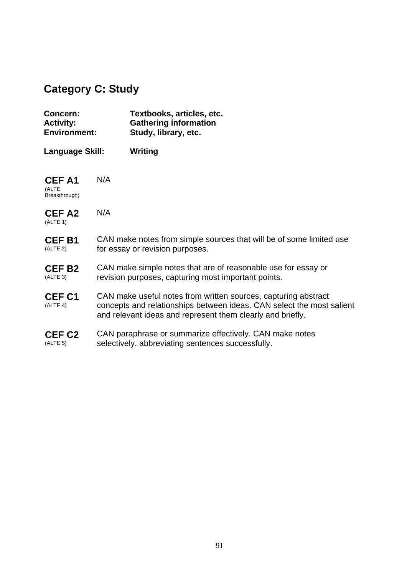| Concern:                               | Textbooks, articles, etc.                                                                                                                                                                             |
|----------------------------------------|-------------------------------------------------------------------------------------------------------------------------------------------------------------------------------------------------------|
| <b>Activity:</b>                       | <b>Gathering information</b>                                                                                                                                                                          |
| <b>Environment:</b>                    | Study, library, etc.                                                                                                                                                                                  |
| Language Skill:                        | Writing                                                                                                                                                                                               |
| <b>CEFA1</b><br>(ALTE<br>Breakthrough) | N/A                                                                                                                                                                                                   |
| <b>CEFA2</b><br>(ALTE 1)               | N/A                                                                                                                                                                                                   |
| CEF <sub>B1</sub>                      | CAN make notes from simple sources that will be of some limited use                                                                                                                                   |
| (ALTE 2)                               | for essay or revision purposes.                                                                                                                                                                       |
| CEF B <sub>2</sub>                     | CAN make simple notes that are of reasonable use for essay or                                                                                                                                         |
| (ALTE 3)                               | revision purposes, capturing most important points.                                                                                                                                                   |
| <b>CEF C1</b><br>(ALTE 4)              | CAN make useful notes from written sources, capturing abstract<br>concepts and relationships between ideas. CAN select the most salient<br>and relevant ideas and represent them clearly and briefly. |
| <b>CEF C2</b>                          | CAN paraphrase or summarize effectively. CAN make notes                                                                                                                                               |
| (ALTE 5)                               | selectively, abbreviating sentences successfully.                                                                                                                                                     |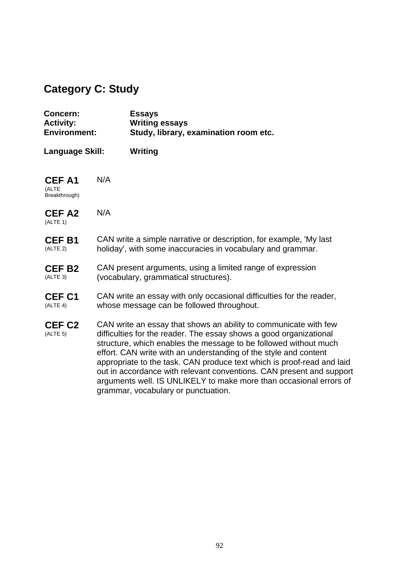| Concern:                               | <b>Essays</b>                                                                                                                                                                                                                                                                                                                                                                                                                                                                                                                                 |
|----------------------------------------|-----------------------------------------------------------------------------------------------------------------------------------------------------------------------------------------------------------------------------------------------------------------------------------------------------------------------------------------------------------------------------------------------------------------------------------------------------------------------------------------------------------------------------------------------|
| <b>Activity:</b>                       | <b>Writing essays</b>                                                                                                                                                                                                                                                                                                                                                                                                                                                                                                                         |
| <b>Environment:</b>                    | Study, library, examination room etc.                                                                                                                                                                                                                                                                                                                                                                                                                                                                                                         |
| <b>Language Skill:</b>                 | <b>Writing</b>                                                                                                                                                                                                                                                                                                                                                                                                                                                                                                                                |
| <b>CEFA1</b><br>(ALTE<br>Breakthrough) | N/A                                                                                                                                                                                                                                                                                                                                                                                                                                                                                                                                           |
| <b>CEFA2</b><br>(ALTE 1)               | N/A                                                                                                                                                                                                                                                                                                                                                                                                                                                                                                                                           |
| <b>CEFB1</b>                           | CAN write a simple narrative or description, for example, 'My last                                                                                                                                                                                                                                                                                                                                                                                                                                                                            |
| (ALTE 2)                               | holiday', with some inaccuracies in vocabulary and grammar.                                                                                                                                                                                                                                                                                                                                                                                                                                                                                   |
| CEF B <sub>2</sub>                     | CAN present arguments, using a limited range of expression                                                                                                                                                                                                                                                                                                                                                                                                                                                                                    |
| (ALTE 3)                               | (vocabulary, grammatical structures).                                                                                                                                                                                                                                                                                                                                                                                                                                                                                                         |
| <b>CEF C1</b>                          | CAN write an essay with only occasional difficulties for the reader,                                                                                                                                                                                                                                                                                                                                                                                                                                                                          |
| (ALTE 4)                               | whose message can be followed throughout.                                                                                                                                                                                                                                                                                                                                                                                                                                                                                                     |
| CEF C <sub>2</sub><br>(ALTE 5)         | CAN write an essay that shows an ability to communicate with few<br>difficulties for the reader. The essay shows a good organizational<br>structure, which enables the message to be followed without much<br>effort. CAN write with an understanding of the style and content<br>appropriate to the task. CAN produce text which is proof-read and laid<br>out in accordance with relevant conventions. CAN present and support<br>arguments well. IS UNLIKELY to make more than occasional errors of<br>grammar, vocabulary or punctuation. |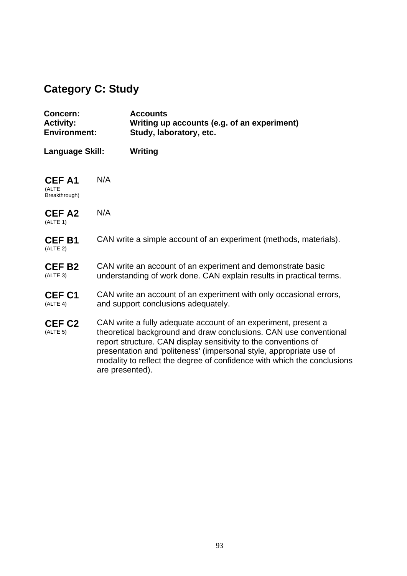| Concern:<br><b>Activity:</b><br><b>Environment:</b> | <b>Accounts</b><br>Writing up accounts (e.g. of an experiment)<br>Study, laboratory, etc.                                                                                                                                                                                                                                                                                   |
|-----------------------------------------------------|-----------------------------------------------------------------------------------------------------------------------------------------------------------------------------------------------------------------------------------------------------------------------------------------------------------------------------------------------------------------------------|
| Language Skill:                                     | Writing                                                                                                                                                                                                                                                                                                                                                                     |
| <b>CEFA1</b><br>(ALTE<br>Breakthrough)              | N/A                                                                                                                                                                                                                                                                                                                                                                         |
| <b>CEFA2</b><br>(ALTE 1)                            | N/A                                                                                                                                                                                                                                                                                                                                                                         |
| <b>CEFB1</b><br>(ALTE 2)                            | CAN write a simple account of an experiment (methods, materials).                                                                                                                                                                                                                                                                                                           |
| <b>CEF B2</b><br>(ALTE 3)                           | CAN write an account of an experiment and demonstrate basic<br>understanding of work done. CAN explain results in practical terms.                                                                                                                                                                                                                                          |
| CEF <sub>C1</sub><br>(ALTE 4)                       | CAN write an account of an experiment with only occasional errors,<br>and support conclusions adequately.                                                                                                                                                                                                                                                                   |
| <b>CEF C2</b><br>(ALTE 5)                           | CAN write a fully adequate account of an experiment, present a<br>theoretical background and draw conclusions. CAN use conventional<br>report structure. CAN display sensitivity to the conventions of<br>presentation and 'politeness' (impersonal style, appropriate use of<br>modality to reflect the degree of confidence with which the conclusions<br>are presented). |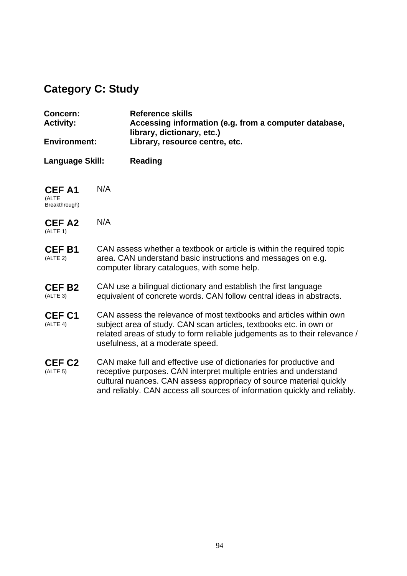| Concern:<br><b>Activity:</b><br><b>Environment:</b> | Reference skills<br>Accessing information (e.g. from a computer database,<br>library, dictionary, etc.)<br>Library, resource centre, etc.                                                                                                                                                   |  |
|-----------------------------------------------------|---------------------------------------------------------------------------------------------------------------------------------------------------------------------------------------------------------------------------------------------------------------------------------------------|--|
| Language Skill:                                     | <b>Reading</b>                                                                                                                                                                                                                                                                              |  |
| <b>CEFA1</b><br>(ALTE<br>Breakthrough)              | N/A                                                                                                                                                                                                                                                                                         |  |
| <b>CEFA2</b><br>(ALTE 1)                            | N/A                                                                                                                                                                                                                                                                                         |  |
| <b>CEFB1</b><br>(ALTE 2)                            | CAN assess whether a textbook or article is within the required topic<br>area. CAN understand basic instructions and messages on e.g.<br>computer library catalogues, with some help.                                                                                                       |  |
| CEF <sub>B2</sub><br>(ALTE 3)                       | CAN use a bilingual dictionary and establish the first language<br>equivalent of concrete words. CAN follow central ideas in abstracts.                                                                                                                                                     |  |
| CEF <sub>C1</sub><br>(ALTE 4)                       | CAN assess the relevance of most textbooks and articles within own<br>subject area of study. CAN scan articles, textbooks etc. in own or<br>related areas of study to form reliable judgements as to their relevance /<br>usefulness, at a moderate speed.                                  |  |
| CEF <sub>C2</sub><br>(ALTE 5)                       | CAN make full and effective use of dictionaries for productive and<br>receptive purposes. CAN interpret multiple entries and understand<br>cultural nuances. CAN assess appropriacy of source material quickly<br>and reliably. CAN access all sources of information quickly and reliably. |  |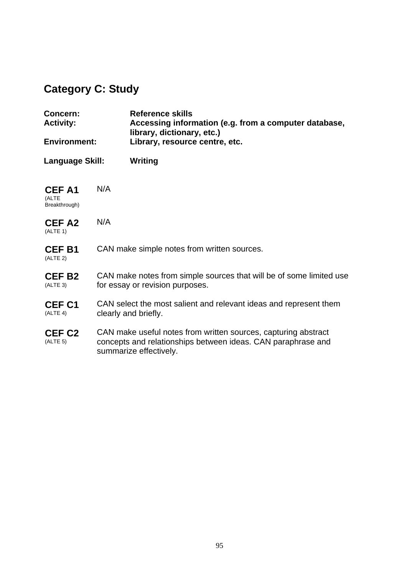| Concern:<br><b>Activity:</b>           | Reference skills<br>Accessing information (e.g. from a computer database,<br>library, dictionary, etc.)                                                  |
|----------------------------------------|----------------------------------------------------------------------------------------------------------------------------------------------------------|
| <b>Environment:</b>                    | Library, resource centre, etc.                                                                                                                           |
| Language Skill:                        | Writing                                                                                                                                                  |
| <b>CEFA1</b><br>(ALTE<br>Breakthrough) | N/A                                                                                                                                                      |
| <b>CEFA2</b><br>(ALTE 1)               | N/A                                                                                                                                                      |
| <b>CEFB1</b><br>(ALTE 2)               | CAN make simple notes from written sources.                                                                                                              |
| <b>CEF B2</b><br>(ALTE 3)              | CAN make notes from simple sources that will be of some limited use<br>for essay or revision purposes.                                                   |
| CEF <sub>C1</sub><br>(ALTE 4)          | CAN select the most salient and relevant ideas and represent them<br>clearly and briefly.                                                                |
| <b>CEF C2</b><br>(ALTE 5)              | CAN make useful notes from written sources, capturing abstract<br>concepts and relationships between ideas. CAN paraphrase and<br>summarize effectively. |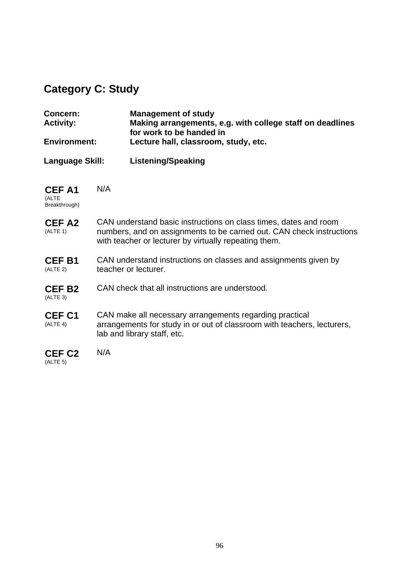| Concern:<br><b>Activity:</b><br><b>Environment:</b> | <b>Management of study</b><br>Making arrangements, e.g. with college staff on deadlines<br>for work to be handed in<br>Lecture hall, classroom, study, etc.                                        |  |  |
|-----------------------------------------------------|----------------------------------------------------------------------------------------------------------------------------------------------------------------------------------------------------|--|--|
| Language Skill:                                     | <b>Listening/Speaking</b>                                                                                                                                                                          |  |  |
| <b>CEFA1</b><br>(ALTE<br>Breakthrough)              | N/A                                                                                                                                                                                                |  |  |
| <b>CEFA2</b><br>(ALTE 1)                            | CAN understand basic instructions on class times, dates and room<br>numbers, and on assignments to be carried out. CAN check instructions<br>with teacher or lecturer by virtually repeating them. |  |  |
| <b>CEFB1</b><br>(ALTE 2)                            | CAN understand instructions on classes and assignments given by<br>teacher or lecturer.                                                                                                            |  |  |
| CEF B <sub>2</sub><br>(ALTE 3)                      | CAN check that all instructions are understood.                                                                                                                                                    |  |  |
| <b>CEF C1</b><br>(ALTE 4)                           | CAN make all necessary arrangements regarding practical<br>arrangements for study in or out of classroom with teachers, lecturers,<br>lab and library staff, etc.                                  |  |  |
| <b>CEF C2</b><br>(ALTE 5)                           | N/A                                                                                                                                                                                                |  |  |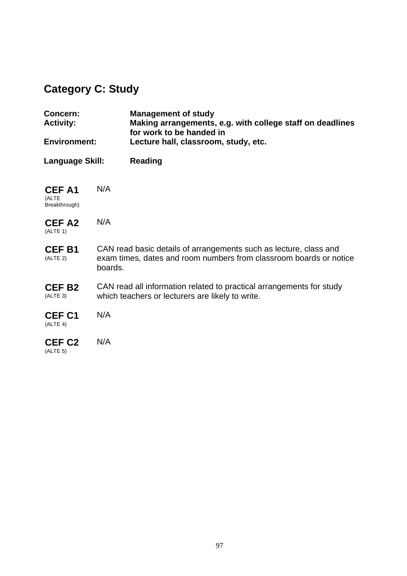| <b>Concern:</b><br><b>Activity:</b><br><b>Environment:</b> |                                                                                                                                                    | <b>Management of study</b><br>Making arrangements, e.g. with college staff on deadlines<br>for work to be handed in<br>Lecture hall, classroom, study, etc. |  |
|------------------------------------------------------------|----------------------------------------------------------------------------------------------------------------------------------------------------|-------------------------------------------------------------------------------------------------------------------------------------------------------------|--|
|                                                            |                                                                                                                                                    |                                                                                                                                                             |  |
|                                                            |                                                                                                                                                    |                                                                                                                                                             |  |
| <b>CEFA1</b><br>(ALTE<br>Breakthrough)                     | N/A                                                                                                                                                |                                                                                                                                                             |  |
| CEF <sub>A2</sub><br>(ALTE 1)                              | N/A                                                                                                                                                |                                                                                                                                                             |  |
| <b>CEF B1</b><br>(ALTE 2)                                  | CAN read basic details of arrangements such as lecture, class and<br>exam times, dates and room numbers from classroom boards or notice<br>boards. |                                                                                                                                                             |  |
| <b>CEF B2</b><br>(ALTE 3)                                  | CAN read all information related to practical arrangements for study<br>which teachers or lecturers are likely to write.                           |                                                                                                                                                             |  |
| CEF <sub>C1</sub><br>(ALTE 4)                              | N/A                                                                                                                                                |                                                                                                                                                             |  |
| CEF <sub>C2</sub><br>(ALTE 5)                              | N/A                                                                                                                                                |                                                                                                                                                             |  |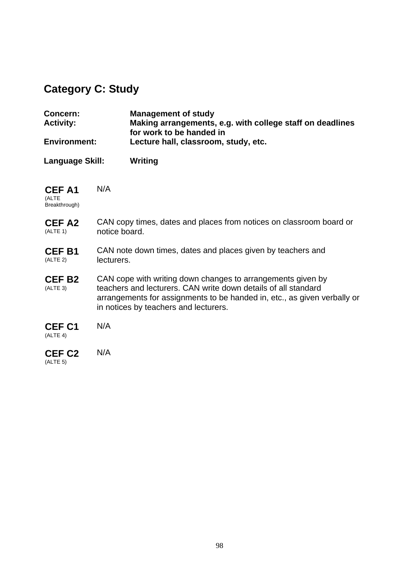| Concern:<br><b>Activity:</b><br><b>Environment:</b> |                                                                                                                                                                                                                                                    | <b>Management of study</b><br>Making arrangements, e.g. with college staff on deadlines<br>for work to be handed in<br>Lecture hall, classroom, study, etc. |  |
|-----------------------------------------------------|----------------------------------------------------------------------------------------------------------------------------------------------------------------------------------------------------------------------------------------------------|-------------------------------------------------------------------------------------------------------------------------------------------------------------|--|
| Language Skill:                                     |                                                                                                                                                                                                                                                    | <b>Writing</b>                                                                                                                                              |  |
| <b>CEFA1</b><br>(ALTE<br>Breakthrough)              | N/A                                                                                                                                                                                                                                                |                                                                                                                                                             |  |
| <b>CEFA2</b><br>(ALTE 1)                            | CAN copy times, dates and places from notices on classroom board or<br>notice board.                                                                                                                                                               |                                                                                                                                                             |  |
| <b>CEF B1</b><br>(ALTE 2)                           | CAN note down times, dates and places given by teachers and<br>lecturers.                                                                                                                                                                          |                                                                                                                                                             |  |
| CEF B <sub>2</sub><br>(ALTE 3)                      | CAN cope with writing down changes to arrangements given by<br>teachers and lecturers. CAN write down details of all standard<br>arrangements for assignments to be handed in, etc., as given verbally or<br>in notices by teachers and lecturers. |                                                                                                                                                             |  |
| CEF C1<br>(ALTE 4)                                  | N/A                                                                                                                                                                                                                                                |                                                                                                                                                             |  |
| CEF <sub>C2</sub><br>(ALTE 5)                       | N/A                                                                                                                                                                                                                                                |                                                                                                                                                             |  |